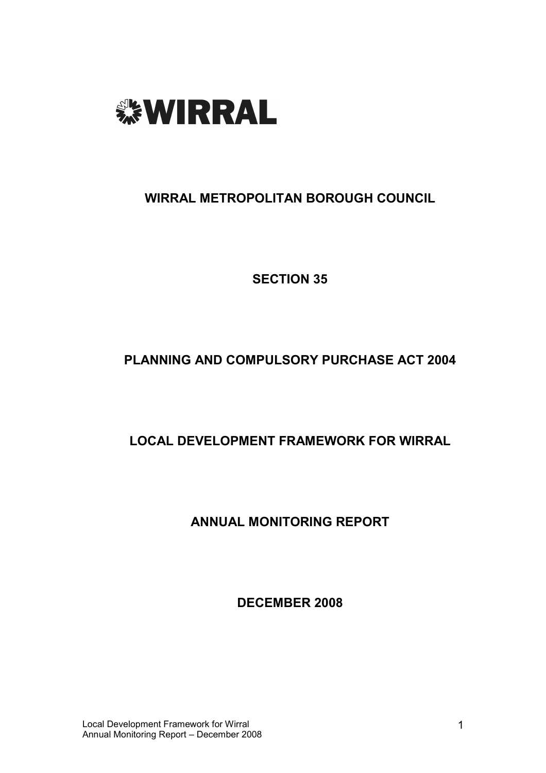

WIRRAL METROPOLITAN BOROUGH COUNCIL

SECTION 35

# PLANNING AND COMPULSORY PURCHASE ACT 2004

# LOCAL DEVELOPMENT FRAMEWORK FOR WIRRAL

ANNUAL MONITORING REPORT

DECEMBER 2008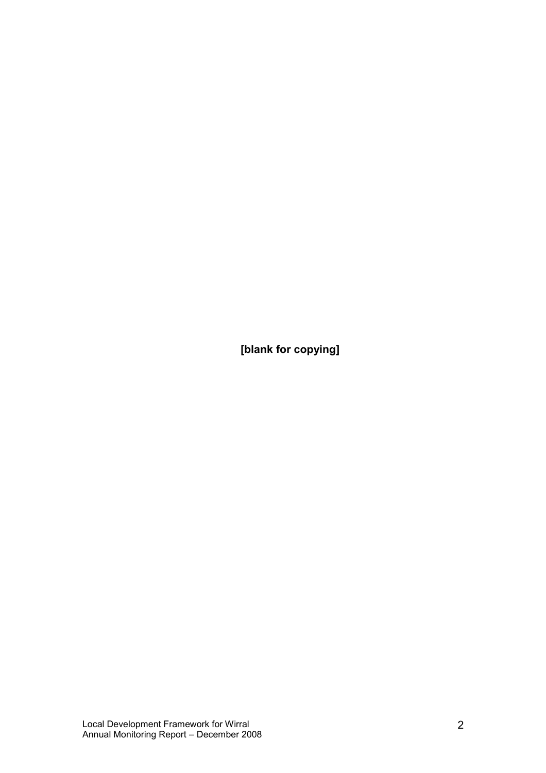[blank for copying]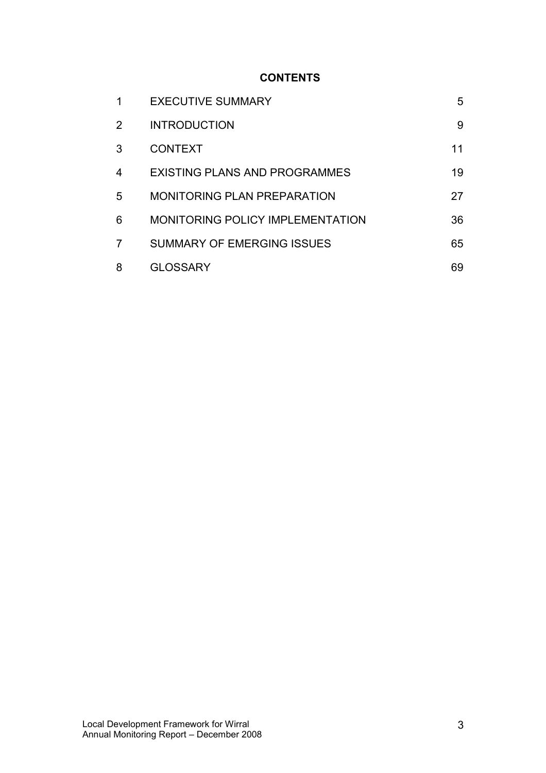# **CONTENTS**

| 1              | <b>EXECUTIVE SUMMARY</b>                | 5  |
|----------------|-----------------------------------------|----|
| $\overline{2}$ | <b>INTRODUCTION</b>                     | 9  |
| 3              | <b>CONTEXT</b>                          | 11 |
| 4              | EXISTING PLANS AND PROGRAMMES           | 19 |
| 5              | <b>MONITORING PLAN PREPARATION</b>      | 27 |
| 6              | <b>MONITORING POLICY IMPLEMENTATION</b> | 36 |
| 7              | <b>SUMMARY OF EMERGING ISSUES</b>       | 65 |
| 8              | <b>GLOSSARY</b>                         | 69 |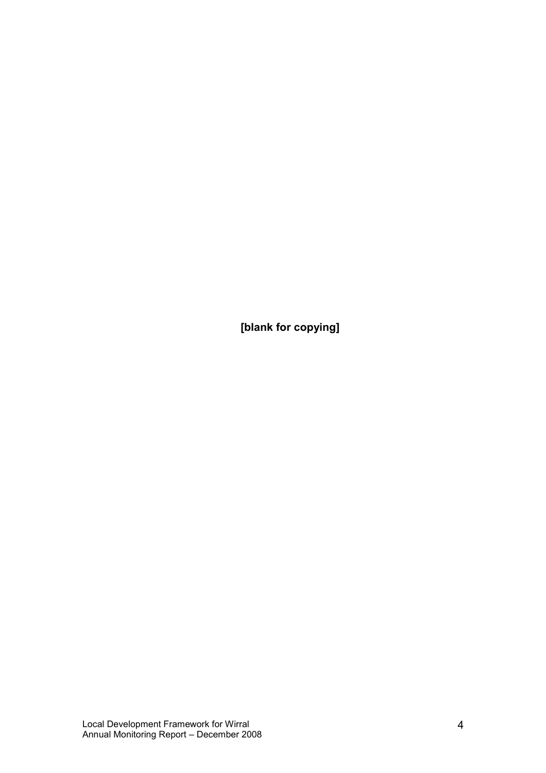[blank for copying]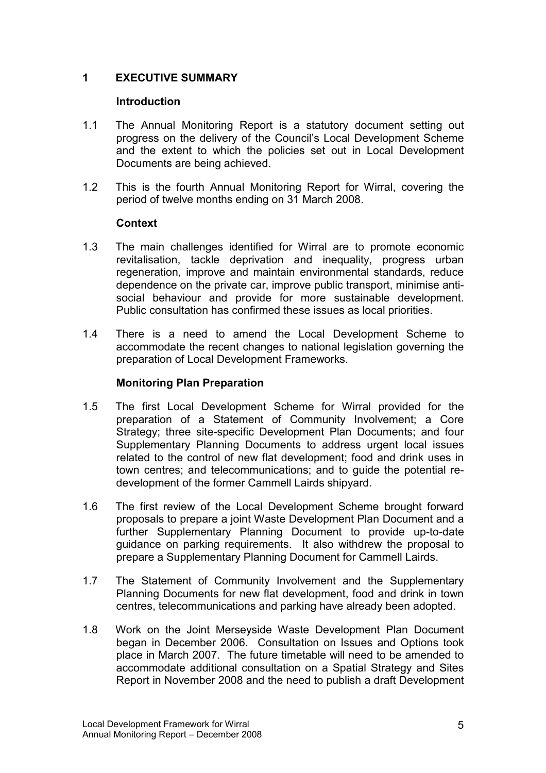### 1 EXECUTIVE SUMMARY

### **Introduction**

- 1.1 The Annual Monitoring Report is a statutory document setting out progress on the delivery of the Council's Local Development Scheme and the extent to which the policies set out in Local Development Documents are being achieved.
- 1.2 This is the fourth Annual Monitoring Report for Wirral, covering the period of twelve months ending on 31 March 2008.

### **Context**

- 1.3 The main challenges identified for Wirral are to promote economic revitalisation, tackle deprivation and inequality, progress urban regeneration, improve and maintain environmental standards, reduce dependence on the private car, improve public transport, minimise antisocial behaviour and provide for more sustainable development. Public consultation has confirmed these issues as local priorities.
- 1.4 There is a need to amend the Local Development Scheme to accommodate the recent changes to national legislation governing the preparation of Local Development Frameworks.

### Monitoring Plan Preparation

- 1.5 The first Local Development Scheme for Wirral provided for the preparation of a Statement of Community Involvement; a Core Strategy; three site-specific Development Plan Documents; and four Supplementary Planning Documents to address urgent local issues related to the control of new flat development; food and drink uses in town centres; and telecommunications; and to guide the potential redevelopment of the former Cammell Lairds shipyard.
- 1.6 The first review of the Local Development Scheme brought forward proposals to prepare a joint Waste Development Plan Document and a further Supplementary Planning Document to provide up-to-date guidance on parking requirements. It also withdrew the proposal to prepare a Supplementary Planning Document for Cammell Lairds.
- 1.7 The Statement of Community Involvement and the Supplementary Planning Documents for new flat development, food and drink in town centres, telecommunications and parking have already been adopted.
- 1.8 Work on the Joint Merseyside Waste Development Plan Document began in December 2006. Consultation on Issues and Options took place in March 2007. The future timetable will need to be amended to accommodate additional consultation on a Spatial Strategy and Sites Report in November 2008 and the need to publish a draft Development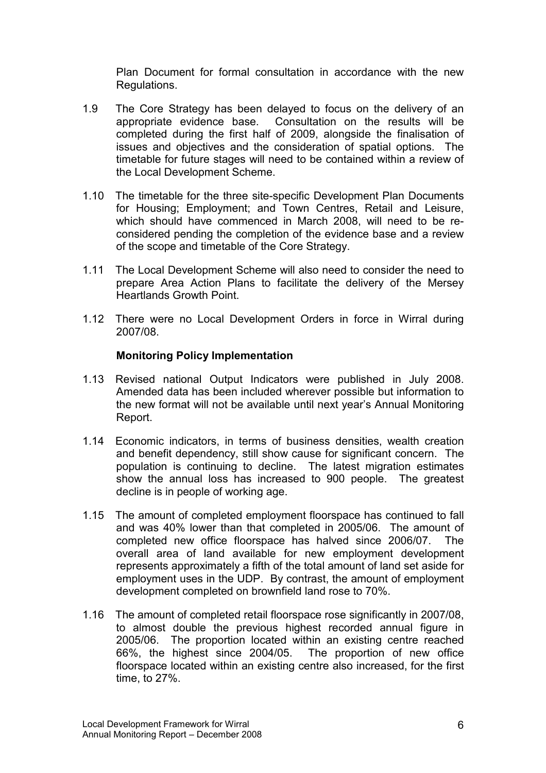Plan Document for formal consultation in accordance with the new Regulations.

- 1.9 The Core Strategy has been delayed to focus on the delivery of an appropriate evidence base. Consultation on the results will be completed during the first half of 2009, alongside the finalisation of issues and objectives and the consideration of spatial options. The timetable for future stages will need to be contained within a review of the Local Development Scheme.
- 1.10 The timetable for the three site-specific Development Plan Documents for Housing; Employment; and Town Centres, Retail and Leisure, which should have commenced in March 2008, will need to be reconsidered pending the completion of the evidence base and a review of the scope and timetable of the Core Strategy.
- 1.11 The Local Development Scheme will also need to consider the need to prepare Area Action Plans to facilitate the delivery of the Mersey Heartlands Growth Point.
- 1.12 There were no Local Development Orders in force in Wirral during 2007/08.

### Monitoring Policy Implementation

- 1.13 Revised national Output Indicators were published in July 2008. Amended data has been included wherever possible but information to the new format will not be available until next year's Annual Monitoring Report.
- 1.14 Economic indicators, in terms of business densities, wealth creation and benefit dependency, still show cause for significant concern. The population is continuing to decline. The latest migration estimates show the annual loss has increased to 900 people. The greatest decline is in people of working age.
- 1.15 The amount of completed employment floorspace has continued to fall and was 40% lower than that completed in 2005/06. The amount of completed new office floorspace has halved since 2006/07. The overall area of land available for new employment development represents approximately a fifth of the total amount of land set aside for employment uses in the UDP. By contrast, the amount of employment development completed on brownfield land rose to 70%.
- 1.16 The amount of completed retail floorspace rose significantly in 2007/08, to almost double the previous highest recorded annual figure in 2005/06. The proportion located within an existing centre reached 66%, the highest since 2004/05. The proportion of new office floorspace located within an existing centre also increased, for the first time, to 27%.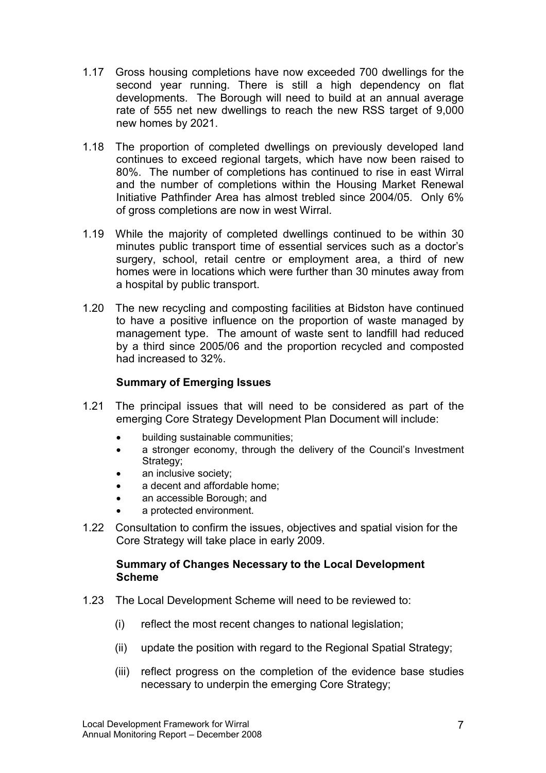- 1.17 Gross housing completions have now exceeded 700 dwellings for the second year running. There is still a high dependency on flat developments. The Borough will need to build at an annual average rate of 555 net new dwellings to reach the new RSS target of 9,000 new homes by 2021.
- 1.18 The proportion of completed dwellings on previously developed land continues to exceed regional targets, which have now been raised to 80%. The number of completions has continued to rise in east Wirral and the number of completions within the Housing Market Renewal Initiative Pathfinder Area has almost trebled since 2004/05. Only 6% of gross completions are now in west Wirral.
- 1.19 While the majority of completed dwellings continued to be within 30 minutes public transport time of essential services such as a doctor's surgery, school, retail centre or employment area, a third of new homes were in locations which were further than 30 minutes away from a hospital by public transport.
- 1.20 The new recycling and composting facilities at Bidston have continued to have a positive influence on the proportion of waste managed by management type. The amount of waste sent to landfill had reduced by a third since 2005/06 and the proportion recycled and composted had increased to 32%.

### Summary of Emerging Issues

- 1.21 The principal issues that will need to be considered as part of the emerging Core Strategy Development Plan Document will include:
	- building sustainable communities;
	- a stronger economy, through the delivery of the Council's Investment Strategy;
	- an inclusive society;
	- a decent and affordable home;
	- an accessible Borough: and
	- a protected environment.
- 1.22 Consultation to confirm the issues, objectives and spatial vision for the Core Strategy will take place in early 2009.

### Summary of Changes Necessary to the Local Development Scheme

- 1.23 The Local Development Scheme will need to be reviewed to:
	- (i) reflect the most recent changes to national legislation;
	- (ii) update the position with regard to the Regional Spatial Strategy;
	- (iii) reflect progress on the completion of the evidence base studies necessary to underpin the emerging Core Strategy;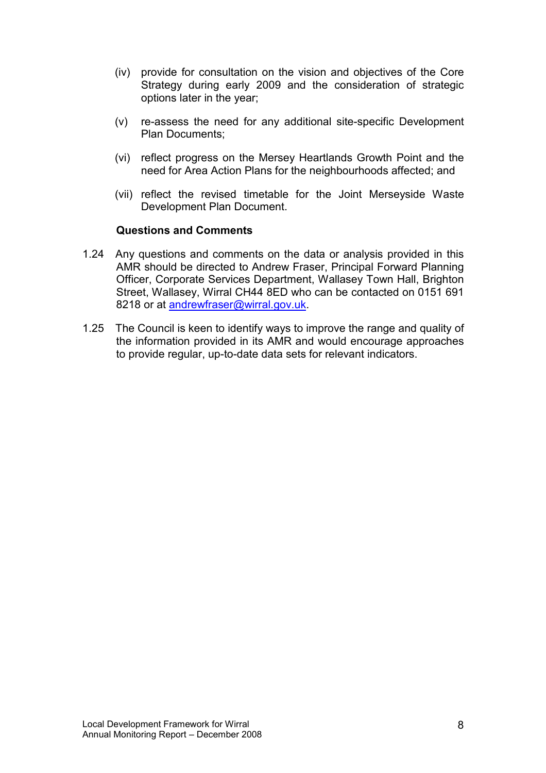- (iv) provide for consultation on the vision and objectives of the Core Strategy during early 2009 and the consideration of strategic options later in the year;
- (v) re-assess the need for any additional site-specific Development Plan Documents;
- (vi) reflect progress on the Mersey Heartlands Growth Point and the need for Area Action Plans for the neighbourhoods affected; and
- (vii) reflect the revised timetable for the Joint Merseyside Waste Development Plan Document.

#### Questions and Comments

- 1.24 Any questions and comments on the data or analysis provided in this AMR should be directed to Andrew Fraser, Principal Forward Planning Officer, Corporate Services Department, Wallasey Town Hall, Brighton Street, Wallasey, Wirral CH44 8ED who can be contacted on 0151 691 8218 or at andrewfraser@wirral.gov.uk.
- 1.25 The Council is keen to identify ways to improve the range and quality of the information provided in its AMR and would encourage approaches to provide regular, up-to-date data sets for relevant indicators.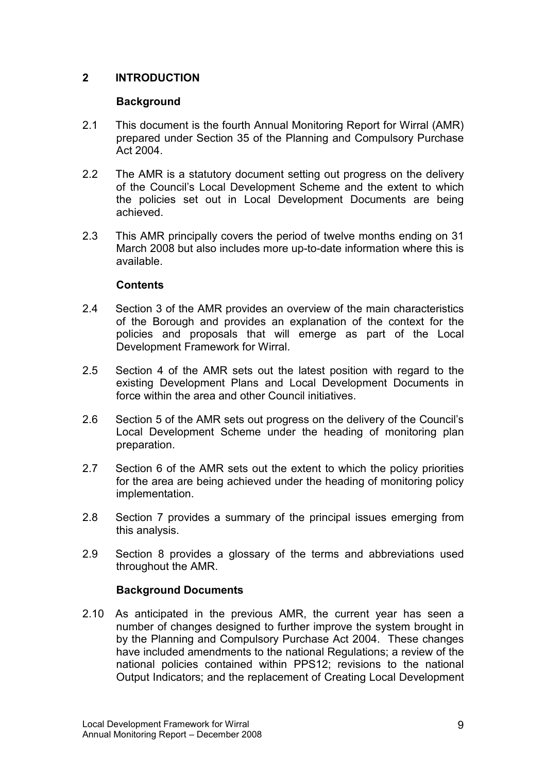## 2 INTRODUCTION

### **Background**

- 2.1 This document is the fourth Annual Monitoring Report for Wirral (AMR) prepared under Section 35 of the Planning and Compulsory Purchase Act 2004.
- 2.2 The AMR is a statutory document setting out progress on the delivery of the Council's Local Development Scheme and the extent to which the policies set out in Local Development Documents are being achieved.
- 2.3 This AMR principally covers the period of twelve months ending on 31 March 2008 but also includes more up-to-date information where this is available.

### **Contents**

- 2.4 Section 3 of the AMR provides an overview of the main characteristics of the Borough and provides an explanation of the context for the policies and proposals that will emerge as part of the Local Development Framework for Wirral.
- 2.5 Section 4 of the AMR sets out the latest position with regard to the existing Development Plans and Local Development Documents in force within the area and other Council initiatives.
- 2.6 Section 5 of the AMR sets out progress on the delivery of the Council's Local Development Scheme under the heading of monitoring plan preparation.
- 2.7 Section 6 of the AMR sets out the extent to which the policy priorities for the area are being achieved under the heading of monitoring policy implementation.
- 2.8 Section 7 provides a summary of the principal issues emerging from this analysis.
- 2.9 Section 8 provides a glossary of the terms and abbreviations used throughout the AMR.

### Background Documents

2.10 As anticipated in the previous AMR, the current year has seen a number of changes designed to further improve the system brought in by the Planning and Compulsory Purchase Act 2004. These changes have included amendments to the national Regulations; a review of the national policies contained within PPS12; revisions to the national Output Indicators; and the replacement of Creating Local Development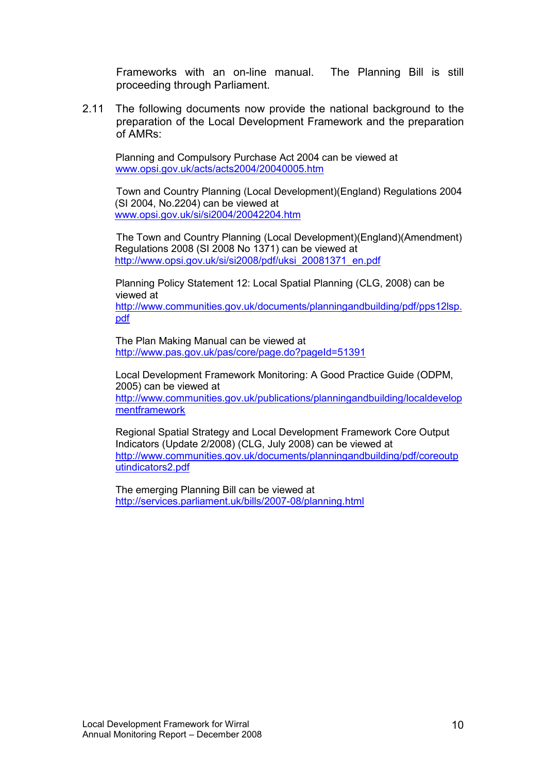Frameworks with an on-line manual. The Planning Bill is still proceeding through Parliament.

2.11 The following documents now provide the national background to the preparation of the Local Development Framework and the preparation of AMRs:

Planning and Compulsory Purchase Act 2004 can be viewed at www.opsi.gov.uk/acts/acts2004/20040005.htm

Town and Country Planning (Local Development)(England) Regulations 2004 (SI 2004, No.2204) can be viewed at www.opsi.gov.uk/si/si2004/20042204.htm

The Town and Country Planning (Local Development)(England)(Amendment) Regulations 2008 (SI 2008 No 1371) can be viewed at http://www.opsi.gov.uk/si/si2008/pdf/uksi\_20081371\_en.pdf

Planning Policy Statement 12: Local Spatial Planning (CLG, 2008) can be viewed at

http://www.communities.gov.uk/documents/planningandbuilding/pdf/pps12lsp. pdf

The Plan Making Manual can be viewed at http://www.pas.gov.uk/pas/core/page.do?pageId=51391

Local Development Framework Monitoring: A Good Practice Guide (ODPM, 2005) can be viewed at

http://www.communities.gov.uk/publications/planningandbuilding/localdevelop mentframework

Regional Spatial Strategy and Local Development Framework Core Output Indicators (Update 2/2008) (CLG, July 2008) can be viewed at http://www.communities.gov.uk/documents/planningandbuilding/pdf/coreoutp utindicators2.pdf

The emerging Planning Bill can be viewed at http://services.parliament.uk/bills/2007-08/planning.html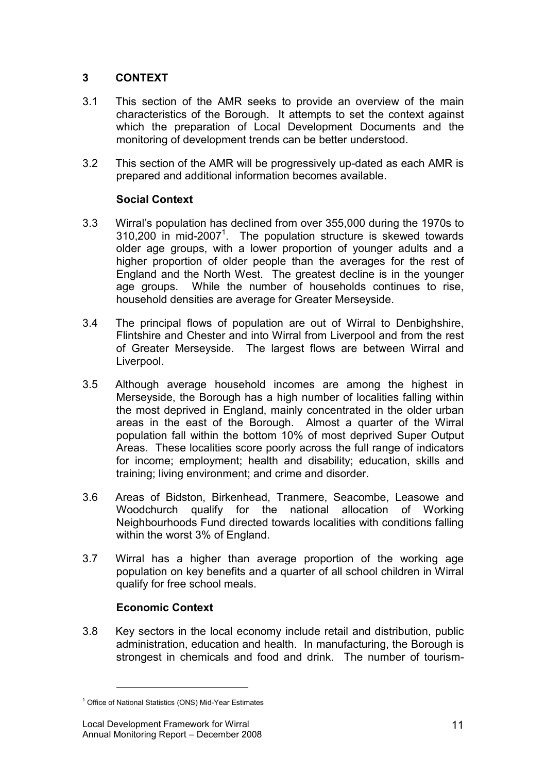# 3 CONTEXT

- 3.1 This section of the AMR seeks to provide an overview of the main characteristics of the Borough. It attempts to set the context against which the preparation of Local Development Documents and the monitoring of development trends can be better understood.
- 3.2 This section of the AMR will be progressively up-dated as each AMR is prepared and additional information becomes available.

# Social Context

- 3.3 Wirral's population has declined from over 355,000 during the 1970s to  $310,200$  in mid-2007<sup>1</sup>. The population structure is skewed towards older age groups, with a lower proportion of younger adults and a higher proportion of older people than the averages for the rest of England and the North West. The greatest decline is in the younger age groups. While the number of households continues to rise, household densities are average for Greater Merseyside.
- 3.4 The principal flows of population are out of Wirral to Denbighshire, Flintshire and Chester and into Wirral from Liverpool and from the rest of Greater Merseyside. The largest flows are between Wirral and Liverpool.
- 3.5 Although average household incomes are among the highest in Merseyside, the Borough has a high number of localities falling within the most deprived in England, mainly concentrated in the older urban areas in the east of the Borough. Almost a quarter of the Wirral population fall within the bottom 10% of most deprived Super Output Areas. These localities score poorly across the full range of indicators for income; employment; health and disability; education, skills and training; living environment; and crime and disorder.
- 3.6 Areas of Bidston, Birkenhead, Tranmere, Seacombe, Leasowe and Woodchurch qualify for the national allocation of Working Neighbourhoods Fund directed towards localities with conditions falling within the worst 3% of England.
- 3.7 Wirral has a higher than average proportion of the working age population on key benefits and a quarter of all school children in Wirral qualify for free school meals.

# Economic Context

3.8 Key sectors in the local economy include retail and distribution, public administration, education and health. In manufacturing, the Borough is strongest in chemicals and food and drink. The number of tourism-

1

<sup>&</sup>lt;sup>1</sup> Office of National Statistics (ONS) Mid-Year Estimates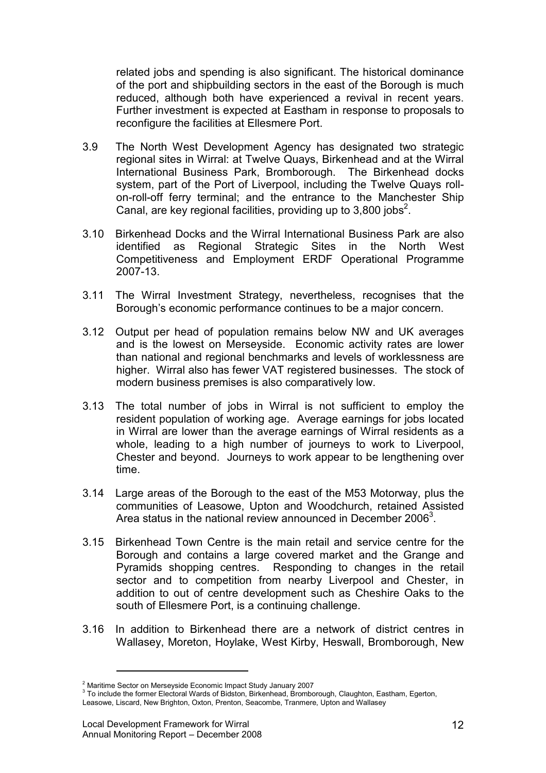related jobs and spending is also significant. The historical dominance of the port and shipbuilding sectors in the east of the Borough is much reduced, although both have experienced a revival in recent years. Further investment is expected at Eastham in response to proposals to reconfigure the facilities at Ellesmere Port.

- 3.9 The North West Development Agency has designated two strategic regional sites in Wirral: at Twelve Quays, Birkenhead and at the Wirral International Business Park, Bromborough. The Birkenhead docks system, part of the Port of Liverpool, including the Twelve Quays rollon-roll-off ferry terminal; and the entrance to the Manchester Ship Canal, are key regional facilities, providing up to  $3,800$  jobs<sup>2</sup>.
- 3.10 Birkenhead Docks and the Wirral International Business Park are also identified as Regional Strategic Sites in the North West Competitiveness and Employment ERDF Operational Programme 2007-13.
- 3.11 The Wirral Investment Strategy, nevertheless, recognises that the Borough's economic performance continues to be a major concern.
- 3.12 Output per head of population remains below NW and UK averages and is the lowest on Merseyside. Economic activity rates are lower than national and regional benchmarks and levels of worklessness are higher. Wirral also has fewer VAT registered businesses. The stock of modern business premises is also comparatively low.
- 3.13 The total number of jobs in Wirral is not sufficient to employ the resident population of working age. Average earnings for jobs located in Wirral are lower than the average earnings of Wirral residents as a whole, leading to a high number of journeys to work to Liverpool, Chester and beyond. Journeys to work appear to be lengthening over time.
- 3.14 Large areas of the Borough to the east of the M53 Motorway, plus the communities of Leasowe, Upton and Woodchurch, retained Assisted Area status in the national review announced in December 2006<sup>3</sup>.
- 3.15 Birkenhead Town Centre is the main retail and service centre for the Borough and contains a large covered market and the Grange and Pyramids shopping centres. Responding to changes in the retail sector and to competition from nearby Liverpool and Chester, in addition to out of centre development such as Cheshire Oaks to the south of Ellesmere Port, is a continuing challenge.
- 3.16 In addition to Birkenhead there are a network of district centres in Wallasey, Moreton, Hoylake, West Kirby, Heswall, Bromborough, New

1

<sup>&</sup>lt;sup>2</sup> Maritime Sector on Merseyside Economic Impact Study January 2007

<sup>&</sup>lt;sup>3</sup> To include the former Electoral Wards of Bidston, Birkenhead, Bromborough, Claughton, Eastham, Egerton,

Leasowe, Liscard, New Brighton, Oxton, Prenton, Seacombe, Tranmere, Upton and Wallasey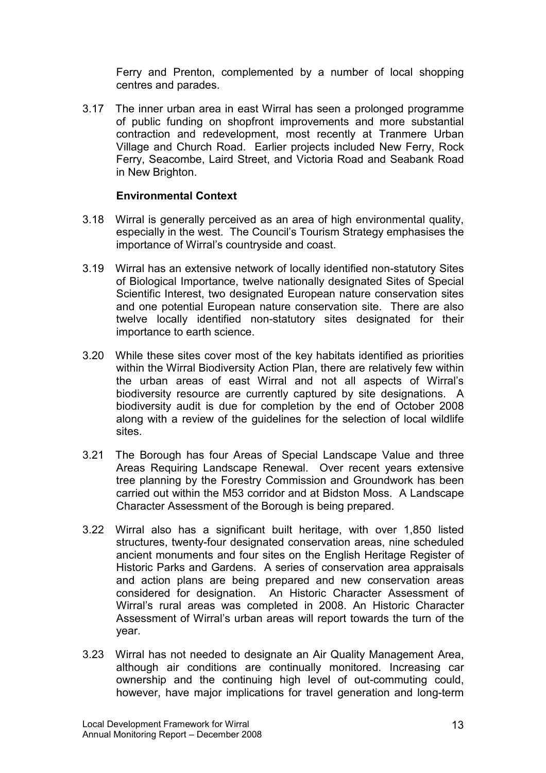Ferry and Prenton, complemented by a number of local shopping centres and parades.

3.17 The inner urban area in east Wirral has seen a prolonged programme of public funding on shopfront improvements and more substantial contraction and redevelopment, most recently at Tranmere Urban Village and Church Road. Earlier projects included New Ferry, Rock Ferry, Seacombe, Laird Street, and Victoria Road and Seabank Road in New Brighton.

### Environmental Context

- 3.18 Wirral is generally perceived as an area of high environmental quality, especially in the west. The Council's Tourism Strategy emphasises the importance of Wirral's countryside and coast.
- 3.19 Wirral has an extensive network of locally identified non-statutory Sites of Biological Importance, twelve nationally designated Sites of Special Scientific Interest, two designated European nature conservation sites and one potential European nature conservation site. There are also twelve locally identified non-statutory sites designated for their importance to earth science.
- 3.20 While these sites cover most of the key habitats identified as priorities within the Wirral Biodiversity Action Plan, there are relatively few within the urban areas of east Wirral and not all aspects of Wirral's biodiversity resource are currently captured by site designations. A biodiversity audit is due for completion by the end of October 2008 along with a review of the guidelines for the selection of local wildlife sites.
- 3.21 The Borough has four Areas of Special Landscape Value and three Areas Requiring Landscape Renewal. Over recent years extensive tree planning by the Forestry Commission and Groundwork has been carried out within the M53 corridor and at Bidston Moss. A Landscape Character Assessment of the Borough is being prepared.
- 3.22 Wirral also has a significant built heritage, with over 1,850 listed structures, twenty-four designated conservation areas, nine scheduled ancient monuments and four sites on the English Heritage Register of Historic Parks and Gardens. A series of conservation area appraisals and action plans are being prepared and new conservation areas considered for designation. An Historic Character Assessment of Wirral's rural areas was completed in 2008. An Historic Character Assessment of Wirral's urban areas will report towards the turn of the year.
- 3.23 Wirral has not needed to designate an Air Quality Management Area, although air conditions are continually monitored. Increasing car ownership and the continuing high level of out-commuting could, however, have major implications for travel generation and long-term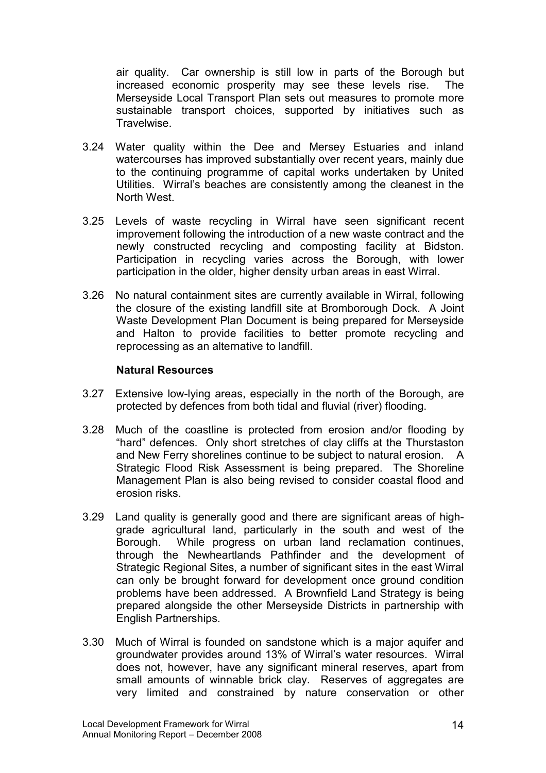air quality. Car ownership is still low in parts of the Borough but increased economic prosperity may see these levels rise. The Merseyside Local Transport Plan sets out measures to promote more sustainable transport choices, supported by initiatives such as Travelwise.

- 3.24 Water quality within the Dee and Mersey Estuaries and inland watercourses has improved substantially over recent years, mainly due to the continuing programme of capital works undertaken by United Utilities. Wirral's beaches are consistently among the cleanest in the North West.
- 3.25 Levels of waste recycling in Wirral have seen significant recent improvement following the introduction of a new waste contract and the newly constructed recycling and composting facility at Bidston. Participation in recycling varies across the Borough, with lower participation in the older, higher density urban areas in east Wirral.
- 3.26 No natural containment sites are currently available in Wirral, following the closure of the existing landfill site at Bromborough Dock. A Joint Waste Development Plan Document is being prepared for Merseyside and Halton to provide facilities to better promote recycling and reprocessing as an alternative to landfill.

### Natural Resources

- 3.27 Extensive low-lying areas, especially in the north of the Borough, are protected by defences from both tidal and fluvial (river) flooding.
- 3.28 Much of the coastline is protected from erosion and/or flooding by "hard" defences. Only short stretches of clay cliffs at the Thurstaston and New Ferry shorelines continue to be subject to natural erosion. A Strategic Flood Risk Assessment is being prepared. The Shoreline Management Plan is also being revised to consider coastal flood and erosion risks.
- 3.29 Land quality is generally good and there are significant areas of highgrade agricultural land, particularly in the south and west of the Borough. While progress on urban land reclamation continues, through the Newheartlands Pathfinder and the development of Strategic Regional Sites, a number of significant sites in the east Wirral can only be brought forward for development once ground condition problems have been addressed. A Brownfield Land Strategy is being prepared alongside the other Merseyside Districts in partnership with English Partnerships.
- 3.30 Much of Wirral is founded on sandstone which is a major aquifer and groundwater provides around 13% of Wirral's water resources. Wirral does not, however, have any significant mineral reserves, apart from small amounts of winnable brick clay. Reserves of aggregates are very limited and constrained by nature conservation or other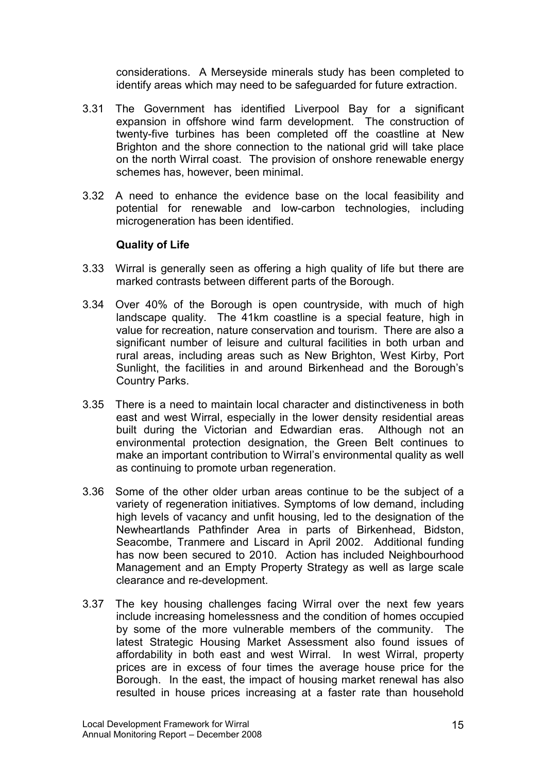considerations. A Merseyside minerals study has been completed to identify areas which may need to be safeguarded for future extraction.

- 3.31 The Government has identified Liverpool Bay for a significant expansion in offshore wind farm development. The construction of twenty-five turbines has been completed off the coastline at New Brighton and the shore connection to the national grid will take place on the north Wirral coast. The provision of onshore renewable energy schemes has, however, been minimal.
- 3.32 A need to enhance the evidence base on the local feasibility and potential for renewable and low-carbon technologies, including microgeneration has been identified.

### Quality of Life

- 3.33 Wirral is generally seen as offering a high quality of life but there are marked contrasts between different parts of the Borough.
- 3.34 Over 40% of the Borough is open countryside, with much of high landscape quality. The 41km coastline is a special feature, high in value for recreation, nature conservation and tourism. There are also a significant number of leisure and cultural facilities in both urban and rural areas, including areas such as New Brighton, West Kirby, Port Sunlight, the facilities in and around Birkenhead and the Borough's Country Parks.
- 3.35 There is a need to maintain local character and distinctiveness in both east and west Wirral, especially in the lower density residential areas built during the Victorian and Edwardian eras. Although not an environmental protection designation, the Green Belt continues to make an important contribution to Wirral's environmental quality as well as continuing to promote urban regeneration.
- 3.36 Some of the other older urban areas continue to be the subject of a variety of regeneration initiatives. Symptoms of low demand, including high levels of vacancy and unfit housing, led to the designation of the Newheartlands Pathfinder Area in parts of Birkenhead, Bidston, Seacombe, Tranmere and Liscard in April 2002. Additional funding has now been secured to 2010. Action has included Neighbourhood Management and an Empty Property Strategy as well as large scale clearance and re-development.
- 3.37 The key housing challenges facing Wirral over the next few years include increasing homelessness and the condition of homes occupied by some of the more vulnerable members of the community. The latest Strategic Housing Market Assessment also found issues of affordability in both east and west Wirral. In west Wirral, property prices are in excess of four times the average house price for the Borough. In the east, the impact of housing market renewal has also resulted in house prices increasing at a faster rate than household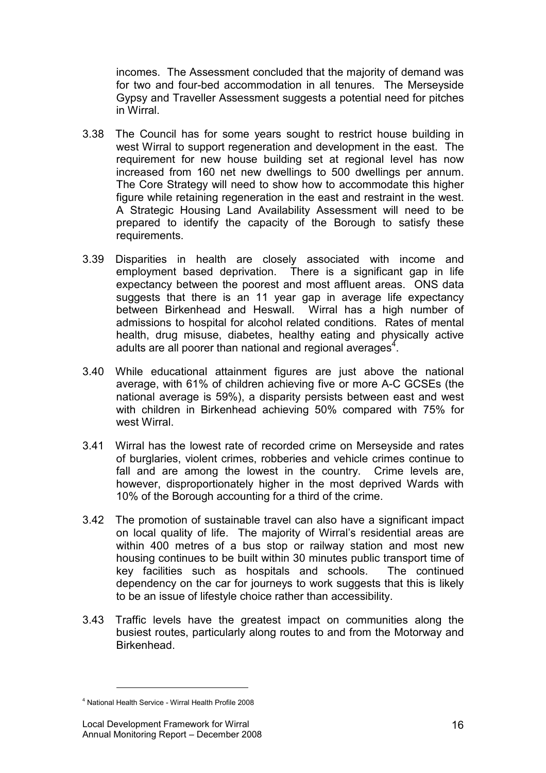incomes. The Assessment concluded that the majority of demand was for two and four-bed accommodation in all tenures. The Merseyside Gypsy and Traveller Assessment suggests a potential need for pitches in Wirral.

- 3.38 The Council has for some years sought to restrict house building in west Wirral to support regeneration and development in the east. The requirement for new house building set at regional level has now increased from 160 net new dwellings to 500 dwellings per annum. The Core Strategy will need to show how to accommodate this higher figure while retaining regeneration in the east and restraint in the west. A Strategic Housing Land Availability Assessment will need to be prepared to identify the capacity of the Borough to satisfy these requirements.
- 3.39 Disparities in health are closely associated with income and employment based deprivation. There is a significant gap in life expectancy between the poorest and most affluent areas. ONS data suggests that there is an 11 year gap in average life expectancy between Birkenhead and Heswall. Wirral has a high number of admissions to hospital for alcohol related conditions. Rates of mental health, drug misuse, diabetes, healthy eating and physically active adults are all poorer than national and regional averages $4$ .
- 3.40 While educational attainment figures are just above the national average, with 61% of children achieving five or more A-C GCSEs (the national average is 59%), a disparity persists between east and west with children in Birkenhead achieving 50% compared with 75% for west Wirral.
- 3.41 Wirral has the lowest rate of recorded crime on Merseyside and rates of burglaries, violent crimes, robberies and vehicle crimes continue to fall and are among the lowest in the country. Crime levels are, however, disproportionately higher in the most deprived Wards with 10% of the Borough accounting for a third of the crime.
- 3.42 The promotion of sustainable travel can also have a significant impact on local quality of life. The majority of Wirral's residential areas are within 400 metres of a bus stop or railway station and most new housing continues to be built within 30 minutes public transport time of key facilities such as hospitals and schools. The continued dependency on the car for journeys to work suggests that this is likely to be an issue of lifestyle choice rather than accessibility.
- 3.43 Traffic levels have the greatest impact on communities along the busiest routes, particularly along routes to and from the Motorway and **Birkenhead**

1

<sup>4</sup> National Health Service - Wirral Health Profile 2008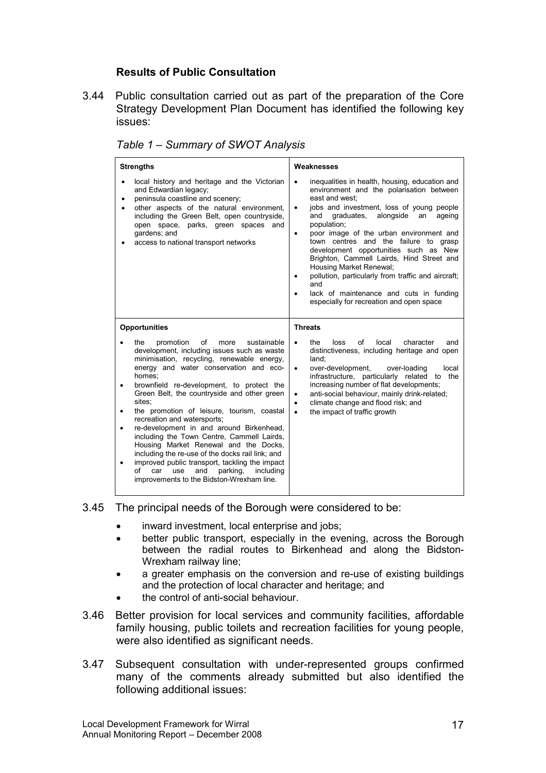### Results of Public Consultation

3.44 Public consultation carried out as part of the preparation of the Core Strategy Development Plan Document has identified the following key issues:

| <b>Strengths</b>                                                                                                                                                                                                                                                                                                                                                                                                                                                                                                                                                                                                                                                                                                            | Weaknesses                                                                                                                                                                                                                                                                                                                                                                                                                                                                                                                                                                                            |  |  |
|-----------------------------------------------------------------------------------------------------------------------------------------------------------------------------------------------------------------------------------------------------------------------------------------------------------------------------------------------------------------------------------------------------------------------------------------------------------------------------------------------------------------------------------------------------------------------------------------------------------------------------------------------------------------------------------------------------------------------------|-------------------------------------------------------------------------------------------------------------------------------------------------------------------------------------------------------------------------------------------------------------------------------------------------------------------------------------------------------------------------------------------------------------------------------------------------------------------------------------------------------------------------------------------------------------------------------------------------------|--|--|
| local history and heritage and the Victorian<br>$\bullet$<br>and Edwardian legacy;<br>peninsula coastline and scenery;<br>٠<br>other aspects of the natural environment,<br>$\bullet$<br>including the Green Belt, open countryside,<br>open space, parks, green spaces and<br>gardens; and<br>access to national transport networks                                                                                                                                                                                                                                                                                                                                                                                        | inequalities in health, housing, education and<br>$\bullet$<br>environment and the polarisation between<br>east and west:<br>jobs and investment, loss of young people<br>graduates,<br>alongside<br>and<br>an<br>ageing<br>population;<br>poor image of the urban environment and<br>٠<br>town centres and the failure to grasp<br>development opportunities such as New<br>Brighton, Cammell Lairds, Hind Street and<br>Housing Market Renewal;<br>pollution, particularly from traffic and aircraft;<br>and<br>lack of maintenance and cuts in funding<br>especially for recreation and open space |  |  |
| <b>Opportunities</b>                                                                                                                                                                                                                                                                                                                                                                                                                                                                                                                                                                                                                                                                                                        | <b>Threats</b>                                                                                                                                                                                                                                                                                                                                                                                                                                                                                                                                                                                        |  |  |
| of<br>promotion<br>sustainable<br>the<br>more<br>development, including issues such as waste<br>minimisation, recycling, renewable energy,<br>energy and water conservation and eco-<br>homes:<br>brownfield re-development, to protect the<br>Green Belt, the countryside and other green<br>sites:<br>the promotion of leisure, tourism, coastal<br>recreation and watersports;<br>re-development in and around Birkenhead,<br>including the Town Centre, Cammell Lairds,<br>Housing Market Renewal and the Docks,<br>including the re-use of the docks rail link; and<br>improved public transport, tackling the impact<br>including<br>of<br>and<br>parking.<br>car<br>use<br>improvements to the Bidston-Wrexham line. | of<br>the<br>loss<br>local<br>character<br>and<br>distinctiveness, including heritage and open<br>land:<br>over-development,<br>over-loading<br>local<br>$\bullet$<br>infrastructure, particularly related to<br>the<br>increasing number of flat developments;<br>anti-social behaviour, mainly drink-related;<br>$\bullet$<br>climate change and flood risk; and<br>$\bullet$<br>the impact of traffic growth<br>$\bullet$                                                                                                                                                                          |  |  |

Table 1 – Summary of SWOT Analysis

3.45 The principal needs of the Borough were considered to be:

- inward investment, local enterprise and jobs;
- better public transport, especially in the evening, across the Borough between the radial routes to Birkenhead and along the Bidston-Wrexham railway line;
- a greater emphasis on the conversion and re-use of existing buildings and the protection of local character and heritage; and
- the control of anti-social behaviour.
- 3.46 Better provision for local services and community facilities, affordable family housing, public toilets and recreation facilities for young people, were also identified as significant needs.
- 3.47 Subsequent consultation with under-represented groups confirmed many of the comments already submitted but also identified the following additional issues: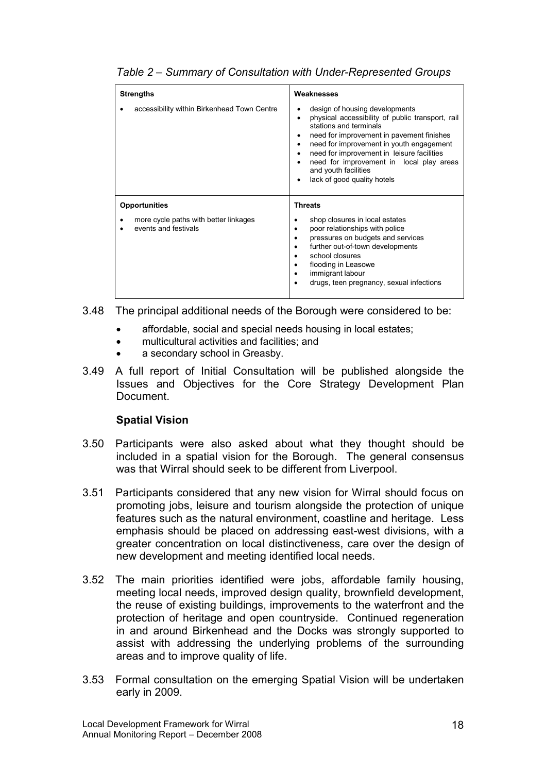| <b>Strengths</b><br>accessibility within Birkenhead Town Centre                       | Weaknesses<br>design of housing developments<br>٠<br>physical accessibility of public transport, rail<br>٠<br>stations and terminals<br>need for improvement in pavement finishes<br>٠<br>need for improvement in youth engagement<br>٠<br>need for improvement in leisure facilities<br>٠<br>need for improvement in local play areas<br>٠<br>and youth facilities<br>lack of good quality hotels<br>٠ |  |  |
|---------------------------------------------------------------------------------------|---------------------------------------------------------------------------------------------------------------------------------------------------------------------------------------------------------------------------------------------------------------------------------------------------------------------------------------------------------------------------------------------------------|--|--|
| <b>Opportunities</b><br>more cycle paths with better linkages<br>events and festivals | <b>Threats</b><br>shop closures in local estates<br>poor relationships with police<br>pressures on budgets and services<br>further out-of-town developments<br>$\bullet$<br>school closures<br>flooding in Leasowe<br>immigrant labour<br>٠<br>drugs, teen pregnancy, sexual infections                                                                                                                 |  |  |

Table 2 – Summary of Consultation with Under-Represented Groups

- 3.48 The principal additional needs of the Borough were considered to be:
	- affordable, social and special needs housing in local estates;
	- multicultural activities and facilities; and
	- a secondary school in Greasby.
- 3.49 A full report of Initial Consultation will be published alongside the Issues and Objectives for the Core Strategy Development Plan Document.

### Spatial Vision

- 3.50 Participants were also asked about what they thought should be included in a spatial vision for the Borough. The general consensus was that Wirral should seek to be different from Liverpool.
- 3.51 Participants considered that any new vision for Wirral should focus on promoting jobs, leisure and tourism alongside the protection of unique features such as the natural environment, coastline and heritage. Less emphasis should be placed on addressing east-west divisions, with a greater concentration on local distinctiveness, care over the design of new development and meeting identified local needs.
- 3.52 The main priorities identified were jobs, affordable family housing, meeting local needs, improved design quality, brownfield development, the reuse of existing buildings, improvements to the waterfront and the protection of heritage and open countryside. Continued regeneration in and around Birkenhead and the Docks was strongly supported to assist with addressing the underlying problems of the surrounding areas and to improve quality of life.
- 3.53 Formal consultation on the emerging Spatial Vision will be undertaken early in 2009.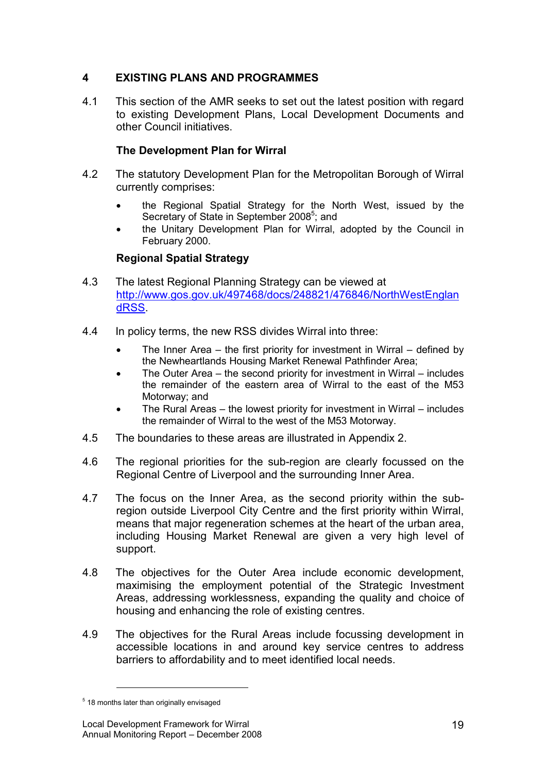# 4 EXISTING PLANS AND PROGRAMMES

4.1 This section of the AMR seeks to set out the latest position with regard to existing Development Plans, Local Development Documents and other Council initiatives.

### The Development Plan for Wirral

- 4.2 The statutory Development Plan for the Metropolitan Borough of Wirral currently comprises:
	- the Regional Spatial Strategy for the North West, issued by the Secretary of State in September 2008<sup>5</sup>; and
	- the Unitary Development Plan for Wirral, adopted by the Council in February 2000.

### Regional Spatial Strategy

- 4.3 The latest Regional Planning Strategy can be viewed at http://www.gos.gov.uk/497468/docs/248821/476846/NorthWestEnglan dRSS.
- 4.4 In policy terms, the new RSS divides Wirral into three:
	- The Inner Area the first priority for investment in Wirral defined by the Newheartlands Housing Market Renewal Pathfinder Area;
	- The Outer Area the second priority for investment in Wirral includes the remainder of the eastern area of Wirral to the east of the M53 Motorway; and
	- The Rural Areas the lowest priority for investment in Wirral includes the remainder of Wirral to the west of the M53 Motorway.
- 4.5 The boundaries to these areas are illustrated in Appendix 2.
- 4.6 The regional priorities for the sub-region are clearly focussed on the Regional Centre of Liverpool and the surrounding Inner Area.
- 4.7 The focus on the Inner Area, as the second priority within the subregion outside Liverpool City Centre and the first priority within Wirral, means that major regeneration schemes at the heart of the urban area, including Housing Market Renewal are given a very high level of support.
- 4.8 The objectives for the Outer Area include economic development, maximising the employment potential of the Strategic Investment Areas, addressing worklessness, expanding the quality and choice of housing and enhancing the role of existing centres.
- 4.9 The objectives for the Rural Areas include focussing development in accessible locations in and around key service centres to address barriers to affordability and to meet identified local needs.

1

<sup>&</sup>lt;sup>5</sup> 18 months later than originally envisaged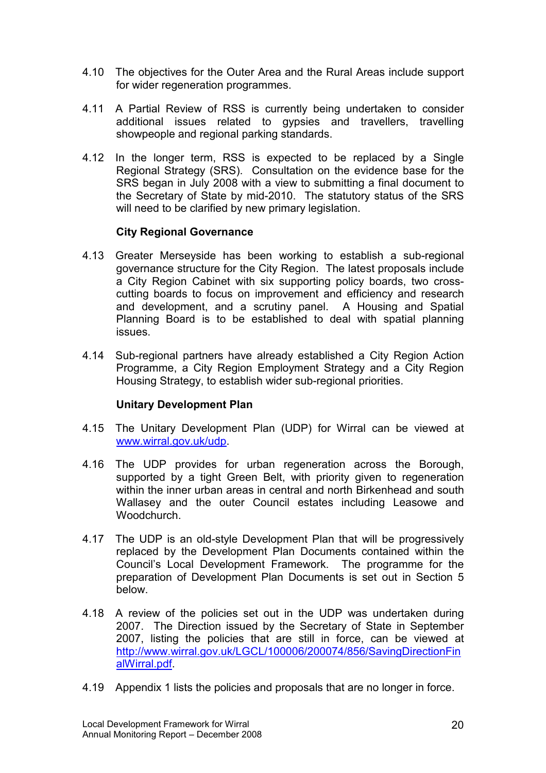- 4.10 The objectives for the Outer Area and the Rural Areas include support for wider regeneration programmes.
- 4.11 A Partial Review of RSS is currently being undertaken to consider additional issues related to gypsies and travellers, travelling showpeople and regional parking standards.
- 4.12 In the longer term, RSS is expected to be replaced by a Single Regional Strategy (SRS). Consultation on the evidence base for the SRS began in July 2008 with a view to submitting a final document to the Secretary of State by mid-2010. The statutory status of the SRS will need to be clarified by new primary legislation.

### City Regional Governance

- 4.13 Greater Merseyside has been working to establish a sub-regional governance structure for the City Region. The latest proposals include a City Region Cabinet with six supporting policy boards, two crosscutting boards to focus on improvement and efficiency and research and development, and a scrutiny panel. A Housing and Spatial Planning Board is to be established to deal with spatial planning issues.
- 4.14 Sub-regional partners have already established a City Region Action Programme, a City Region Employment Strategy and a City Region Housing Strategy, to establish wider sub-regional priorities.

### Unitary Development Plan

- 4.15 The Unitary Development Plan (UDP) for Wirral can be viewed at www.wirral.gov.uk/udp.
- 4.16 The UDP provides for urban regeneration across the Borough, supported by a tight Green Belt, with priority given to regeneration within the inner urban areas in central and north Birkenhead and south Wallasey and the outer Council estates including Leasowe and Woodchurch.
- 4.17 The UDP is an old-style Development Plan that will be progressively replaced by the Development Plan Documents contained within the Council's Local Development Framework. The programme for the preparation of Development Plan Documents is set out in Section 5 below.
- 4.18 A review of the policies set out in the UDP was undertaken during 2007. The Direction issued by the Secretary of State in September 2007, listing the policies that are still in force, can be viewed at http://www.wirral.gov.uk/LGCL/100006/200074/856/SavingDirectionFin alWirral.pdf.
- 4.19 Appendix 1 lists the policies and proposals that are no longer in force.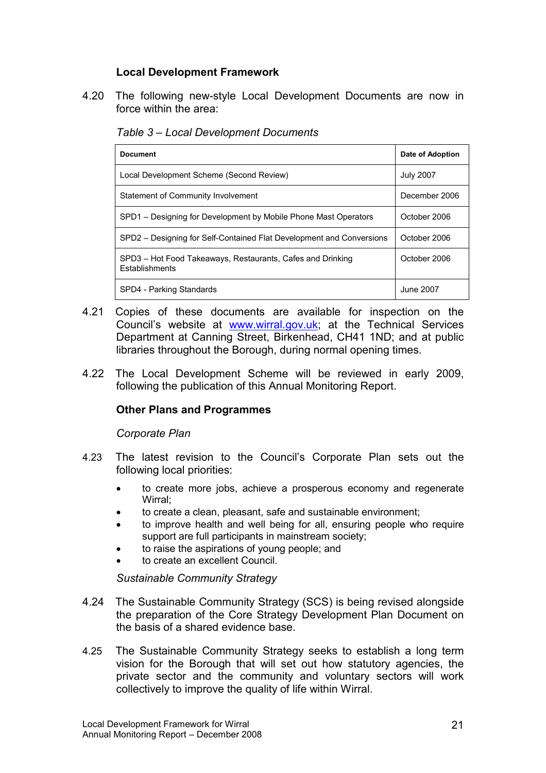### Local Development Framework

4.20 The following new-style Local Development Documents are now in force within the area:

Table 3 – Local Development Documents

| <b>Document</b>                                                              | Date of Adoption |
|------------------------------------------------------------------------------|------------------|
| Local Development Scheme (Second Review)                                     | <b>July 2007</b> |
| Statement of Community Involvement                                           | December 2006    |
| SPD1 – Designing for Development by Mobile Phone Mast Operators              | October 2006     |
| SPD2 – Designing for Self-Contained Flat Development and Conversions         | October 2006     |
| SPD3 - Hot Food Takeaways, Restaurants, Cafes and Drinking<br>Establishments | October 2006     |
| SPD4 - Parking Standards                                                     | June 2007        |

- 4.21 Copies of these documents are available for inspection on the Council's website at www.wirral.gov.uk; at the Technical Services Department at Canning Street, Birkenhead, CH41 1ND; and at public libraries throughout the Borough, during normal opening times.
- 4.22 The Local Development Scheme will be reviewed in early 2009, following the publication of this Annual Monitoring Report.

### Other Plans and Programmes

Corporate Plan

- 4.23 The latest revision to the Council's Corporate Plan sets out the following local priorities:
	- to create more jobs, achieve a prosperous economy and regenerate Wirral;
	- to create a clean, pleasant, safe and sustainable environment;
	- to improve health and well being for all, ensuring people who require support are full participants in mainstream society;
	- to raise the aspirations of young people; and
	- to create an excellent Council.

Sustainable Community Strategy

- 4.24 The Sustainable Community Strategy (SCS) is being revised alongside the preparation of the Core Strategy Development Plan Document on the basis of a shared evidence base.
- 4.25 The Sustainable Community Strategy seeks to establish a long term vision for the Borough that will set out how statutory agencies, the private sector and the community and voluntary sectors will work collectively to improve the quality of life within Wirral.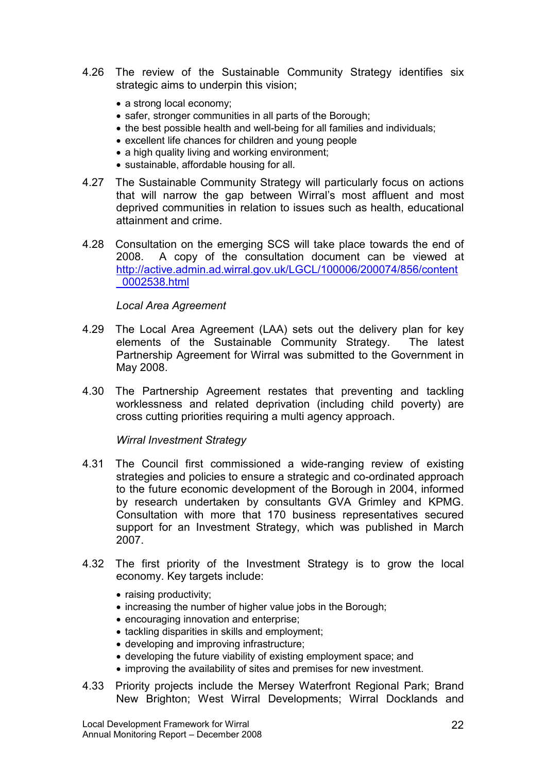- 4.26 The review of the Sustainable Community Strategy identifies six strategic aims to underpin this vision;
	- a strong local economy;
	- safer, stronger communities in all parts of the Borough;
	- the best possible health and well-being for all families and individuals;
	- excellent life chances for children and young people
	- a high quality living and working environment;
	- sustainable, affordable housing for all.
- 4.27 The Sustainable Community Strategy will particularly focus on actions that will narrow the gap between Wirral's most affluent and most deprived communities in relation to issues such as health, educational attainment and crime.
- 4.28 Consultation on the emerging SCS will take place towards the end of 2008. A copy of the consultation document can be viewed at http://active.admin.ad.wirral.gov.uk/LGCL/100006/200074/856/content \_0002538.html

#### Local Area Agreement

- 4.29 The Local Area Agreement (LAA) sets out the delivery plan for key elements of the Sustainable Community Strategy. The latest Partnership Agreement for Wirral was submitted to the Government in May 2008.
- 4.30 The Partnership Agreement restates that preventing and tackling worklessness and related deprivation (including child poverty) are cross cutting priorities requiring a multi agency approach.

Wirral Investment Strategy

- 4.31 The Council first commissioned a wide-ranging review of existing strategies and policies to ensure a strategic and co-ordinated approach to the future economic development of the Borough in 2004, informed by research undertaken by consultants GVA Grimley and KPMG. Consultation with more that 170 business representatives secured support for an Investment Strategy, which was published in March 2007.
- 4.32 The first priority of the Investment Strategy is to grow the local economy. Key targets include:
	- raising productivity;
	- increasing the number of higher value jobs in the Borough;
	- encouraging innovation and enterprise;
	- tackling disparities in skills and employment;
	- developing and improving infrastructure;
	- developing the future viability of existing employment space; and
	- improving the availability of sites and premises for new investment.
- 4.33 Priority projects include the Mersey Waterfront Regional Park; Brand New Brighton; West Wirral Developments; Wirral Docklands and

Local Development Framework for Wirral Annual Monitoring Report – December 2008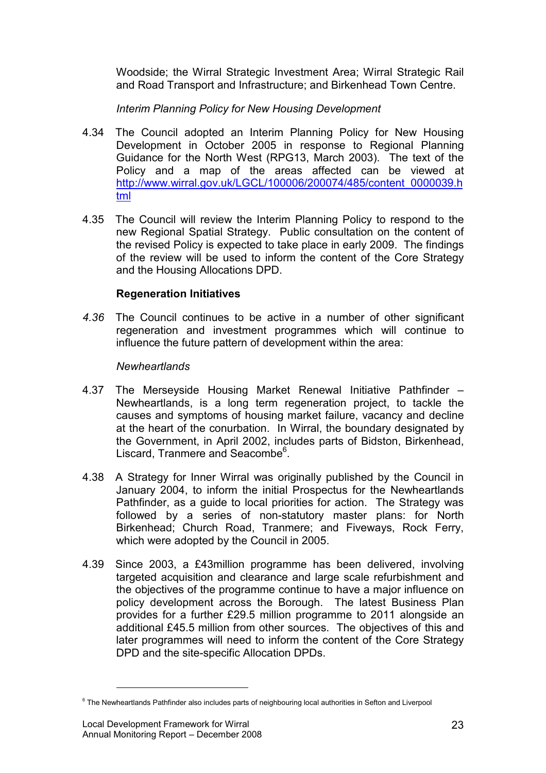Woodside; the Wirral Strategic Investment Area; Wirral Strategic Rail and Road Transport and Infrastructure; and Birkenhead Town Centre.

Interim Planning Policy for New Housing Development

- 4.34 The Council adopted an Interim Planning Policy for New Housing Development in October 2005 in response to Regional Planning Guidance for the North West (RPG13, March 2003). The text of the Policy and a map of the areas affected can be viewed at http://www.wirral.gov.uk/LGCL/100006/200074/485/content\_0000039.h tml
- 4.35 The Council will review the Interim Planning Policy to respond to the new Regional Spatial Strategy. Public consultation on the content of the revised Policy is expected to take place in early 2009. The findings of the review will be used to inform the content of the Core Strategy and the Housing Allocations DPD.

### Regeneration Initiatives

4.36 The Council continues to be active in a number of other significant regeneration and investment programmes which will continue to influence the future pattern of development within the area:

# Newheartlands

- 4.37 The Merseyside Housing Market Renewal Initiative Pathfinder Newheartlands, is a long term regeneration project, to tackle the causes and symptoms of housing market failure, vacancy and decline at the heart of the conurbation. In Wirral, the boundary designated by the Government, in April 2002, includes parts of Bidston, Birkenhead, Liscard, Tranmere and Seacombe<sup>6</sup>.
- 4.38 A Strategy for Inner Wirral was originally published by the Council in January 2004, to inform the initial Prospectus for the Newheartlands Pathfinder, as a guide to local priorities for action. The Strategy was followed by a series of non-statutory master plans: for North Birkenhead; Church Road, Tranmere; and Fiveways, Rock Ferry, which were adopted by the Council in 2005.
- 4.39 Since 2003, a £43million programme has been delivered, involving targeted acquisition and clearance and large scale refurbishment and the objectives of the programme continue to have a major influence on policy development across the Borough. The latest Business Plan provides for a further £29.5 million programme to 2011 alongside an additional £45.5 million from other sources. The objectives of this and later programmes will need to inform the content of the Core Strategy DPD and the site-specific Allocation DPDs.

1

<sup>&</sup>lt;sup>6</sup> The Newheartlands Pathfinder also includes parts of neighbouring local authorities in Sefton and Liverpool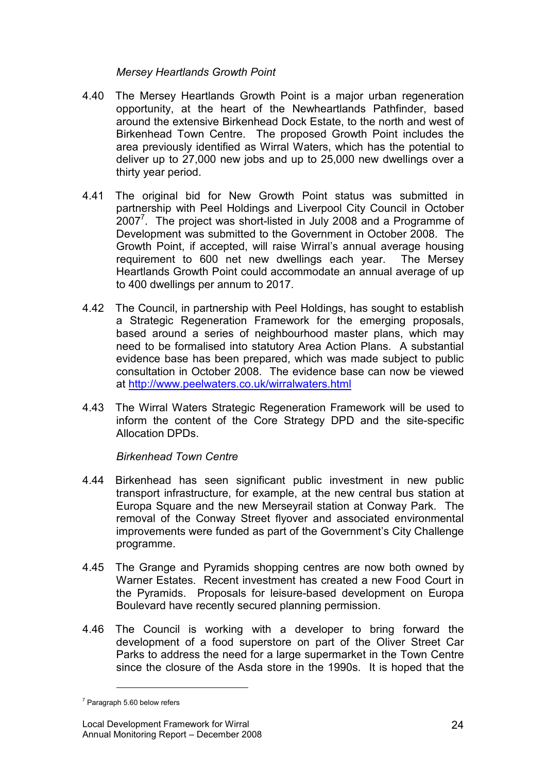### Mersey Heartlands Growth Point

- 4.40 The Mersey Heartlands Growth Point is a major urban regeneration opportunity, at the heart of the Newheartlands Pathfinder, based around the extensive Birkenhead Dock Estate, to the north and west of Birkenhead Town Centre. The proposed Growth Point includes the area previously identified as Wirral Waters, which has the potential to deliver up to 27,000 new jobs and up to 25,000 new dwellings over a thirty year period.
- 4.41 The original bid for New Growth Point status was submitted in partnership with Peel Holdings and Liverpool City Council in October  $2007<sup>7</sup>$ . The project was short-listed in July 2008 and a Programme of Development was submitted to the Government in October 2008. The Growth Point, if accepted, will raise Wirral's annual average housing requirement to 600 net new dwellings each year. The Mersey Heartlands Growth Point could accommodate an annual average of up to 400 dwellings per annum to 2017.
- 4.42 The Council, in partnership with Peel Holdings, has sought to establish a Strategic Regeneration Framework for the emerging proposals, based around a series of neighbourhood master plans, which may need to be formalised into statutory Area Action Plans. A substantial evidence base has been prepared, which was made subject to public consultation in October 2008. The evidence base can now be viewed at http://www.peelwaters.co.uk/wirralwaters.html
- 4.43 The Wirral Waters Strategic Regeneration Framework will be used to inform the content of the Core Strategy DPD and the site-specific Allocation DPDs.

### Birkenhead Town Centre

- 4.44 Birkenhead has seen significant public investment in new public transport infrastructure, for example, at the new central bus station at Europa Square and the new Merseyrail station at Conway Park. The removal of the Conway Street flyover and associated environmental improvements were funded as part of the Government's City Challenge programme.
- 4.45 The Grange and Pyramids shopping centres are now both owned by Warner Estates. Recent investment has created a new Food Court in the Pyramids. Proposals for leisure-based development on Europa Boulevard have recently secured planning permission.
- 4.46 The Council is working with a developer to bring forward the development of a food superstore on part of the Oliver Street Car Parks to address the need for a large supermarket in the Town Centre since the closure of the Asda store in the 1990s. It is hoped that the

1

 $7$  Paragraph 5.60 below refers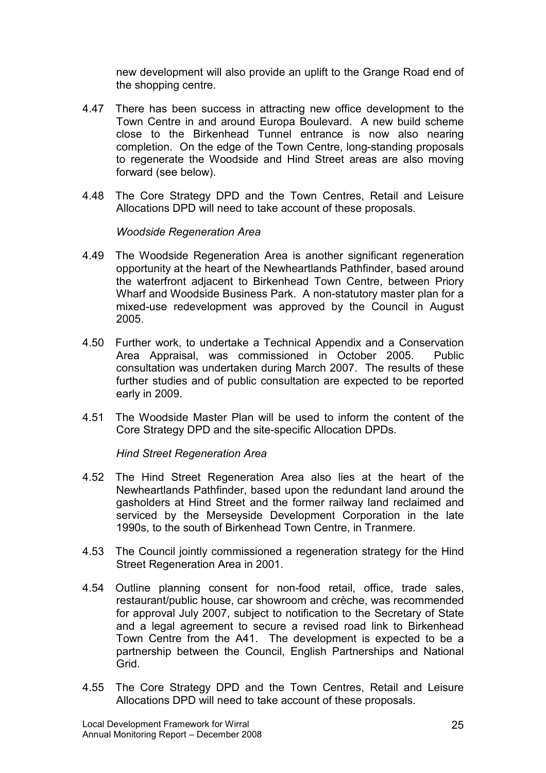new development will also provide an uplift to the Grange Road end of the shopping centre.

- 4.47 There has been success in attracting new office development to the Town Centre in and around Europa Boulevard. A new build scheme close to the Birkenhead Tunnel entrance is now also nearing completion. On the edge of the Town Centre, long-standing proposals to regenerate the Woodside and Hind Street areas are also moving forward (see below).
- 4.48 The Core Strategy DPD and the Town Centres, Retail and Leisure Allocations DPD will need to take account of these proposals.

Woodside Regeneration Area

- 4.49 The Woodside Regeneration Area is another significant regeneration opportunity at the heart of the Newheartlands Pathfinder, based around the waterfront adjacent to Birkenhead Town Centre, between Priory Wharf and Woodside Business Park. A non-statutory master plan for a mixed-use redevelopment was approved by the Council in August 2005.
- 4.50 Further work, to undertake a Technical Appendix and a Conservation Area Appraisal, was commissioned in October 2005. Public consultation was undertaken during March 2007. The results of these further studies and of public consultation are expected to be reported early in 2009.
- 4.51 The Woodside Master Plan will be used to inform the content of the Core Strategy DPD and the site-specific Allocation DPDs.

Hind Street Regeneration Area

- 4.52 The Hind Street Regeneration Area also lies at the heart of the Newheartlands Pathfinder, based upon the redundant land around the gasholders at Hind Street and the former railway land reclaimed and serviced by the Merseyside Development Corporation in the late 1990s, to the south of Birkenhead Town Centre, in Tranmere.
- 4.53 The Council jointly commissioned a regeneration strategy for the Hind Street Regeneration Area in 2001.
- 4.54 Outline planning consent for non-food retail, office, trade sales, restaurant/public house, car showroom and crèche, was recommended for approval July 2007, subject to notification to the Secretary of State and a legal agreement to secure a revised road link to Birkenhead Town Centre from the A41. The development is expected to be a partnership between the Council, English Partnerships and National Grid.
- 4.55 The Core Strategy DPD and the Town Centres, Retail and Leisure Allocations DPD will need to take account of these proposals.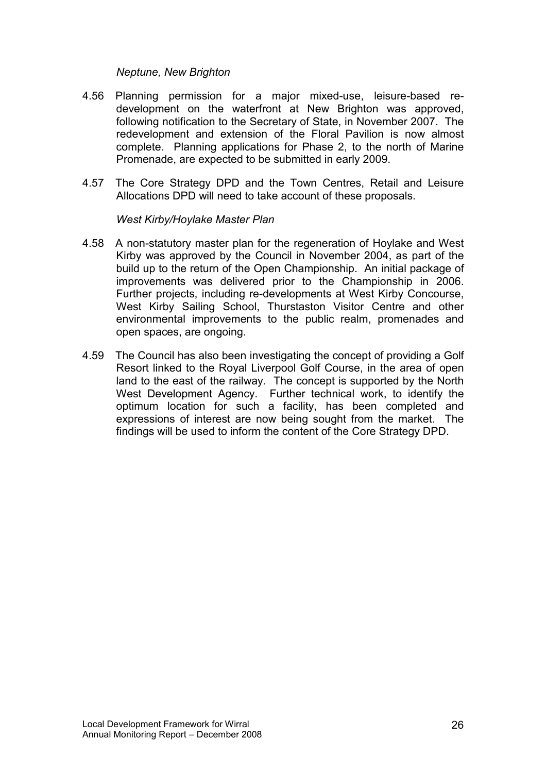#### Neptune, New Brighton

- 4.56 Planning permission for a major mixed-use, leisure-based redevelopment on the waterfront at New Brighton was approved, following notification to the Secretary of State, in November 2007. The redevelopment and extension of the Floral Pavilion is now almost complete. Planning applications for Phase 2, to the north of Marine Promenade, are expected to be submitted in early 2009.
- 4.57 The Core Strategy DPD and the Town Centres, Retail and Leisure Allocations DPD will need to take account of these proposals.

West Kirby/Hoylake Master Plan

- 4.58 A non-statutory master plan for the regeneration of Hoylake and West Kirby was approved by the Council in November 2004, as part of the build up to the return of the Open Championship. An initial package of improvements was delivered prior to the Championship in 2006. Further projects, including re-developments at West Kirby Concourse, West Kirby Sailing School, Thurstaston Visitor Centre and other environmental improvements to the public realm, promenades and open spaces, are ongoing.
- 4.59 The Council has also been investigating the concept of providing a Golf Resort linked to the Royal Liverpool Golf Course, in the area of open land to the east of the railway. The concept is supported by the North West Development Agency. Further technical work, to identify the optimum location for such a facility, has been completed and expressions of interest are now being sought from the market. The findings will be used to inform the content of the Core Strategy DPD.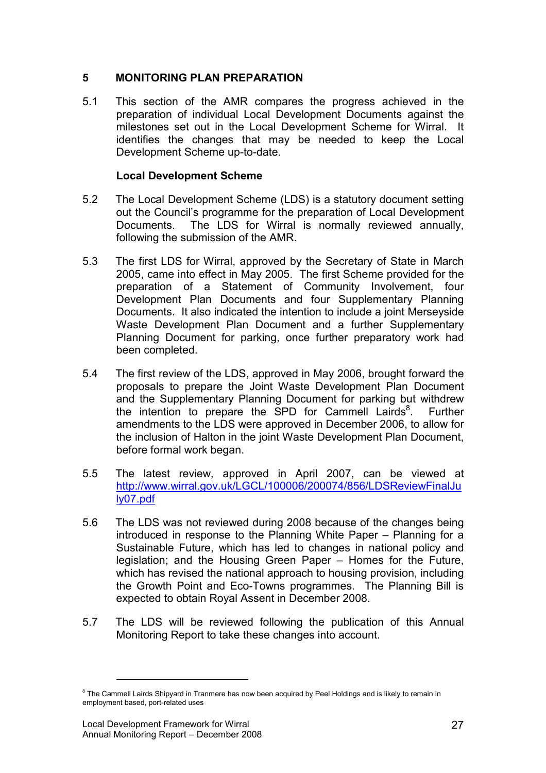### 5 MONITORING PLAN PREPARATION

5.1 This section of the AMR compares the progress achieved in the preparation of individual Local Development Documents against the milestones set out in the Local Development Scheme for Wirral. It identifies the changes that may be needed to keep the Local Development Scheme up-to-date.

### Local Development Scheme

- 5.2 The Local Development Scheme (LDS) is a statutory document setting out the Council's programme for the preparation of Local Development Documents. The LDS for Wirral is normally reviewed annually, following the submission of the AMR.
- 5.3 The first LDS for Wirral, approved by the Secretary of State in March 2005, came into effect in May 2005. The first Scheme provided for the preparation of a Statement of Community Involvement, four Development Plan Documents and four Supplementary Planning Documents. It also indicated the intention to include a joint Merseyside Waste Development Plan Document and a further Supplementary Planning Document for parking, once further preparatory work had been completed.
- 5.4 The first review of the LDS, approved in May 2006, brought forward the proposals to prepare the Joint Waste Development Plan Document and the Supplementary Planning Document for parking but withdrew the intention to prepare the SPD for Cammell Lairds $8$ . . Further amendments to the LDS were approved in December 2006, to allow for the inclusion of Halton in the joint Waste Development Plan Document, before formal work began.
- 5.5 The latest review, approved in April 2007, can be viewed at http://www.wirral.gov.uk/LGCL/100006/200074/856/LDSReviewFinalJu ly07.pdf
- 5.6 The LDS was not reviewed during 2008 because of the changes being introduced in response to the Planning White Paper – Planning for a Sustainable Future, which has led to changes in national policy and legislation; and the Housing Green Paper – Homes for the Future, which has revised the national approach to housing provision, including the Growth Point and Eco-Towns programmes. The Planning Bill is expected to obtain Royal Assent in December 2008.
- 5.7 The LDS will be reviewed following the publication of this Annual Monitoring Report to take these changes into account.

<u>.</u>

<sup>&</sup>lt;sup>8</sup> The Cammell Lairds Shipyard in Tranmere has now been acquired by Peel Holdings and is likely to remain in employment based, port-related uses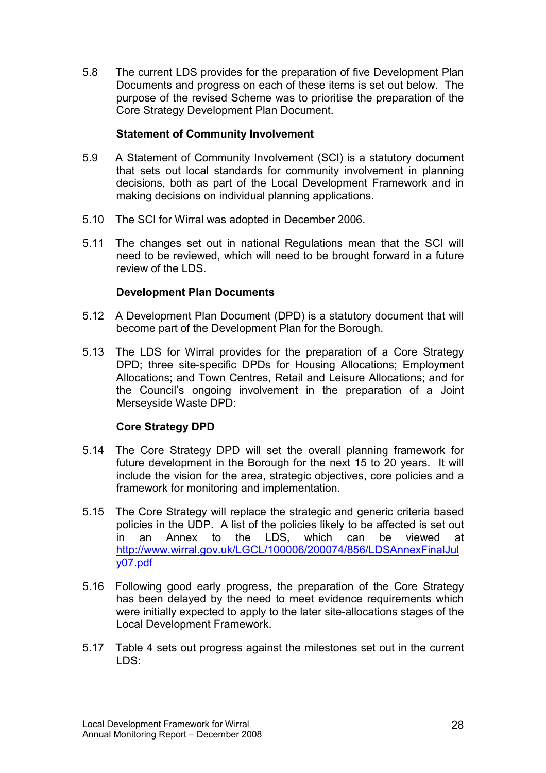5.8 The current LDS provides for the preparation of five Development Plan Documents and progress on each of these items is set out below. The purpose of the revised Scheme was to prioritise the preparation of the Core Strategy Development Plan Document.

### Statement of Community Involvement

- 5.9 A Statement of Community Involvement (SCI) is a statutory document that sets out local standards for community involvement in planning decisions, both as part of the Local Development Framework and in making decisions on individual planning applications.
- 5.10 The SCI for Wirral was adopted in December 2006.
- 5.11 The changes set out in national Regulations mean that the SCI will need to be reviewed, which will need to be brought forward in a future review of the LDS.

### Development Plan Documents

- 5.12 A Development Plan Document (DPD) is a statutory document that will become part of the Development Plan for the Borough.
- 5.13 The LDS for Wirral provides for the preparation of a Core Strategy DPD; three site-specific DPDs for Housing Allocations; Employment Allocations; and Town Centres, Retail and Leisure Allocations; and for the Council's ongoing involvement in the preparation of a Joint Merseyside Waste DPD:

### Core Strategy DPD

- 5.14 The Core Strategy DPD will set the overall planning framework for future development in the Borough for the next 15 to 20 years. It will include the vision for the area, strategic objectives, core policies and a framework for monitoring and implementation.
- 5.15 The Core Strategy will replace the strategic and generic criteria based policies in the UDP. A list of the policies likely to be affected is set out in an Annex to the LDS, which can be viewed at in an Annex to the LDS, which can be viewed at http://www.wirral.gov.uk/LGCL/100006/200074/856/LDSAnnexFinalJul y07.pdf
- 5.16 Following good early progress, the preparation of the Core Strategy has been delayed by the need to meet evidence requirements which were initially expected to apply to the later site-allocations stages of the Local Development Framework.
- 5.17 Table 4 sets out progress against the milestones set out in the current LDS: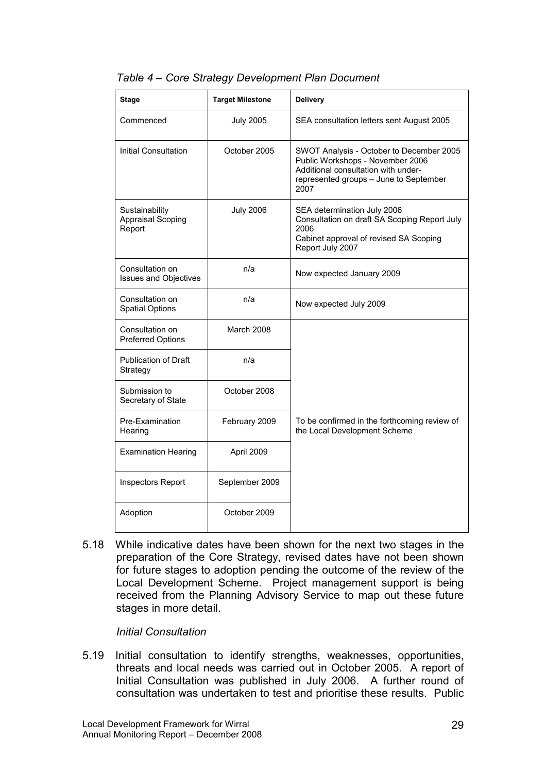| Stage                                                | <b>Target Milestone</b> | <b>Delivery</b>                                                                                                                                                       |  |
|------------------------------------------------------|-------------------------|-----------------------------------------------------------------------------------------------------------------------------------------------------------------------|--|
| Commenced                                            | <b>July 2005</b>        | SEA consultation letters sent August 2005                                                                                                                             |  |
| Initial Consultation                                 | October 2005            | SWOT Analysis - October to December 2005<br>Public Workshops - November 2006<br>Additional consultation with under-<br>represented groups - June to September<br>2007 |  |
| Sustainability<br><b>Appraisal Scoping</b><br>Report | <b>July 2006</b>        | SEA determination July 2006<br>Consultation on draft SA Scoping Report July<br>2006<br>Cabinet approval of revised SA Scoping<br>Report July 2007                     |  |
| Consultation on<br><b>Issues and Objectives</b>      | n/a                     | Now expected January 2009                                                                                                                                             |  |
| Consultation on<br><b>Spatial Options</b>            | n/a                     | Now expected July 2009                                                                                                                                                |  |
| Consultation on<br>Preferred Options                 | March 2008              |                                                                                                                                                                       |  |
| <b>Publication of Draft</b><br>Strategy              | n/a                     |                                                                                                                                                                       |  |
| Submission to<br>Secretary of State                  | October 2008            |                                                                                                                                                                       |  |
| Pre-Examination<br>Hearing                           | February 2009           | To be confirmed in the forthcoming review of<br>the Local Development Scheme                                                                                          |  |
| <b>Examination Hearing</b>                           | April 2009              |                                                                                                                                                                       |  |
| Inspectors Report                                    | September 2009          |                                                                                                                                                                       |  |
| Adoption                                             | October 2009            |                                                                                                                                                                       |  |

### Table 4 – Core Strategy Development Plan Document

5.18 While indicative dates have been shown for the next two stages in the preparation of the Core Strategy, revised dates have not been shown for future stages to adoption pending the outcome of the review of the Local Development Scheme. Project management support is being received from the Planning Advisory Service to map out these future stages in more detail.

### Initial Consultation

5.19 Initial consultation to identify strengths, weaknesses, opportunities, threats and local needs was carried out in October 2005. A report of Initial Consultation was published in July 2006. A further round of consultation was undertaken to test and prioritise these results. Public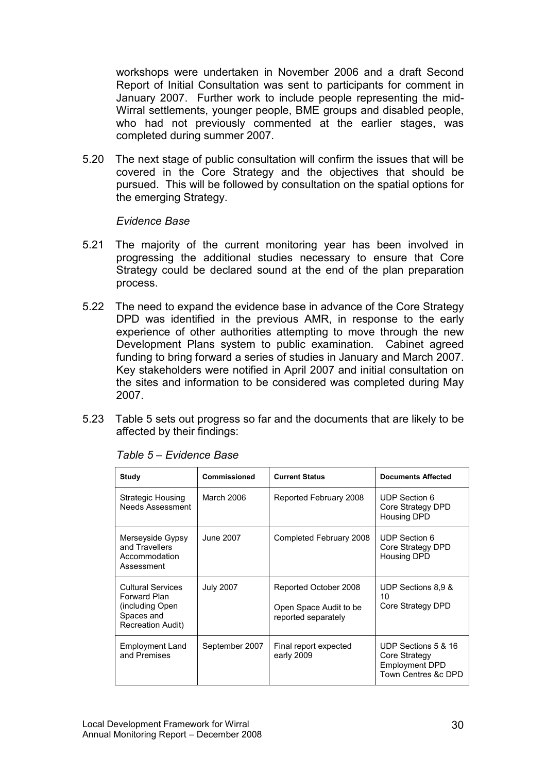workshops were undertaken in November 2006 and a draft Second Report of Initial Consultation was sent to participants for comment in January 2007. Further work to include people representing the mid-Wirral settlements, younger people, BME groups and disabled people, who had not previously commented at the earlier stages, was completed during summer 2007.

5.20 The next stage of public consultation will confirm the issues that will be covered in the Core Strategy and the objectives that should be pursued. This will be followed by consultation on the spatial options for the emerging Strategy.

#### Evidence Base

- 5.21 The majority of the current monitoring year has been involved in progressing the additional studies necessary to ensure that Core Strategy could be declared sound at the end of the plan preparation process.
- 5.22 The need to expand the evidence base in advance of the Core Strategy DPD was identified in the previous AMR, in response to the early experience of other authorities attempting to move through the new Development Plans system to public examination. Cabinet agreed funding to bring forward a series of studies in January and March 2007. Key stakeholders were notified in April 2007 and initial consultation on the sites and information to be considered was completed during May 2007.
- 5.23 Table 5 sets out progress so far and the documents that are likely to be affected by their findings:

| <b>Study</b>                                                                                           | Commissioned     | <b>Current Status</b>                                                  | <b>Documents Affected</b>                                                            |
|--------------------------------------------------------------------------------------------------------|------------------|------------------------------------------------------------------------|--------------------------------------------------------------------------------------|
| <b>Strategic Housing</b><br>Needs Assessment                                                           | March 2006       | Reported February 2008                                                 | UDP Section 6<br>Core Strategy DPD<br><b>Housing DPD</b>                             |
| Merseyside Gypsy<br>and Travellers<br>Accommodation<br>Assessment                                      | June 2007        | Completed February 2008                                                | <b>UDP Section 6</b><br>Core Strategy DPD<br><b>Housing DPD</b>                      |
| <b>Cultural Services</b><br>Forward Plan<br>(including Open)<br>Spaces and<br><b>Recreation Audit)</b> | <b>July 2007</b> | Reported October 2008<br>Open Space Audit to be<br>reported separately | UDP Sections 8.9 &<br>10<br>Core Strategy DPD                                        |
| <b>Employment Land</b><br>and Premises                                                                 | September 2007   | Final report expected<br>early 2009                                    | UDP Sections 5 & 16<br>Core Strategy<br><b>Employment DPD</b><br>Town Centres &c DPD |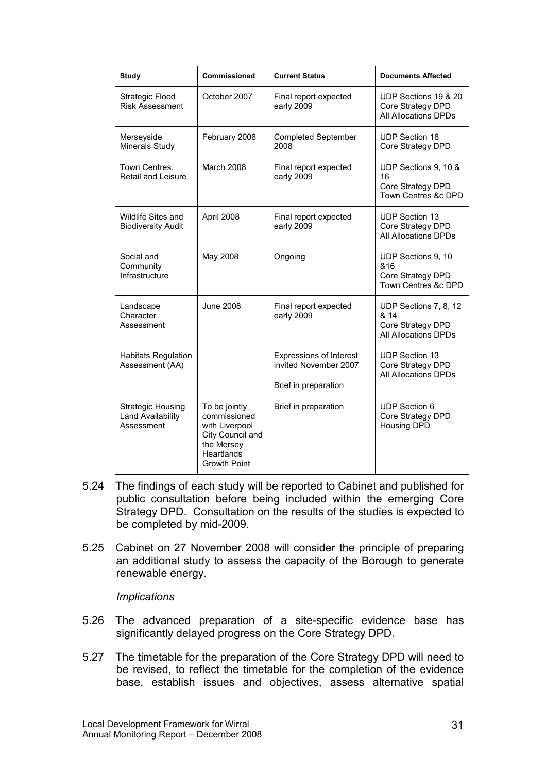| <b>Study</b>                                                | Commissioned                                                                                                           | <b>Current Status</b>                                                           | <b>Documents Affected</b>                                                  |
|-------------------------------------------------------------|------------------------------------------------------------------------------------------------------------------------|---------------------------------------------------------------------------------|----------------------------------------------------------------------------|
| Strategic Flood<br><b>Risk Assessment</b>                   | October 2007                                                                                                           | Final report expected<br>early 2009                                             | UDP Sections 19 & 20<br>Core Strategy DPD<br>All Allocations DPDs          |
| Merseyside<br>Minerals Study                                | February 2008                                                                                                          | <b>Completed September</b><br>2008                                              | <b>UDP Section 18</b><br>Core Strategy DPD                                 |
| Town Centres,<br>Retail and Leisure                         | <b>March 2008</b>                                                                                                      | Final report expected<br>early 2009                                             | UDP Sections 9, 10 &<br>16<br>Core Strategy DPD<br>Town Centres &c DPD     |
| <b>Wildlife Sites and</b><br><b>Biodiversity Audit</b>      | April 2008                                                                                                             | Final report expected<br>early 2009                                             | <b>UDP Section 13</b><br>Core Strategy DPD<br><b>All Allocations DPDs</b>  |
| Social and<br>Community<br>Infrastructure                   | May 2008                                                                                                               | Ongoing                                                                         | UDP Sections 9, 10<br>&16<br>Core Strategy DPD<br>Town Centres &c DPD      |
| Landscape<br>Character<br>Assessment                        | <b>June 2008</b>                                                                                                       | Final report expected<br>early 2009                                             | UDP Sections 7, 8, 12<br>& 14<br>Core Strategy DPD<br>All Allocations DPDs |
| <b>Habitats Regulation</b><br>Assessment (AA)               |                                                                                                                        | <b>Expressions of Interest</b><br>invited November 2007<br>Brief in preparation | UDP Section 13<br>Core Strategy DPD<br><b>All Allocations DPDs</b>         |
| <b>Strategic Housing</b><br>Land Availability<br>Assessment | To be jointly<br>commissioned<br>with Liverpool<br>City Council and<br>the Mersey<br>Heartlands<br><b>Growth Point</b> | Brief in preparation                                                            | <b>UDP Section 6</b><br>Core Strategy DPD<br>Housing DPD                   |

- 5.24 The findings of each study will be reported to Cabinet and published for public consultation before being included within the emerging Core Strategy DPD. Consultation on the results of the studies is expected to be completed by mid-2009.
- 5.25 Cabinet on 27 November 2008 will consider the principle of preparing an additional study to assess the capacity of the Borough to generate renewable energy.

### **Implications**

- 5.26 The advanced preparation of a site-specific evidence base has significantly delayed progress on the Core Strategy DPD.
- 5.27 The timetable for the preparation of the Core Strategy DPD will need to be revised, to reflect the timetable for the completion of the evidence base, establish issues and objectives, assess alternative spatial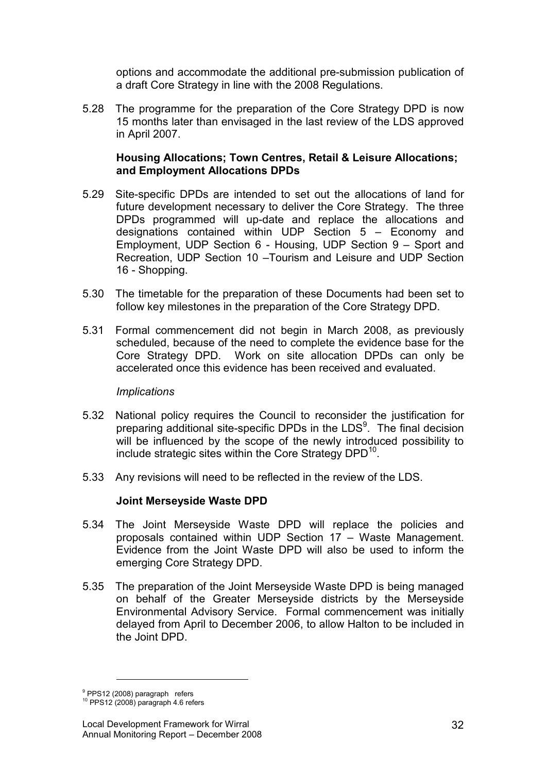options and accommodate the additional pre-submission publication of a draft Core Strategy in line with the 2008 Regulations.

5.28 The programme for the preparation of the Core Strategy DPD is now 15 months later than envisaged in the last review of the LDS approved in April 2007.

### Housing Allocations; Town Centres, Retail & Leisure Allocations; and Employment Allocations DPDs

- 5.29 Site-specific DPDs are intended to set out the allocations of land for future development necessary to deliver the Core Strategy. The three DPDs programmed will up-date and replace the allocations and designations contained within UDP Section 5 – Economy and Employment, UDP Section 6 - Housing, UDP Section 9 – Sport and Recreation, UDP Section 10 –Tourism and Leisure and UDP Section 16 - Shopping.
- 5.30 The timetable for the preparation of these Documents had been set to follow key milestones in the preparation of the Core Strategy DPD.
- 5.31 Formal commencement did not begin in March 2008, as previously scheduled, because of the need to complete the evidence base for the Core Strategy DPD. Work on site allocation DPDs can only be accelerated once this evidence has been received and evaluated.

#### **Implications**

- 5.32 National policy requires the Council to reconsider the justification for preparing additional site-specific DPDs in the LDS<sup>9</sup>. The final decision will be influenced by the scope of the newly introduced possibility to include strategic sites within the Core Strategy DPD $^{10}$ .
- 5.33 Any revisions will need to be reflected in the review of the LDS.

### Joint Merseyside Waste DPD

- 5.34 The Joint Merseyside Waste DPD will replace the policies and proposals contained within UDP Section 17 – Waste Management. Evidence from the Joint Waste DPD will also be used to inform the emerging Core Strategy DPD.
- 5.35 The preparation of the Joint Merseyside Waste DPD is being managed on behalf of the Greater Merseyside districts by the Merseyside Environmental Advisory Service. Formal commencement was initially delayed from April to December 2006, to allow Halton to be included in the Joint DPD.

<u>.</u>

<sup>&</sup>lt;sup>9</sup> PPS12 (2008) paragraph refers<br><sup>10</sup> PPS12 (2008) paragraph 4.6 refers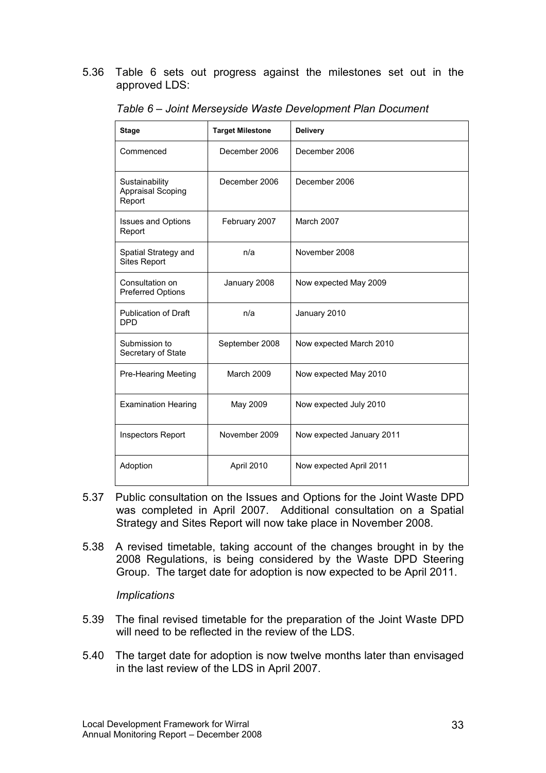#### 5.36 Table 6 sets out progress against the milestones set out in the approved LDS:

| <b>Stage</b>                                         | <b>Target Milestone</b> | <b>Delivery</b>           |  |
|------------------------------------------------------|-------------------------|---------------------------|--|
| Commenced                                            | December 2006           | December 2006             |  |
| Sustainability<br><b>Appraisal Scoping</b><br>Report | December 2006           | December 2006             |  |
| <b>Issues and Options</b><br>Report                  | February 2007           | March 2007                |  |
| Spatial Strategy and<br><b>Sites Report</b>          | n/a                     | November 2008             |  |
| Consultation on<br>Preferred Options                 | January 2008            | Now expected May 2009     |  |
| <b>Publication of Draft</b><br><b>DPD</b>            | n/a                     | January 2010              |  |
| Submission to<br>Secretary of State                  | September 2008          | Now expected March 2010   |  |
| Pre-Hearing Meeting                                  | <b>March 2009</b>       | Now expected May 2010     |  |
| <b>Examination Hearing</b>                           | May 2009                | Now expected July 2010    |  |
| <b>Inspectors Report</b>                             | November 2009           | Now expected January 2011 |  |
| Adoption                                             | April 2010              | Now expected April 2011   |  |

Table 6 – Joint Merseyside Waste Development Plan Document

- 5.37 Public consultation on the Issues and Options for the Joint Waste DPD was completed in April 2007. Additional consultation on a Spatial Strategy and Sites Report will now take place in November 2008.
- 5.38 A revised timetable, taking account of the changes brought in by the 2008 Regulations, is being considered by the Waste DPD Steering Group. The target date for adoption is now expected to be April 2011.

### **Implications**

- 5.39 The final revised timetable for the preparation of the Joint Waste DPD will need to be reflected in the review of the LDS.
- 5.40 The target date for adoption is now twelve months later than envisaged in the last review of the LDS in April 2007.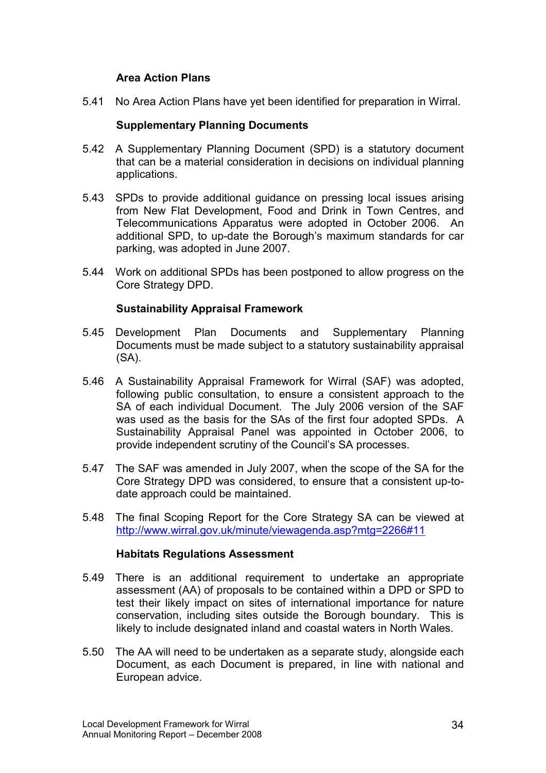### Area Action Plans

5.41 No Area Action Plans have yet been identified for preparation in Wirral.

### Supplementary Planning Documents

- 5.42 A Supplementary Planning Document (SPD) is a statutory document that can be a material consideration in decisions on individual planning applications.
- 5.43 SPDs to provide additional guidance on pressing local issues arising from New Flat Development, Food and Drink in Town Centres, and Telecommunications Apparatus were adopted in October 2006. An additional SPD, to up-date the Borough's maximum standards for car parking, was adopted in June 2007.
- 5.44 Work on additional SPDs has been postponed to allow progress on the Core Strategy DPD.

### Sustainability Appraisal Framework

- 5.45 Development Plan Documents and Supplementary Planning Documents must be made subject to a statutory sustainability appraisal  $(SA)$ .
- 5.46 A Sustainability Appraisal Framework for Wirral (SAF) was adopted, following public consultation, to ensure a consistent approach to the SA of each individual Document. The July 2006 version of the SAF was used as the basis for the SAs of the first four adopted SPDs. A Sustainability Appraisal Panel was appointed in October 2006, to provide independent scrutiny of the Council's SA processes.
- 5.47 The SAF was amended in July 2007, when the scope of the SA for the Core Strategy DPD was considered, to ensure that a consistent up-todate approach could be maintained.
- 5.48 The final Scoping Report for the Core Strategy SA can be viewed at http://www.wirral.gov.uk/minute/viewagenda.asp?mtg=2266#11

### Habitats Regulations Assessment

- 5.49 There is an additional requirement to undertake an appropriate assessment (AA) of proposals to be contained within a DPD or SPD to test their likely impact on sites of international importance for nature conservation, including sites outside the Borough boundary. This is likely to include designated inland and coastal waters in North Wales.
- 5.50 The AA will need to be undertaken as a separate study, alongside each Document, as each Document is prepared, in line with national and European advice.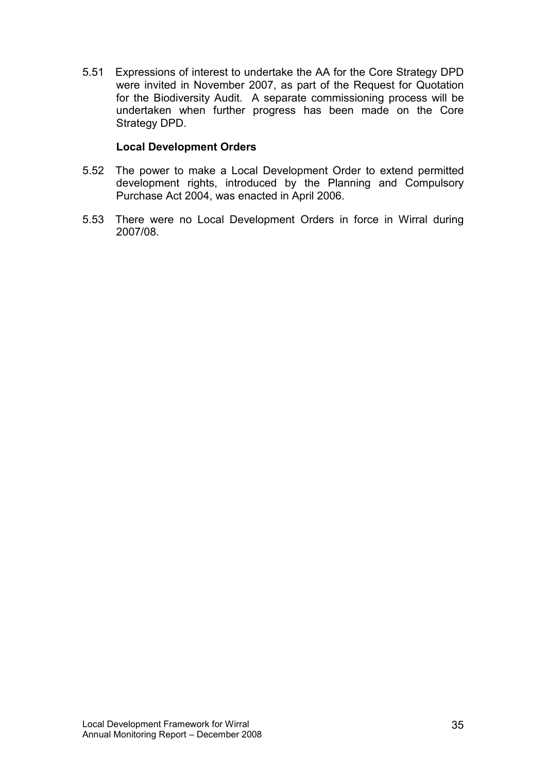5.51 Expressions of interest to undertake the AA for the Core Strategy DPD were invited in November 2007, as part of the Request for Quotation for the Biodiversity Audit. A separate commissioning process will be undertaken when further progress has been made on the Core Strategy DPD.

### Local Development Orders

- 5.52 The power to make a Local Development Order to extend permitted development rights, introduced by the Planning and Compulsory Purchase Act 2004, was enacted in April 2006.
- 5.53 There were no Local Development Orders in force in Wirral during 2007/08.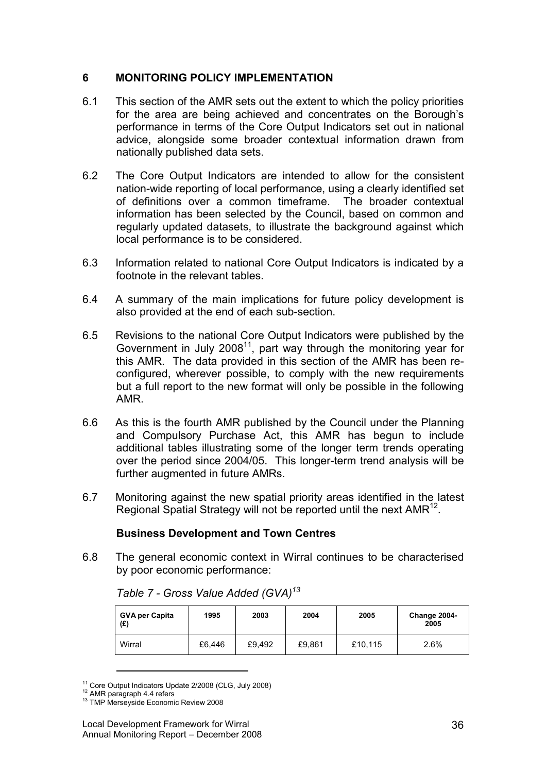### 6 MONITORING POLICY IMPLEMENTATION

- 6.1 This section of the AMR sets out the extent to which the policy priorities for the area are being achieved and concentrates on the Borough's performance in terms of the Core Output Indicators set out in national advice, alongside some broader contextual information drawn from nationally published data sets.
- 6.2 The Core Output Indicators are intended to allow for the consistent nation-wide reporting of local performance, using a clearly identified set of definitions over a common timeframe. The broader contextual information has been selected by the Council, based on common and regularly updated datasets, to illustrate the background against which local performance is to be considered.
- 6.3 Information related to national Core Output Indicators is indicated by a footnote in the relevant tables.
- 6.4 A summary of the main implications for future policy development is also provided at the end of each sub-section.
- 6.5 Revisions to the national Core Output Indicators were published by the Government in July  $2008^{11}$ , part way through the monitoring year for this AMR. The data provided in this section of the AMR has been reconfigured, wherever possible, to comply with the new requirements but a full report to the new format will only be possible in the following AMR.
- 6.6 As this is the fourth AMR published by the Council under the Planning and Compulsory Purchase Act, this AMR has begun to include additional tables illustrating some of the longer term trends operating over the period since 2004/05. This longer-term trend analysis will be further augmented in future AMRs.
- 6.7 Monitoring against the new spatial priority areas identified in the latest Regional Spatial Strategy will not be reported until the next AMR<sup>12</sup>.

### Business Development and Town Centres

6.8 The general economic context in Wirral continues to be characterised by poor economic performance:

| <b>GVA per Capita</b><br>(E) | 1995   | 2003   | 2004   | 2005    | Change 2004-<br>2005 |
|------------------------------|--------|--------|--------|---------|----------------------|
| Wirral                       | £6.446 | £9,492 | £9,861 | £10,115 | 2.6%                 |

Table 7 - Gross Value Added (GVA)<sup>13</sup>

1

<sup>11</sup> Core Output Indicators Update 2/2008 (CLG, July 2008)

<sup>&</sup>lt;sup>12</sup> AMR paragraph 4.4 refers

<sup>&</sup>lt;sup>13</sup> TMP Merseyside Economic Review 2008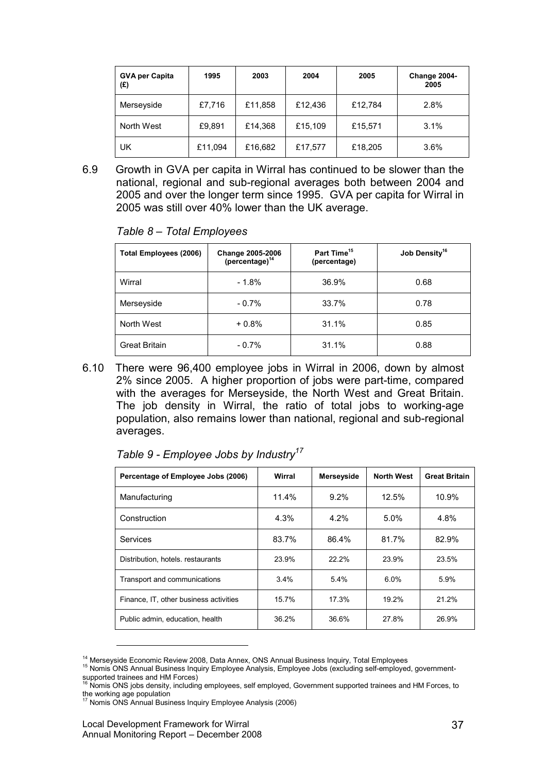| <b>GVA per Capita</b><br>(£) | 1995    | 2003    | 2004    | 2005    | Change 2004-<br>2005 |
|------------------------------|---------|---------|---------|---------|----------------------|
| Merseyside                   | £7,716  | £11,858 | £12,436 | £12,784 | 2.8%                 |
| North West                   | £9,891  | £14,368 | £15,109 | £15,571 | 3.1%                 |
| UK                           | £11,094 | £16,682 | £17,577 | £18,205 | 3.6%                 |

6.9 Growth in GVA per capita in Wirral has continued to be slower than the national, regional and sub-regional averages both between 2004 and 2005 and over the longer term since 1995. GVA per capita for Wirral in 2005 was still over 40% lower than the UK average.

| Table 8 - Total Employees |  |  |
|---------------------------|--|--|
|---------------------------|--|--|

| <b>Total Employees (2006)</b> | <b>Change 2005-2006</b><br>(percentage) <sup>14</sup> | Part Time <sup>15</sup><br>(percentage) | Job Density <sup>16</sup> |
|-------------------------------|-------------------------------------------------------|-----------------------------------------|---------------------------|
| Wirral                        | $-1.8%$                                               | 36.9%                                   | 0.68                      |
| Merseyside                    | $-0.7\%$                                              | 33.7%                                   | 0.78                      |
| North West                    | $+0.8%$                                               | 31.1%                                   | 0.85                      |
| <b>Great Britain</b>          | $-0.7\%$                                              | 31.1%                                   | 0.88                      |

6.10 There were 96,400 employee jobs in Wirral in 2006, down by almost 2% since 2005. A higher proportion of jobs were part-time, compared with the averages for Merseyside, the North West and Great Britain. The job density in Wirral, the ratio of total jobs to working-age population, also remains lower than national, regional and sub-regional averages.

| Percentage of Employee Jobs (2006)     | Wirral  | Merseyside | <b>North West</b> | <b>Great Britain</b> |
|----------------------------------------|---------|------------|-------------------|----------------------|
| Manufacturing                          | 11.4%   | 9.2%       | 12.5%             | 10.9%                |
| Construction                           | 4.3%    | 4.2%       | 5.0%              | 4.8%                 |
| Services                               | 83.7%   | 86.4%      | 81.7%             | 82.9%                |
| Distribution, hotels, restaurants      | 23.9%   | 22.2%      | 23.9%             | 23.5%                |
| Transport and communications           | $3.4\%$ | 5.4%       | 6.0%              | 5.9%                 |
| Finance, IT, other business activities | 15.7%   | 17.3%      | 19.2%             | 21.2%                |
| Public admin, education, health        | 36.2%   | 36.6%      | 27.8%             | 26.9%                |

|  |  |  | Table 9 - Employee Jobs by Industry <sup>17</sup> |
|--|--|--|---------------------------------------------------|
|--|--|--|---------------------------------------------------|

<sup>&</sup>lt;sup>14</sup> Mersevside Economic Review 2008, Data Annex, ONS Annual Business Inquiry, Total Employees

<sup>15</sup> Nomis ONS Annual Business Inquiry Employee Analysis, Employee Jobs (excluding self-employed, governmentsupported trainees and HM Forces)<br><sup>16</sup> Nomis ONS jobs density, including employees, self employed, Government supported trainees and HM Forces, to

the working age population<br><sup>17</sup> Nomis ONS Annual Business Inquiry Employee Analysis (2006)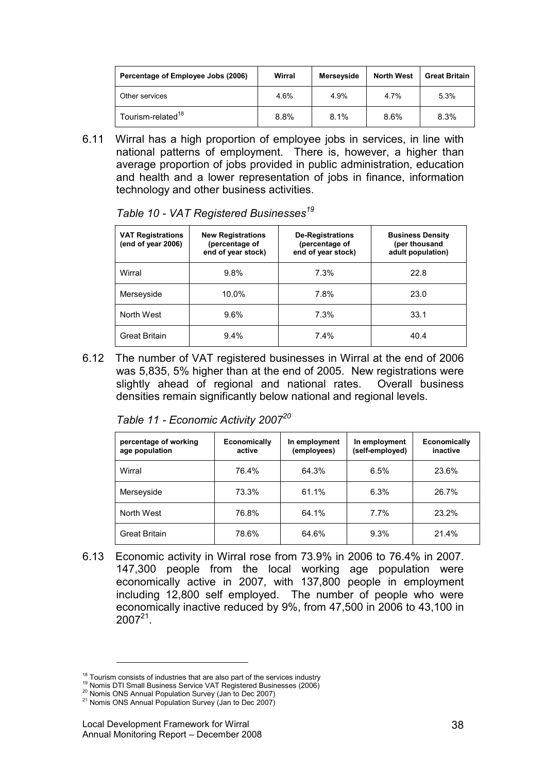| Percentage of Employee Jobs (2006) | Wirral | Merseyside | <b>North West</b> | <b>Great Britain</b> |
|------------------------------------|--------|------------|-------------------|----------------------|
| Other services                     | 4.6%   | 4.9%       | 4.7%              | 5.3%                 |
| Tourism-related <sup>18</sup>      | 8.8%   | 8.1%       | 8.6%              | 8.3%                 |

6.11 Wirral has a high proportion of employee jobs in services, in line with national patterns of employment. There is, however, a higher than average proportion of jobs provided in public administration, education and health and a lower representation of jobs in finance, information technology and other business activities.

| <b>VAT Registrations</b><br>(end of year 2006) | <b>New Registrations</b><br>(percentage of<br>end of year stock) | <b>De-Registrations</b><br>(percentage of<br>end of year stock) | <b>Business Density</b><br>(per thousand<br>adult population) |
|------------------------------------------------|------------------------------------------------------------------|-----------------------------------------------------------------|---------------------------------------------------------------|
| Wirral                                         | 9.8%                                                             | 7.3%                                                            | 22.8                                                          |
| Merseyside                                     | 10.0%                                                            | 7.8%                                                            | 23.0                                                          |
| North West                                     | 9.6%                                                             | 7.3%                                                            | 33.1                                                          |
| Great Britain                                  | 9.4%                                                             | 7.4%                                                            | 40.4                                                          |

Table 10 - VAT Registered Businesses<sup>19</sup>

6.12 The number of VAT registered businesses in Wirral at the end of 2006 was 5,835, 5% higher than at the end of 2005. New registrations were slightly ahead of regional and national rates. Overall business densities remain significantly below national and regional levels.

| percentage of working<br>age population | Economically<br>active | In employment<br>(employees) | In employment<br>(self-employed) | <b>Economically</b><br>inactive |
|-----------------------------------------|------------------------|------------------------------|----------------------------------|---------------------------------|
| Wirral                                  | 76.4%                  | 64.3%                        | 6.5%                             | 23.6%                           |
| Merseyside                              | 73.3%                  | 61.1%                        | 6.3%                             | 26.7%                           |
| North West                              | 76.8%                  | 64.1%                        | $7.7\%$                          | 23.2%                           |
|                                         |                        |                              |                                  |                                 |

Great Britain 1 78.6% 64.6% 9.3% 21.4%

|  | Table 11 - Economic Activity 2007 <sup>20</sup> |  |  |
|--|-------------------------------------------------|--|--|
|--|-------------------------------------------------|--|--|

6.13 Economic activity in Wirral rose from 73.9% in 2006 to 76.4% in 2007. 147,300 people from the local working age population were economically active in 2007, with 137,800 people in employment including 12,800 self employed. The number of people who were economically inactive reduced by 9%, from 47,500 in 2006 to 43,100 in  $2007^{21}$ .

 $18$  Tourism consists of industries that are also part of the services industry

<sup>19</sup> Nomis DTI Small Business Service VAT Registered Businesses (2006)

<sup>20</sup> Nomis ONS Annual Population Survey (Jan to Dec 2007) <sup>21</sup> Nomis ONS Annual Population Survey (Jan to Dec 2007)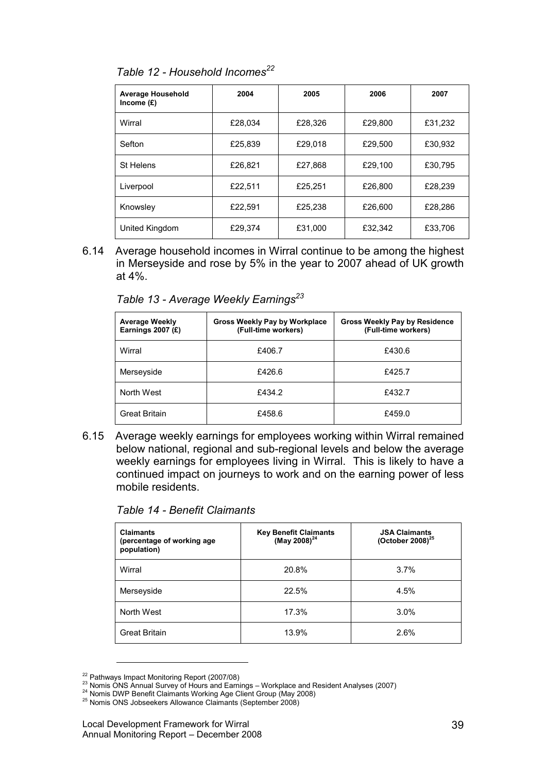| <b>Average Household</b><br>Income $(E)$ | 2004    | 2005    | 2006    | 2007    |
|------------------------------------------|---------|---------|---------|---------|
| Wirral                                   | £28.034 | £28.326 | £29.800 | £31,232 |
| Sefton                                   | £25.839 | £29.018 | £29.500 | £30.932 |
| St Helens                                | £26.821 | £27.868 | £29.100 | £30.795 |
| Liverpool                                | £22.511 | £25.251 | £26,800 | £28.239 |
| Knowsley                                 | £22.591 | £25.238 | £26,600 | £28.286 |
| United Kingdom                           | £29.374 | £31.000 | £32.342 | £33.706 |

Table 12 - Household Incomes<sup>22</sup>

6.14 Average household incomes in Wirral continue to be among the highest in Merseyside and rose by 5% in the year to 2007 ahead of UK growth at 4%.

Table 13 - Average Weekly Earnings<sup>23</sup>

| <b>Average Weekly</b><br>Earnings 2007 $(E)$ | Gross Weekly Pay by Workplace<br>(Full-time workers) | <b>Gross Weekly Pay by Residence</b><br>(Full-time workers) |
|----------------------------------------------|------------------------------------------------------|-------------------------------------------------------------|
| Wirral                                       | £406.7                                               | £430.6                                                      |
| Merseyside                                   | £426.6                                               | £425.7                                                      |
| North West                                   | £434.2                                               | £432.7                                                      |
| Great Britain                                | £458.6                                               | £459.0                                                      |

6.15 Average weekly earnings for employees working within Wirral remained below national, regional and sub-regional levels and below the average weekly earnings for employees living in Wirral. This is likely to have a continued impact on journeys to work and on the earning power of less mobile residents.

| Table 14 - Benefit Claimants |
|------------------------------|
|------------------------------|

| <b>Claimants</b><br>(percentage of working age<br>population) | Key Benefit Claimants<br>(May 2008) <sup>24</sup> | <b>JSA Claimants</b><br>(October 2008) $^{25}$ |
|---------------------------------------------------------------|---------------------------------------------------|------------------------------------------------|
| Wirral                                                        | 20.8%                                             | 3.7%                                           |
| Merseyside                                                    | 22.5%                                             | 4.5%                                           |
| North West                                                    | 17.3%                                             | 3.0%                                           |
| <b>Great Britain</b>                                          | 13.9%                                             | 2.6%                                           |

<sup>&</sup>lt;sup>22</sup> Pathways Impact Monitoring Report (2007/08)

 $^{23}$  Nomis ONS Annual Survey of Hours and Earnings – Workplace and Resident Analyses (2007)

<sup>&</sup>lt;sup>24</sup> Nomis DWP Benefit Claimants Working Age Client Group (May 2008)

 $25$  Nomis ONS Jobseekers Allowance Claimants (September 2008)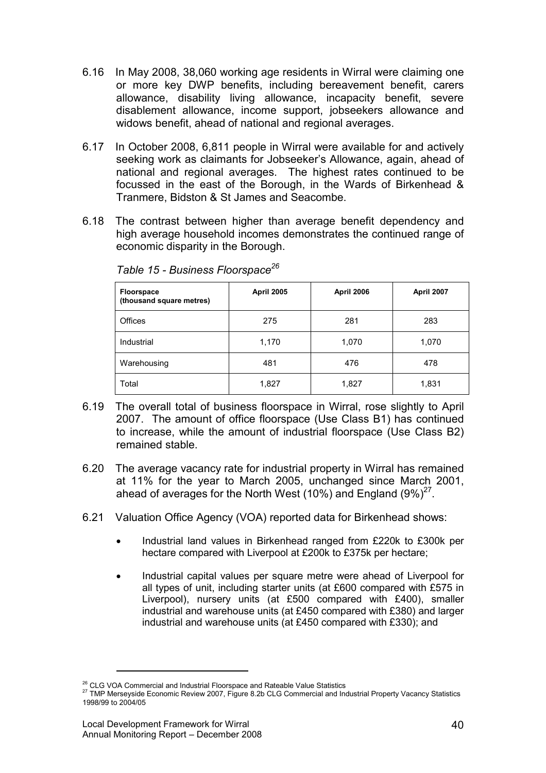- 6.16 In May 2008, 38,060 working age residents in Wirral were claiming one or more key DWP benefits, including bereavement benefit, carers allowance, disability living allowance, incapacity benefit, severe disablement allowance, income support, jobseekers allowance and widows benefit, ahead of national and regional averages.
- 6.17 In October 2008, 6,811 people in Wirral were available for and actively seeking work as claimants for Jobseeker's Allowance, again, ahead of national and regional averages. The highest rates continued to be focussed in the east of the Borough, in the Wards of Birkenhead & Tranmere, Bidston & St James and Seacombe.
- 6.18 The contrast between higher than average benefit dependency and high average household incomes demonstrates the continued range of economic disparity in the Borough.

| <b>Floorspace</b><br>(thousand square metres) | <b>April 2005</b> | <b>April 2006</b> | April 2007 |
|-----------------------------------------------|-------------------|-------------------|------------|
| Offices                                       | 275               | 281               | 283        |
| Industrial                                    | 1,170             | 1,070             | 1,070      |
| Warehousing                                   | 481               | 476               | 478        |
| Total                                         | 1,827             | 1,827             | 1,831      |

Table 15 - Business Floorspace<sup>26</sup>

- 6.19 The overall total of business floorspace in Wirral, rose slightly to April 2007. The amount of office floorspace (Use Class B1) has continued to increase, while the amount of industrial floorspace (Use Class B2) remained stable.
- 6.20 The average vacancy rate for industrial property in Wirral has remained at 11% for the year to March 2005, unchanged since March 2001, ahead of averages for the North West (10%) and England  $(9\%)^{27}$ .
- 6.21 Valuation Office Agency (VOA) reported data for Birkenhead shows:
	- Industrial land values in Birkenhead ranged from £220k to £300k per hectare compared with Liverpool at £200k to £375k per hectare;
	- Industrial capital values per square metre were ahead of Liverpool for all types of unit, including starter units (at £600 compared with £575 in Liverpool), nursery units (at £500 compared with £400), smaller industrial and warehouse units (at £450 compared with £380) and larger industrial and warehouse units (at £450 compared with £330); and

<sup>&</sup>lt;sup>26</sup> CLG VOA Commercial and Industrial Floorspace and Rateable Value Statistics

<sup>27</sup> TMP Merseyside Economic Review 2007, Figure 8.2b CLG Commercial and Industrial Property Vacancy Statistics 1998/99 to 2004/05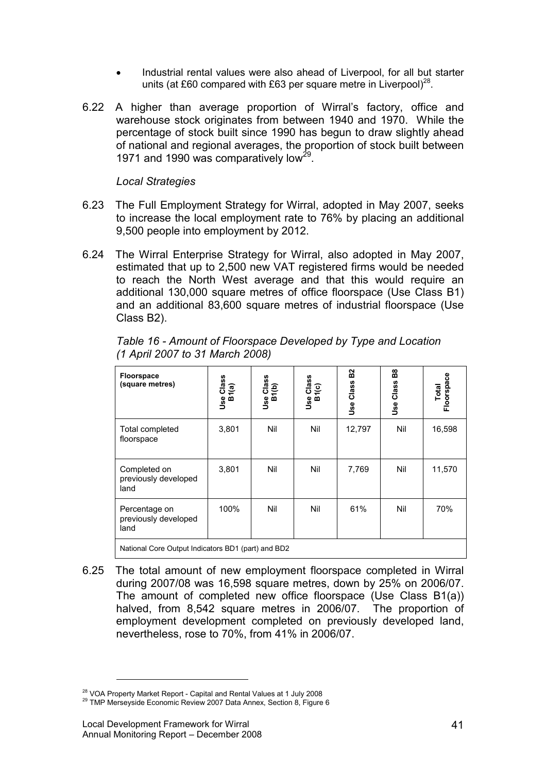- Industrial rental values were also ahead of Liverpool, for all but starter units (at £60 compared with £63 per square metre in Liverpool)<sup>28</sup>.
- 6.22 A higher than average proportion of Wirral's factory, office and warehouse stock originates from between 1940 and 1970. While the percentage of stock built since 1990 has begun to draw slightly ahead of national and regional averages, the proportion of stock built between 1971 and 1990 was comparatively low<sup>29</sup>.

#### Local Strategies

- 6.23 The Full Employment Strategy for Wirral, adopted in May 2007, seeks to increase the local employment rate to 76% by placing an additional 9,500 people into employment by 2012.
- 6.24 The Wirral Enterprise Strategy for Wirral, also adopted in May 2007, estimated that up to 2,500 new VAT registered firms would be needed to reach the North West average and that this would require an additional 130,000 square metres of office floorspace (Use Class B1) and an additional 83,600 square metres of industrial floorspace (Use Class B2).

| <b>Floorspace</b><br>(square metres)               | Use Class<br>B1(a) | se Class<br>B1(b)<br>وول | Class<br>1(c)<br>ò<br>Jse | B <sub>2</sub><br>Class<br>Use | <u>ន</u><br>Class<br><b>Jse</b> | Floorspace<br>Total |  |
|----------------------------------------------------|--------------------|--------------------------|---------------------------|--------------------------------|---------------------------------|---------------------|--|
| Total completed<br>floorspace                      | 3,801              | Nil                      | Nil                       | 12,797                         | Nil                             | 16,598              |  |
| Completed on<br>previously developed<br>land       | 3,801              | Nil                      | Nil                       | 7,769                          | Nil                             | 11,570              |  |
| Percentage on<br>previously developed<br>land      | 100%               | Nil                      | Nil                       | 61%                            | Nil                             | 70%                 |  |
| National Core Output Indicators BD1 (part) and BD2 |                    |                          |                           |                                |                                 |                     |  |

Table 16 - Amount of Floorspace Developed by Type and Location (1 April 2007 to 31 March 2008)

6.25 The total amount of new employment floorspace completed in Wirral during 2007/08 was 16,598 square metres, down by 25% on 2006/07. The amount of completed new office floorspace (Use Class B1(a)) halved, from 8,542 square metres in 2006/07. The proportion of employment development completed on previously developed land, nevertheless, rose to 70%, from 41% in 2006/07.

<sup>&</sup>lt;sup>28</sup> VOA Property Market Report - Capital and Rental Values at 1 July 2008

<sup>&</sup>lt;sup>29</sup> TMP Merseyside Economic Review 2007 Data Annex, Section 8, Figure 6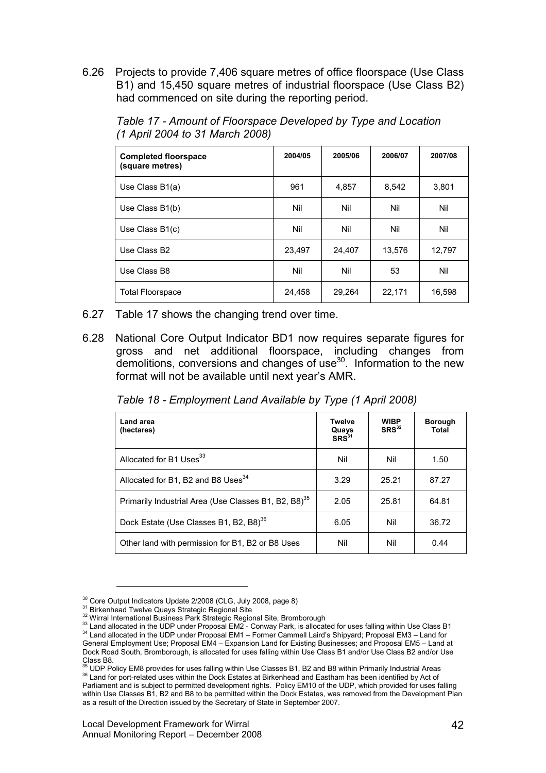6.26 Projects to provide 7,406 square metres of office floorspace (Use Class B1) and 15,450 square metres of industrial floorspace (Use Class B2) had commenced on site during the reporting period.

Completed floorspace (square metres) 2004/05 2005/06 2006/07 2007/08 Use Class B1(a) 961 4,857 8,542 3,801 Use Class B1(b) | Nil | Nil | Nil | Nil Use Class B1(c) | Nil | Nil | Nil | Nil Use Class B2 23,497 24,407 13,576 12,797 Use Class B8 Nil Nil 53 Nil Total Floorspace 24,458 29,264 22,171 16,598

Table 17 - Amount of Floorspace Developed by Type and Location (1 April 2004 to 31 March 2008)

- 6.27 Table 17 shows the changing trend over time.
- 6.28 National Core Output Indicator BD1 now requires separate figures for gross and net additional floorspace, including changes from  $d$  demolitions, conversions and changes of use $30$ . Information to the new format will not be available until next year's AMR.

Table 18 - Employment Land Available by Type (1 April 2008)

| Land area<br>(hectares)                                          | <b>Twelve</b><br>Quays<br>SRS <sup>31</sup> | <b>WIBP</b><br>SRS <sup>32</sup> | <b>Borough</b><br><b>Total</b> |
|------------------------------------------------------------------|---------------------------------------------|----------------------------------|--------------------------------|
| Allocated for B1 Uses <sup>33</sup>                              | Nil                                         | Nil                              | 1.50                           |
| Allocated for B1, B2 and B8 Uses <sup>34</sup>                   | 3.29                                        | 25.21                            | 87.27                          |
| Primarily Industrial Area (Use Classes B1, B2, B8) <sup>35</sup> | 2.05                                        | 25.81                            | 64.81                          |
| Dock Estate (Use Classes B1, B2, B8) <sup>36</sup>               | 6.05                                        | Nil                              | 36.72                          |
| Other land with permission for B1, B2 or B8 Uses                 | Nil                                         | Nil                              | 0.44                           |

<sup>&</sup>lt;sup>30</sup> Core Output Indicators Update 2/2008 (CLG, July 2008, page 8)

<sup>31</sup> Birkenhead Twelve Quays Strategic Regional Site

<sup>&</sup>lt;sup>32</sup> Wirral International Business Park Strategic Regional Site, Bromborough

 $33$  Land allocated in the UDP under Proposal EM2 - Conway Park, is allocated for uses falling within Use Class B1 <sup>34</sup> Land allocated in the UDP under Proposal EM1 – Former Cammell Laird's Shipyard; Proposal EM3 – Land for General Employment Use; Proposal EM4 – Expansion Land for Existing Businesses; and Proposal EM5 – Land at Dock Road South, Bromborough, is allocated for uses falling within Use Class B1 and/or Use Class B2 and/or Use

Class B8.<br><sup>35</sup> UDP Policy EM8 provides for uses falling within Use Classes B1, B2 and B8 within Primarily Industrial Areas 36 Land for port-related uses within the Dock Estates at Birkenhead and Eastham has been identified by Act of Parliament and is subject to permitted development rights. Policy EM10 of the UDP, which provided for uses falling within Use Classes B1, B2 and B8 to be permitted within the Dock Estates, was removed from the Development Plan as a result of the Direction issued by the Secretary of State in September 2007.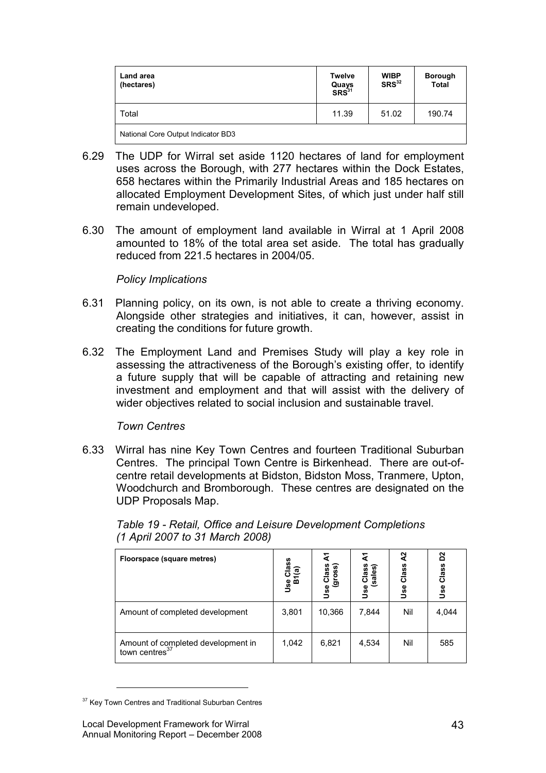| Land area<br>(hectares)            | <b>Twelve</b><br>Quays<br>SRS <sup>31</sup> | <b>WIBP</b><br>SRS <sup>32</sup> | <b>Borough</b><br><b>Total</b> |
|------------------------------------|---------------------------------------------|----------------------------------|--------------------------------|
| Total                              | 11.39                                       | 51.02                            | 190.74                         |
| National Core Output Indicator BD3 |                                             |                                  |                                |

- 6.29 The UDP for Wirral set aside 1120 hectares of land for employment uses across the Borough, with 277 hectares within the Dock Estates, 658 hectares within the Primarily Industrial Areas and 185 hectares on allocated Employment Development Sites, of which just under half still remain undeveloped.
- 6.30 The amount of employment land available in Wirral at 1 April 2008 amounted to 18% of the total area set aside. The total has gradually reduced from 221.5 hectares in 2004/05.

# Policy Implications

- 6.31 Planning policy, on its own, is not able to create a thriving economy. Alongside other strategies and initiatives, it can, however, assist in creating the conditions for future growth.
- 6.32 The Employment Land and Premises Study will play a key role in assessing the attractiveness of the Borough's existing offer, to identify a future supply that will be capable of attracting and retaining new investment and employment and that will assist with the delivery of wider objectives related to social inclusion and sustainable travel.

## Town Centres

6.33 Wirral has nine Key Town Centres and fourteen Traditional Suburban Centres. The principal Town Centre is Birkenhead. There are out-ofcentre retail developments at Bidston, Bidston Moss, Tranmere, Upton, Woodchurch and Bromborough. These centres are designated on the UDP Proposals Map.

| Floorspace (square metres)                                       | Class<br>Use Cla<br>B1(a) | ⋖<br>Use Un.<br>(gross)<br>(gross) | class)<br>(sales)<br>Use | প্ৰ<br>Class<br>9se | D <sup>2</sup><br>Class<br>Jse |
|------------------------------------------------------------------|---------------------------|------------------------------------|--------------------------|---------------------|--------------------------------|
| Amount of completed development                                  | 3,801                     | 10,366                             | 7,844                    | Nil                 | 4,044                          |
| Amount of completed development in<br>town centres <sup>37</sup> | 1,042                     | 6,821                              | 4,534                    | Nil                 | 585                            |

Table 19 - Retail, Office and Leisure Development Completions (1 April 2007 to 31 March 2008)

<sup>&</sup>lt;sup>37</sup> Key Town Centres and Traditional Suburban Centres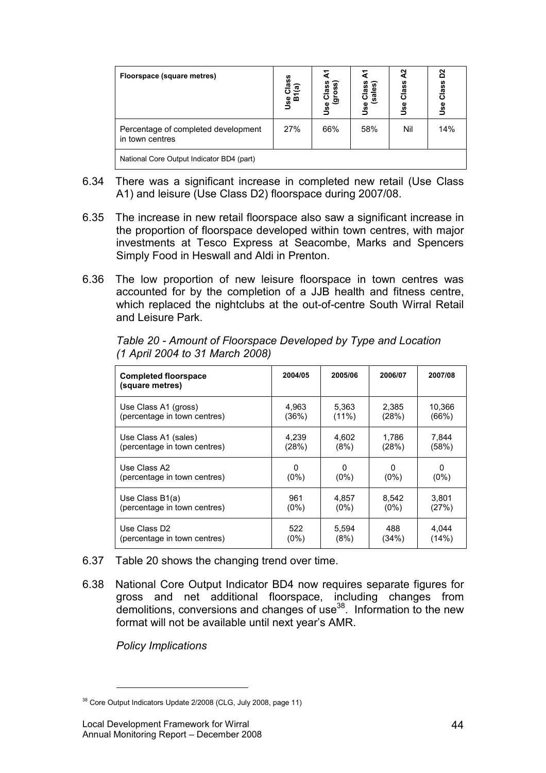| Floorspace (square metres)                             | ပ္ၿ<br>ଟ୍ଟ<br>ဖွ စ်<br>၁ | e Class<br>(gross)<br>ပ<br>Use | Class<br>(sales)<br><b>Jse</b> | Ŋ<br>Class<br>وو<br>ل | 20<br>Class<br><b>Se</b> |
|--------------------------------------------------------|--------------------------|--------------------------------|--------------------------------|-----------------------|--------------------------|
| Percentage of completed development<br>in town centres | 27%                      | 66%                            | 58%                            | Nil                   | 14%                      |
| National Core Output Indicator BD4 (part)              |                          |                                |                                |                       |                          |

- 6.34 There was a significant increase in completed new retail (Use Class A1) and leisure (Use Class D2) floorspace during 2007/08.
- 6.35 The increase in new retail floorspace also saw a significant increase in the proportion of floorspace developed within town centres, with major investments at Tesco Express at Seacombe, Marks and Spencers Simply Food in Heswall and Aldi in Prenton.
- 6.36 The low proportion of new leisure floorspace in town centres was accounted for by the completion of a JJB health and fitness centre, which replaced the nightclubs at the out-of-centre South Wirral Retail and Leisure Park.

| <b>Completed floorspace</b><br>(square metres) | 2004/05 | 2005/06  | 2006/07      | 2007/08      |
|------------------------------------------------|---------|----------|--------------|--------------|
| Use Class A1 (gross)                           | 4,963   | 5,363    | 2,385        | 10,366       |
| (percentage in town centres)                   | (36%)   | $(11\%)$ | (28%)        | (66%)        |
| Use Class A1 (sales)                           | 4,239   | 4,602    | 1.786        | 7,844        |
| (percentage in town centres)                   | (28%)   | (8%)     | (28%)        | (58%)        |
| Use Class A2                                   | 0       | 0        | <sup>0</sup> | <sup>0</sup> |
| (percentage in town centres)                   | $(0\%)$ | $(0\%)$  | $(0\%)$      | $(0\%)$      |
| Use Class B1(a)                                | 961     | 4,857    | 8,542        | 3.801        |
| (percentage in town centres)                   | $(0\%)$ | $(0\%)$  | $(0\%)$      | (27%)        |
| Use Class D <sub>2</sub>                       | 522     | 5,594    | 488          | 4,044        |
| (percentage in town centres)                   | (0%)    | (8%)     | (34%)        | (14%)        |

Table 20 - Amount of Floorspace Developed by Type and Location (1 April 2004 to 31 March 2008)

- 6.37 Table 20 shows the changing trend over time.
- 6.38 National Core Output Indicator BD4 now requires separate figures for gross and net additional floorspace, including changes from demolitions, conversions and changes of use  $38$ . Information to the new format will not be available until next year's AMR.

Policy Implications

<sup>&</sup>lt;sup>38</sup> Core Output Indicators Update 2/2008 (CLG, July 2008, page 11)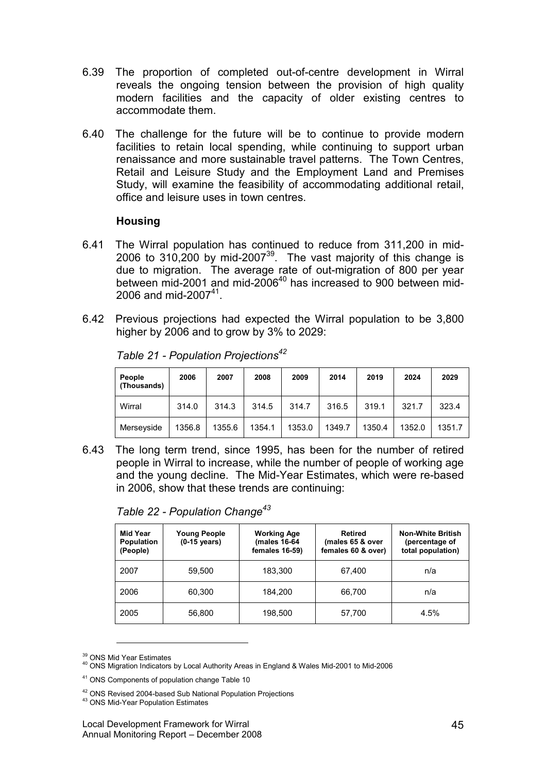- 6.39 The proportion of completed out-of-centre development in Wirral reveals the ongoing tension between the provision of high quality modern facilities and the capacity of older existing centres to accommodate them.
- 6.40 The challenge for the future will be to continue to provide modern facilities to retain local spending, while continuing to support urban renaissance and more sustainable travel patterns. The Town Centres, Retail and Leisure Study and the Employment Land and Premises Study, will examine the feasibility of accommodating additional retail, office and leisure uses in town centres.

# **Housing**

- 6.41 The Wirral population has continued to reduce from 311,200 in mid-2006 to 310,200 by mid-2007 $39$ . The vast majority of this change is due to migration. The average rate of out-migration of 800 per year between mid-2001 and mid-2006<sup>40</sup> has increased to 900 between mid-2006 and mid-2007<sup>41</sup>.
- 6.42 Previous projections had expected the Wirral population to be 3,800 higher by 2006 and to grow by 3% to 2029:

| People<br>(Thousands) | 2006   | 2007   | 2008   | 2009   | 2014   | 2019   | 2024   | 2029   |
|-----------------------|--------|--------|--------|--------|--------|--------|--------|--------|
| Wirral                | 314.0  | 314.3  | 314.5  | 314.7  | 316.5  | 319.1  | 321.7  | 323.4  |
| Merseyside            | 1356.8 | 1355.6 | 1354.1 | 1353.0 | 1349.7 | 1350.4 | 1352.0 | 1351.7 |

| Table 21 - Population Projections <sup>42</sup> |  |
|-------------------------------------------------|--|
|-------------------------------------------------|--|

6.43 The long term trend, since 1995, has been for the number of retired people in Wirral to increase, while the number of people of working age and the young decline. The Mid-Year Estimates, which were re-based in 2006, show that these trends are continuing:

| Mid Year<br>Population<br>(People) | <b>Young People</b><br>$(0-15 \text{ years})$ | <b>Working Age</b><br>(males 16-64<br>females 16-59) | <b>Retired</b><br>(males 65 & over<br>females 60 & over) | <b>Non-White British</b><br>(percentage of<br>total population) |
|------------------------------------|-----------------------------------------------|------------------------------------------------------|----------------------------------------------------------|-----------------------------------------------------------------|
| 2007                               | 59.500                                        | 183,300                                              | 67.400                                                   | n/a                                                             |
| 2006                               | 60,300                                        | 184.200                                              | 66.700                                                   | n/a                                                             |
| 2005                               | 56,800                                        | 198,500                                              | 57,700                                                   | 4.5%                                                            |

Table 22 - Population Change<sup>43</sup>

<sup>&</sup>lt;sup>39</sup> ONS Mid Year Estimates

<sup>&</sup>lt;sup>40</sup> ONS Migration Indicators by Local Authority Areas in England & Wales Mid-2001 to Mid-2006

<sup>41</sup> ONS Components of population change Table 10

<sup>&</sup>lt;sup>42</sup> ONS Revised 2004-based Sub National Population Projections

<sup>43</sup> ONS Mid-Year Population Estimates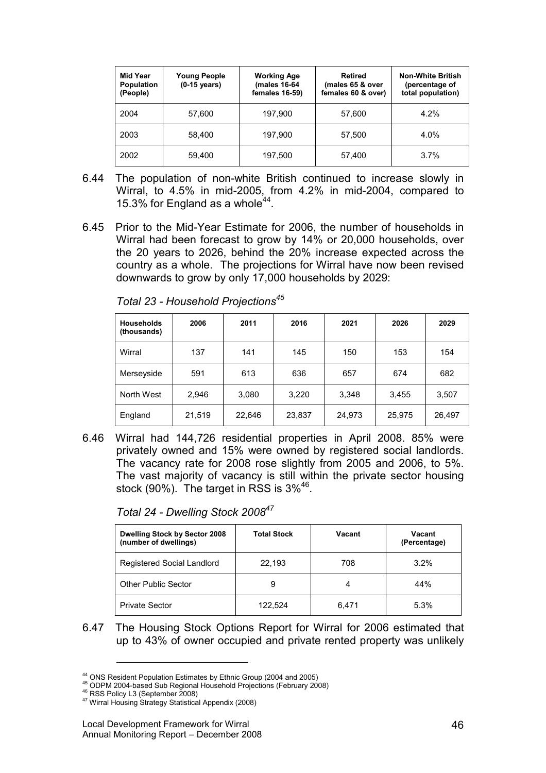| Mid Year<br>Population<br>(People) | <b>Young People</b><br>$(0-15 \text{ years})$ | <b>Working Age</b><br>(males 16-64<br>females 16-59) | <b>Retired</b><br>(males 65 & over<br>females 60 & over) | <b>Non-White British</b><br>(percentage of<br>total population) |
|------------------------------------|-----------------------------------------------|------------------------------------------------------|----------------------------------------------------------|-----------------------------------------------------------------|
| 2004                               | 57,600                                        | 197,900                                              | 57,600                                                   | 4.2%                                                            |
| 2003                               | 58.400                                        | 197,900                                              | 57,500                                                   | 4.0%                                                            |
| 2002                               | 59,400                                        | 197,500                                              | 57,400                                                   | 3.7%                                                            |

- 6.44 The population of non-white British continued to increase slowly in Wirral, to 4.5% in mid-2005, from 4.2% in mid-2004, compared to 15.3% for England as a whole $44$ .
- 6.45 Prior to the Mid-Year Estimate for 2006, the number of households in Wirral had been forecast to grow by 14% or 20,000 households, over the 20 years to 2026, behind the 20% increase expected across the country as a whole. The projections for Wirral have now been revised downwards to grow by only 17,000 households by 2029:

| <b>Households</b><br>(thousands) | 2006   | 2011   | 2016   | 2021   | 2026   | 2029   |
|----------------------------------|--------|--------|--------|--------|--------|--------|
| Wirral                           | 137    | 141    | 145    | 150    | 153    | 154    |
| Merseyside                       | 591    | 613    | 636    | 657    | 674    | 682    |
| North West                       | 2,946  | 3,080  | 3,220  | 3,348  | 3,455  | 3,507  |
| England                          | 21,519 | 22,646 | 23,837 | 24,973 | 25,975 | 26,497 |

Total 23 - Household Projections<sup>45</sup>

6.46 Wirral had 144,726 residential properties in April 2008. 85% were privately owned and 15% were owned by registered social landlords. The vacancy rate for 2008 rose slightly from 2005 and 2006, to 5%. The vast majority of vacancy is still within the private sector housing stock (90%). The target in RSS is 3%<sup>46</sup>.

Total 24 - Dwelling Stock 2008<sup>47</sup>

| <b>Dwelling Stock by Sector 2008</b><br>(number of dwellings) | <b>Total Stock</b> | Vacant | Vacant<br>(Percentage) |
|---------------------------------------------------------------|--------------------|--------|------------------------|
| Registered Social Landlord                                    | 22,193             | 708    | 3.2%                   |
| <b>Other Public Sector</b>                                    | 9                  | 4      | 44%                    |
| <b>Private Sector</b>                                         | 122.524            | 6,471  | 5.3%                   |

6.47 The Housing Stock Options Report for Wirral for 2006 estimated that up to 43% of owner occupied and private rented property was unlikely

<sup>44</sup> ONS Resident Population Estimates by Ethnic Group (2004 and 2005)

<sup>45</sup> ODPM 2004-based Sub Regional Household Projections (February 2008)

<sup>46</sup> RSS Policy L3 (September 2008)

<sup>47</sup> Wirral Housing Strategy Statistical Appendix (2008)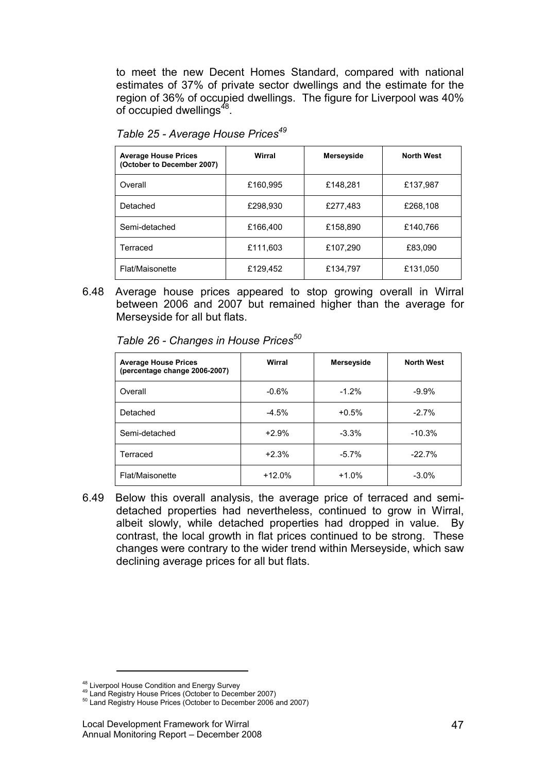to meet the new Decent Homes Standard, compared with national estimates of 37% of private sector dwellings and the estimate for the region of 36% of occupied dwellings. The figure for Liverpool was 40% of occupied dwellings<sup>48</sup>.

| <b>Average House Prices</b><br>(October to December 2007) | Wirral   | Merseyside | <b>North West</b> |
|-----------------------------------------------------------|----------|------------|-------------------|
| Overall                                                   | £160,995 | £148,281   | £137,987          |
| Detached                                                  | £298,930 | £277,483   | £268,108          |
| Semi-detached                                             | £166,400 | £158,890   | £140,766          |
| Terraced                                                  | £111,603 | £107,290   | £83,090           |
| Flat/Maisonette                                           | £129,452 | £134,797   | £131,050          |

Table 25 - Average House Prices<sup>49</sup>

6.48 Average house prices appeared to stop growing overall in Wirral between 2006 and 2007 but remained higher than the average for Merseyside for all but flats.

Table 26 - Changes in House Prices $50$ 

| <b>Average House Prices</b><br>(percentage change 2006-2007) | Wirral   | Merseyside | <b>North West</b> |
|--------------------------------------------------------------|----------|------------|-------------------|
| Overall                                                      | $-0.6%$  | $-1.2%$    | $-9.9%$           |
| Detached                                                     | $-4.5%$  | $+0.5%$    | $-2.7%$           |
| Semi-detached                                                | $+2.9%$  | $-3.3%$    | $-10.3%$          |
| Terraced                                                     | $+2.3%$  | $-5.7\%$   | $-22.7%$          |
| Flat/Maisonette                                              | $+12.0%$ | $+1.0%$    | $-3.0%$           |

6.49 Below this overall analysis, the average price of terraced and semidetached properties had nevertheless, continued to grow in Wirral, albeit slowly, while detached properties had dropped in value. By contrast, the local growth in flat prices continued to be strong. These changes were contrary to the wider trend within Merseyside, which saw declining average prices for all but flats.

<sup>&</sup>lt;sup>48</sup> Liverpool House Condition and Energy Survey

<sup>&</sup>lt;sup>49</sup> Land Registry House Prices (October to December 2007)

<sup>&</sup>lt;sup>50</sup> Land Registry House Prices (October to December 2006 and 2007)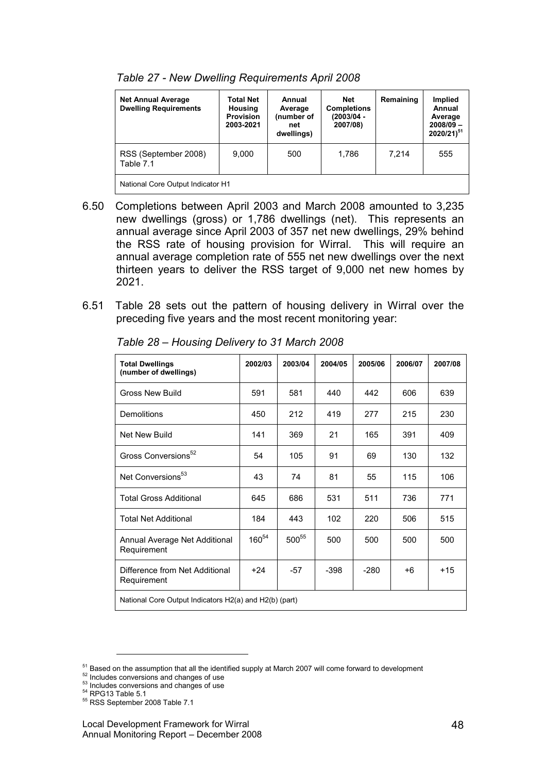| <b>Net Annual Average</b><br><b>Dwelling Requirements</b> | <b>Total Net</b><br>Housing<br><b>Provision</b><br>2003-2021 | Annual<br>Average<br>(number of<br>net<br>dwellings) | Net<br><b>Completions</b><br>(2003/04 -<br>2007/08) | Remaining | Implied<br>Annual<br>Average<br>$2008/09 -$<br>$2020/21)^{51}$ |  |
|-----------------------------------------------------------|--------------------------------------------------------------|------------------------------------------------------|-----------------------------------------------------|-----------|----------------------------------------------------------------|--|
| RSS (September 2008)<br>Table 7.1                         | 9.000                                                        | 500                                                  | 1.786                                               | 7.214     | 555                                                            |  |
| National Core Output Indicator H1                         |                                                              |                                                      |                                                     |           |                                                                |  |

Table 27 - New Dwelling Requirements April 2008

- 6.50 Completions between April 2003 and March 2008 amounted to 3,235 new dwellings (gross) or 1,786 dwellings (net). This represents an annual average since April 2003 of 357 net new dwellings, 29% behind the RSS rate of housing provision for Wirral. This will require an annual average completion rate of 555 net new dwellings over the next thirteen years to deliver the RSS target of 9,000 net new homes by 2021.
- 6.51 Table 28 sets out the pattern of housing delivery in Wirral over the preceding five years and the most recent monitoring year:

| <b>Total Dwellings</b><br>(number of dwellings)        | 2002/03    | 2003/04 | 2004/05 | 2005/06 | 2006/07 | 2007/08 |
|--------------------------------------------------------|------------|---------|---------|---------|---------|---------|
| <b>Gross New Build</b>                                 | 591        | 581     | 440     | 442     | 606     | 639     |
| <b>Demolitions</b>                                     | 450        | 212     | 419     | 277     | 215     | 230     |
| Net New Build                                          | 141        | 369     | 21      | 165     | 391     | 409     |
| Gross Conversions <sup>52</sup>                        | 54         | 105     | 91      | 69      | 130     | 132     |
| Net Conversions <sup>53</sup>                          | 43         | 74      | 81      | 55      | 115     | 106     |
| <b>Total Gross Additional</b>                          | 645        | 686     | 531     | 511     | 736     | 771     |
| <b>Total Net Additional</b>                            | 184        | 443     | 102     | 220     | 506     | 515     |
| Annual Average Net Additional<br>Requirement           | $160^{54}$ | 50055   | 500     | 500     | 500     | 500     |
| Difference from Net Additional<br>Requirement          | $+24$      | -57     | $-398$  | $-280$  | $+6$    | $+15$   |
| National Core Output Indicators H2(a) and H2(b) (part) |            |         |         |         |         |         |

Table 28 – Housing Delivery to 31 March 2008

- 53 Includes conversions and changes of use
- <sup>54</sup> RPG13 Table 5.1

<sup>&</sup>lt;sup>51</sup> Based on the assumption that all the identified supply at March 2007 will come forward to development

<sup>&</sup>lt;sup>52</sup> Includes conversions and changes of use

 $55$  RSS September 2008 Table 7.1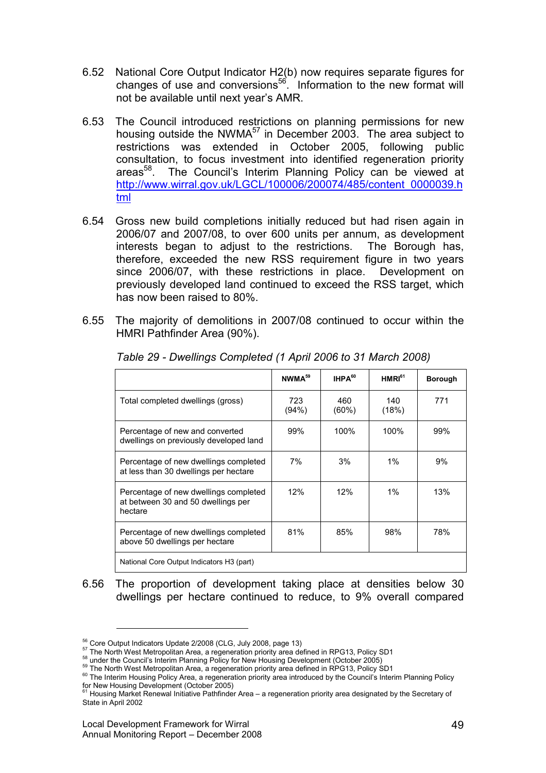- 6.52 National Core Output Indicator H2(b) now requires separate figures for changes of use and conversions<sup>56</sup>. Information to the new format will not be available until next year's AMR.
- 6.53 The Council introduced restrictions on planning permissions for new housing outside the NWMA<sup>57</sup> in December 2003. The area subject to restrictions was extended in October 2005, following public consultation, to focus investment into identified regeneration priority areas<sup>58</sup>. The Council's Interim Planning Policy can be viewed at http://www.wirral.gov.uk/LGCL/100006/200074/485/content\_0000039.h tml
- 6.54 Gross new build completions initially reduced but had risen again in 2006/07 and 2007/08, to over 600 units per annum, as development interests began to adjust to the restrictions. The Borough has, therefore, exceeded the new RSS requirement figure in two years since 2006/07, with these restrictions in place. Development on previously developed land continued to exceed the RSS target, which has now been raised to 80%.
- 6.55 The majority of demolitions in 2007/08 continued to occur within the HMRI Pathfinder Area (90%).

|                                                                                        | NWMA <sup>59</sup> | IHPA <sup>60</sup> | HMRI <sup>61</sup> | <b>Borough</b> |
|----------------------------------------------------------------------------------------|--------------------|--------------------|--------------------|----------------|
| Total completed dwellings (gross)                                                      | 723<br>(94%)       | 460<br>(60%)       | 140<br>(18%)       | 771            |
| Percentage of new and converted<br>dwellings on previously developed land              | 99%                | 100%               | 100%               | 99%            |
| Percentage of new dwellings completed<br>at less than 30 dwellings per hectare         | 7%                 | 3%                 | $1\%$              | 9%             |
| Percentage of new dwellings completed<br>at between 30 and 50 dwellings per<br>hectare | 12%                | 12%                | $1\%$              | 13%            |
| Percentage of new dwellings completed<br>above 50 dwellings per hectare                | 81%                | 85%                | 98%                | 78%            |
| National Core Output Indicators H3 (part)                                              |                    |                    |                    |                |

Table 29 - Dwellings Completed (1 April 2006 to 31 March 2008)

6.56 The proportion of development taking place at densities below 30 dwellings per hectare continued to reduce, to 9% overall compared

<sup>56</sup> Core Output Indicators Update 2/2008 (CLG, July 2008, page 13)

<sup>57</sup> The North West Metropolitan Area, a regeneration priority area defined in RPG13, Policy SD1

<sup>&</sup>lt;sup>58</sup> under the Council's Interim Planning Policy for New Housing Development (October 2005)

<sup>&</sup>lt;sup>59</sup> The North West Metropolitan Area, a regeneration priority area defined in RPG13, Policy SD1

<sup>&</sup>lt;sup>60</sup> The Interim Housing Policy Area, a regeneration priority area introduced by the Council's Interim Planning Policy

for New Housing Development (October 2005)<br><sup>61</sup> Housing Market Renewal Initiative Pathfinder Area – a regeneration priority area designated by the Secretary of State in April 2002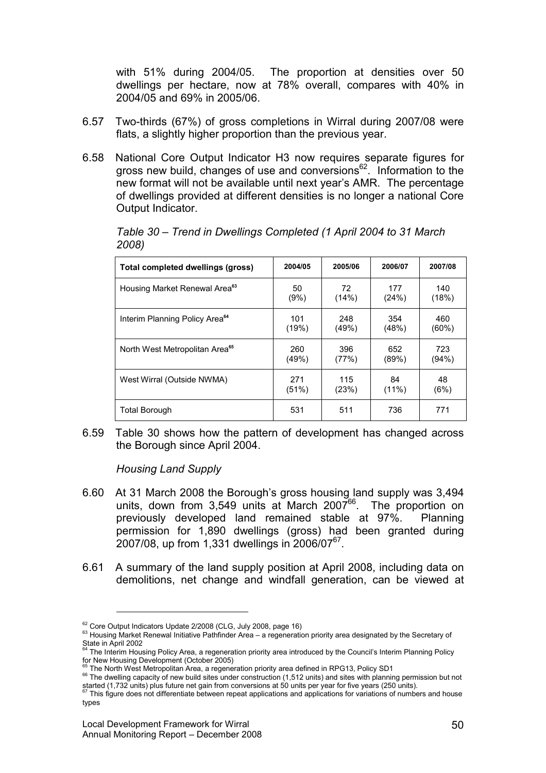with 51% during 2004/05. The proportion at densities over 50 dwellings per hectare, now at 78% overall, compares with 40% in 2004/05 and 69% in 2005/06.

- 6.57 Two-thirds (67%) of gross completions in Wirral during 2007/08 were flats, a slightly higher proportion than the previous year.
- 6.58 National Core Output Indicator H3 now requires separate figures for gross new build, changes of use and conversions<sup>62</sup>. Information to the new format will not be available until next year's AMR. The percentage of dwellings provided at different densities is no longer a national Core Output Indicator.

| Total completed dwellings (gross)          | 2004/05 | 2005/06 | 2006/07  | 2007/08  |
|--------------------------------------------|---------|---------|----------|----------|
| Housing Market Renewal Area <sup>63</sup>  | 50      | 72      | 177      | 140      |
|                                            | (9%)    | (14%)   | (24%)    | (18%)    |
| Interim Planning Policy Area <sup>64</sup> | 101     | 248     | 354      | 460      |
|                                            | (19%)   | (49%)   | (48%)    | $(60\%)$ |
| North West Metropolitan Area <sup>65</sup> | 260     | 396     | 652      | 723      |
|                                            | (49%)   | (77%)   | (89%)    | (94%)    |
| West Wirral (Outside NWMA)                 | 271     | 115     | 84       | 48       |
|                                            | (51%)   | (23%)   | $(11\%)$ | (6%)     |
| Total Borough                              | 531     | 511     | 736      | 771      |

Table 30 – Trend in Dwellings Completed (1 April 2004 to 31 March 2008)

6.59 Table 30 shows how the pattern of development has changed across the Borough since April 2004.

Housing Land Supply

- 6.60 At 31 March 2008 the Borough's gross housing land supply was 3,494 units, down from  $3,549$  units at March  $2007^{66}$ . The proportion on previously developed land remained stable at 97%. Planning permission for 1,890 dwellings (gross) had been granted during  $2007/08$ , up from 1,331 dwellings in 2006/07<sup>67</sup>.
- 6.61 A summary of the land supply position at April 2008, including data on demolitions, net change and windfall generation, can be viewed at

<sup>&</sup>lt;sup>62</sup> Core Output Indicators Update 2/2008 (CLG, July 2008, page 16)

<sup>&</sup>lt;sup>63</sup> Housing Market Renewal Initiative Pathfinder Area – a regeneration priority area designated by the Secretary of State in April 2002

The Interim Housing Policy Area, a regeneration priority area introduced by the Council's Interim Planning Policy for New Housing Development (October 2005)

<sup>&</sup>lt;sup>65</sup> The North West Metropolitan Area, a regeneration priority area defined in RPG13, Policy SD1

<sup>&</sup>lt;sup>66</sup> The dwelling capacity of new build sites under construction (1,512 units) and sites with planning permission but not started (1,732 units) plus future net gain from conversions at 50 units per year for five years (250 units).<br><sup>67</sup> This figure does not differentiate between repeat applications and applications for variations of numbers an

types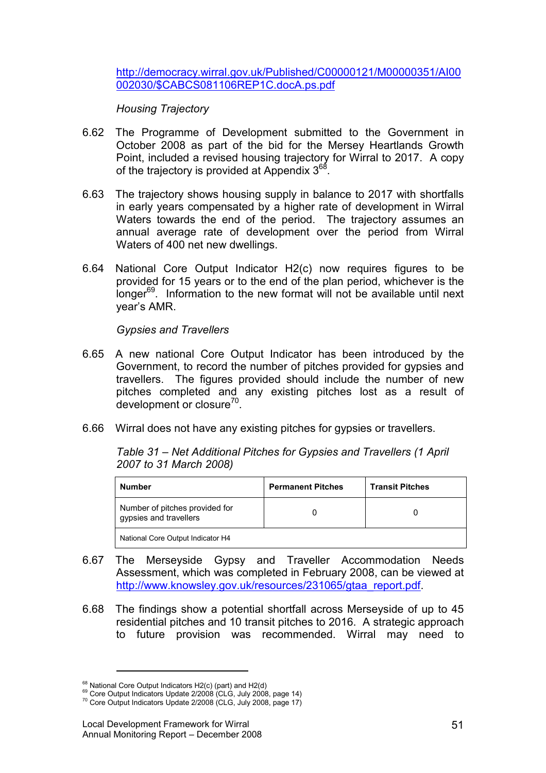http://democracy.wirral.gov.uk/Published/C00000121/M00000351/AI00 002030/\$CABCS081106REP1C.docA.ps.pdf

Housing Trajectory

- 6.62 The Programme of Development submitted to the Government in October 2008 as part of the bid for the Mersey Heartlands Growth Point, included a revised housing trajectory for Wirral to 2017. A copy of the trajectory is provided at Appendix 3<sup>68</sup>.
- 6.63 The trajectory shows housing supply in balance to 2017 with shortfalls in early years compensated by a higher rate of development in Wirral Waters towards the end of the period. The trajectory assumes an annual average rate of development over the period from Wirral Waters of 400 net new dwellings.
- 6.64 National Core Output Indicator H2(c) now requires figures to be provided for 15 years or to the end of the plan period, whichever is the longer $^{69}$ . Information to the new format will not be available until next year's AMR.

Gypsies and Travellers

- 6.65 A new national Core Output Indicator has been introduced by the Government, to record the number of pitches provided for gypsies and travellers. The figures provided should include the number of new pitches completed and any existing pitches lost as a result of development or closure<sup>70</sup>.
- 6.66 Wirral does not have any existing pitches for gypsies or travellers.

Table 31 – Net Additional Pitches for Gypsies and Travellers (1 April 2007 to 31 March 2008)

| <b>Number</b>                                            | <b>Permanent Pitches</b> | <b>Transit Pitches</b> |
|----------------------------------------------------------|--------------------------|------------------------|
| Number of pitches provided for<br>gypsies and travellers |                          |                        |
| National Core Output Indicator H4                        |                          |                        |

- 6.67 The Merseyside Gypsy and Traveller Accommodation Needs Assessment, which was completed in February 2008, can be viewed at http://www.knowsley.gov.uk/resources/231065/gtaa\_report.pdf.
- 6.68 The findings show a potential shortfall across Merseyside of up to 45 residential pitches and 10 transit pitches to 2016. A strategic approach to future provision was recommended. Wirral may need to

 $68$  National Core Output Indicators H2(c) (part) and H2(d)

<sup>&</sup>lt;sup>69</sup> Core Output Indicators Update 2/2008 (CLG, July 2008, page 14)

 $70$  Core Output Indicators Update 2/2008 (CLG, July 2008, page 17)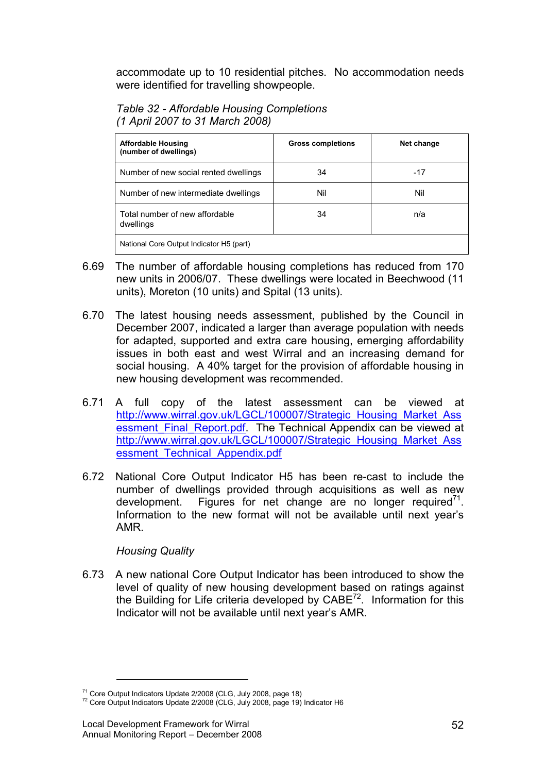accommodate up to 10 residential pitches. No accommodation needs were identified for travelling showpeople.

| Table 32 - Affordable Housing Completions |
|-------------------------------------------|
| (1 April 2007 to 31 March 2008)           |

| <b>Affordable Housing</b><br>(number of dwellings) | <b>Gross completions</b> | Net change |
|----------------------------------------------------|--------------------------|------------|
| Number of new social rented dwellings              | 34                       | $-17$      |
| Number of new intermediate dwellings               | Nil                      | Nil        |
| Total number of new affordable<br>dwellings        | 34                       | n/a        |
| National Core Output Indicator H5 (part)           |                          |            |

- 6.69 The number of affordable housing completions has reduced from 170 new units in 2006/07. These dwellings were located in Beechwood (11 units), Moreton (10 units) and Spital (13 units).
- 6.70 The latest housing needs assessment, published by the Council in December 2007, indicated a larger than average population with needs for adapted, supported and extra care housing, emerging affordability issues in both east and west Wirral and an increasing demand for social housing. A 40% target for the provision of affordable housing in new housing development was recommended.
- 6.71 A full copy of the latest assessment can be viewed at http://www.wirral.gov.uk/LGCL/100007/Strategic\_Housing\_Market\_Ass essment Final Report.pdf. The Technical Appendix can be viewed at http://www.wirral.gov.uk/LGCL/100007/Strategic\_Housing\_Market\_Ass essment\_Technical\_Appendix.pdf
- 6.72 National Core Output Indicator H5 has been re-cast to include the number of dwellings provided through acquisitions as well as new development. Figures for net change are no longer required $7^1$ . Information to the new format will not be available until next year's AMR.

## Housing Quality

<u>.</u>

6.73 A new national Core Output Indicator has been introduced to show the level of quality of new housing development based on ratings against the Building for Life criteria developed by  $CABE^{72}$ . Information for this Indicator will not be available until next year's AMR.

 $71$  Core Output Indicators Update 2/2008 (CLG, July 2008, page 18)

 $72$  Core Output Indicators Update 2/2008 (CLG, July 2008, page 19) Indicator H6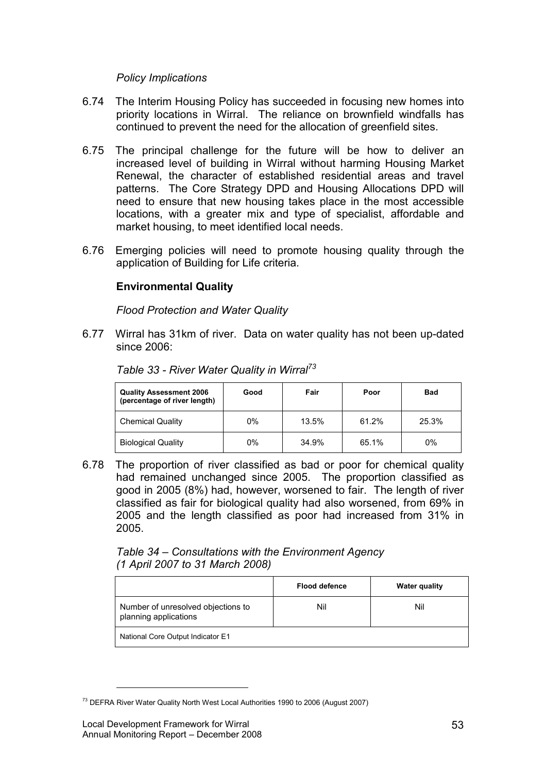# Policy Implications

- 6.74 The Interim Housing Policy has succeeded in focusing new homes into priority locations in Wirral. The reliance on brownfield windfalls has continued to prevent the need for the allocation of greenfield sites.
- 6.75 The principal challenge for the future will be how to deliver an increased level of building in Wirral without harming Housing Market Renewal, the character of established residential areas and travel patterns. The Core Strategy DPD and Housing Allocations DPD will need to ensure that new housing takes place in the most accessible locations, with a greater mix and type of specialist, affordable and market housing, to meet identified local needs.
- 6.76 Emerging policies will need to promote housing quality through the application of Building for Life criteria.

# Environmental Quality

Flood Protection and Water Quality

6.77 Wirral has 31km of river. Data on water quality has not been up-dated since 2006:

| <b>Quality Assessment 2006</b><br>(percentage of river length) | Good | Fair  | Poor  | <b>Bad</b> |
|----------------------------------------------------------------|------|-------|-------|------------|
| <b>Chemical Quality</b>                                        | 0%   | 13.5% | 61.2% | 25.3%      |
| <b>Biological Quality</b>                                      | 0%   | 34.9% | 65.1% | 0%         |

Table 33 - River Water Quality in Wirral<sup>73</sup>

6.78 The proportion of river classified as bad or poor for chemical quality had remained unchanged since 2005. The proportion classified as good in 2005 (8%) had, however, worsened to fair. The length of river classified as fair for biological quality had also worsened, from 69% in 2005 and the length classified as poor had increased from 31% in 2005.

Table 34 – Consultations with the Environment Agency (1 April 2007 to 31 March 2008)

|                                                             | <b>Flood defence</b> | <b>Water quality</b> |
|-------------------------------------------------------------|----------------------|----------------------|
| Number of unresolved objections to<br>planning applications | Nil                  | Nil                  |
| National Core Output Indicator E1                           |                      |                      |

<sup>73</sup> DEFRA River Water Quality North West Local Authorities 1990 to 2006 (August 2007)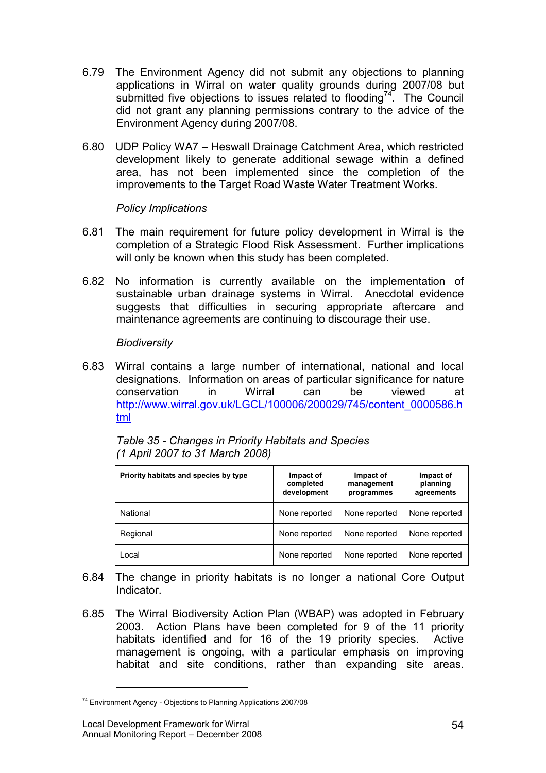- 6.79 The Environment Agency did not submit any objections to planning applications in Wirral on water quality grounds during 2007/08 but submitted five objections to issues related to flooding<sup>74</sup>. The Council did not grant any planning permissions contrary to the advice of the Environment Agency during 2007/08.
- 6.80 UDP Policy WA7 Heswall Drainage Catchment Area, which restricted development likely to generate additional sewage within a defined area, has not been implemented since the completion of the improvements to the Target Road Waste Water Treatment Works.

# Policy Implications

- 6.81 The main requirement for future policy development in Wirral is the completion of a Strategic Flood Risk Assessment. Further implications will only be known when this study has been completed.
- 6.82 No information is currently available on the implementation of sustainable urban drainage systems in Wirral. Anecdotal evidence suggests that difficulties in securing appropriate aftercare and maintenance agreements are continuing to discourage their use.

# **Biodiversity**

6.83 Wirral contains a large number of international, national and local designations. Information on areas of particular significance for nature conservation in Wirral can be viewed at http://www.wirral.gov.uk/LGCL/100006/200029/745/content\_0000586.h tml

| Priority habitats and species by type | Impact of<br>completed<br>development | Impact of<br>management<br>programmes | Impact of<br>planning<br>agreements |
|---------------------------------------|---------------------------------------|---------------------------------------|-------------------------------------|
| National                              | None reported                         | None reported                         | None reported                       |
| Regional                              | None reported                         | None reported                         | None reported                       |
| Local                                 | None reported                         | None reported                         | None reported                       |

Table 35 - Changes in Priority Habitats and Species (1 April 2007 to 31 March 2008)

- 6.84 The change in priority habitats is no longer a national Core Output **Indicator**
- 6.85 The Wirral Biodiversity Action Plan (WBAP) was adopted in February 2003. Action Plans have been completed for 9 of the 11 priority habitats identified and for 16 of the 19 priority species. Active management is ongoing, with a particular emphasis on improving habitat and site conditions, rather than expanding site areas.

<sup>74</sup> Environment Agency - Objections to Planning Applications 2007/08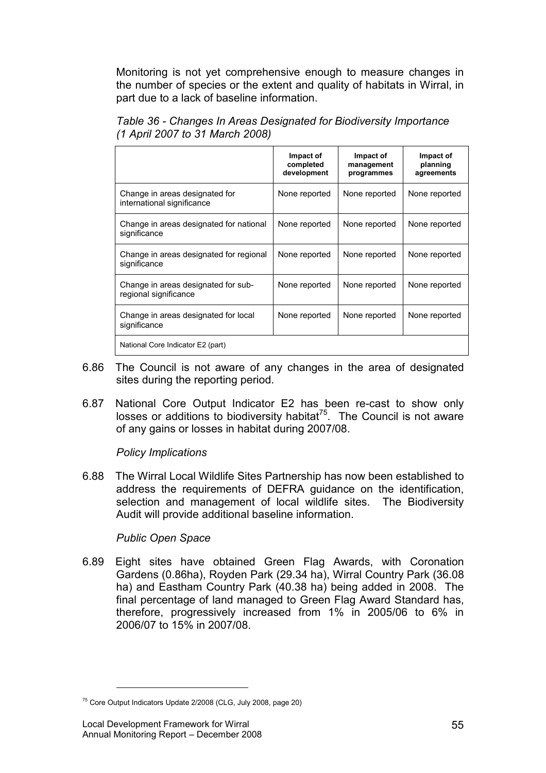Monitoring is not yet comprehensive enough to measure changes in the number of species or the extent and quality of habitats in Wirral, in part due to a lack of baseline information.

| Table 36 - Changes In Areas Designated for Biodiversity Importance |
|--------------------------------------------------------------------|
| (1 April 2007 to 31 March 2008)                                    |

|                                                              | Impact of<br>completed<br>development | Impact of<br>management<br>programmes | Impact of<br>planning<br>agreements |
|--------------------------------------------------------------|---------------------------------------|---------------------------------------|-------------------------------------|
| Change in areas designated for<br>international significance | None reported                         | None reported                         | None reported                       |
| Change in areas designated for national<br>significance      | None reported                         | None reported                         | None reported                       |
| Change in areas designated for regional<br>significance      | None reported                         | None reported                         | None reported                       |
| Change in areas designated for sub-<br>regional significance | None reported                         | None reported                         | None reported                       |
| Change in areas designated for local<br>significance         | None reported                         | None reported                         | None reported                       |
| National Core Indicator E2 (part)                            |                                       |                                       |                                     |

- 6.86 The Council is not aware of any changes in the area of designated sites during the reporting period.
- 6.87 National Core Output Indicator E2 has been re-cast to show only losses or additions to biodiversity habitat $75$ . The Council is not aware of any gains or losses in habitat during 2007/08.

Policy Implications

6.88 The Wirral Local Wildlife Sites Partnership has now been established to address the requirements of DEFRA guidance on the identification, selection and management of local wildlife sites. The Biodiversity Audit will provide additional baseline information.

## Public Open Space

6.89 Eight sites have obtained Green Flag Awards, with Coronation Gardens (0.86ha), Royden Park (29.34 ha), Wirral Country Park (36.08 ha) and Eastham Country Park (40.38 ha) being added in 2008. The final percentage of land managed to Green Flag Award Standard has, therefore, progressively increased from 1% in 2005/06 to 6% in 2006/07 to 15% in 2007/08.

 $75$  Core Output Indicators Update 2/2008 (CLG, July 2008, page 20)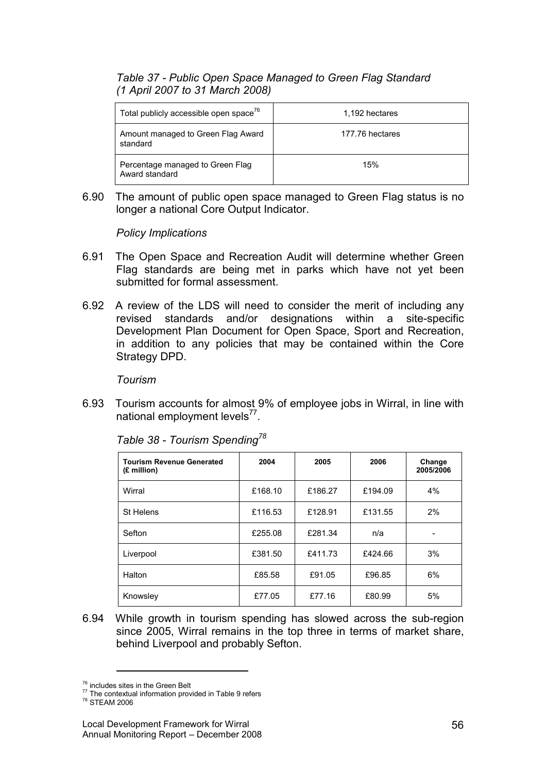# Table 37 - Public Open Space Managed to Green Flag Standard (1 April 2007 to 31 March 2008)

| Total publicly accessible open space <sup>76</sup> | 1,192 hectares  |
|----------------------------------------------------|-----------------|
| Amount managed to Green Flag Award<br>standard     | 177.76 hectares |
| Percentage managed to Green Flag<br>Award standard | 15%             |

6.90 The amount of public open space managed to Green Flag status is no longer a national Core Output Indicator.

Policy Implications

- 6.91 The Open Space and Recreation Audit will determine whether Green Flag standards are being met in parks which have not yet been submitted for formal assessment.
- 6.92 A review of the LDS will need to consider the merit of including any revised standards and/or designations within a site-specific Development Plan Document for Open Space, Sport and Recreation, in addition to any policies that may be contained within the Core Strategy DPD.

Tourism

6.93 Tourism accounts for almost 9% of employee jobs in Wirral, in line with national employment levels<sup>77</sup>.

| <b>Tourism Revenue Generated</b><br>(£ million) | 2004    | 2005    | 2006    | Change<br>2005/2006 |
|-------------------------------------------------|---------|---------|---------|---------------------|
| Wirral                                          | £168.10 | £186.27 | £194.09 | 4%                  |
| St Helens                                       | £116.53 | £128.91 | £131.55 | 2%                  |
| Sefton                                          | £255.08 | £281.34 | n/a     |                     |
| Liverpool                                       | £381.50 | £411.73 | £424.66 | 3%                  |
| Halton                                          | £85.58  | £91.05  | £96.85  | 6%                  |
| Knowsley                                        | £77.05  | £77.16  | £80.99  | 5%                  |

Table 38 - Tourism Spending<sup>78</sup>

6.94 While growth in tourism spending has slowed across the sub-region since 2005, Wirral remains in the top three in terms of market share, behind Liverpool and probably Sefton.

<sup>76</sup> includes sites in the Green Belt

<sup>&</sup>lt;sup>77</sup> The contextual information provided in Table 9 refers

<sup>78</sup> STEAM 2006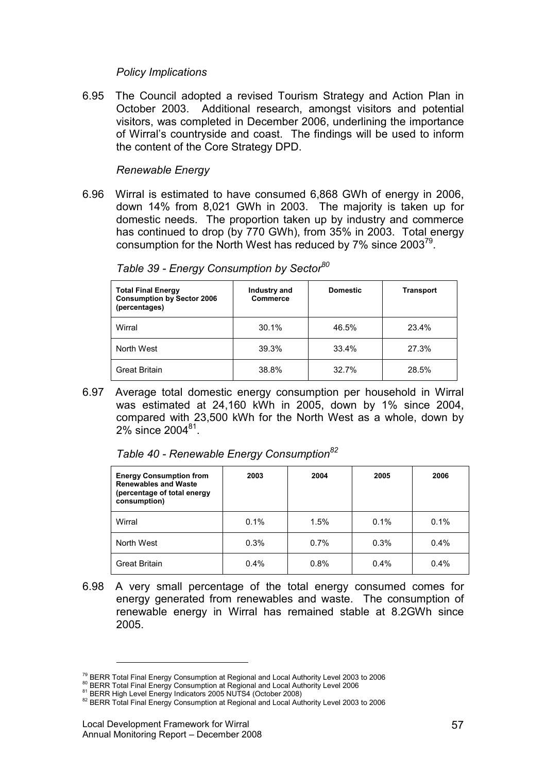#### Policy Implications

6.95 The Council adopted a revised Tourism Strategy and Action Plan in October 2003. Additional research, amongst visitors and potential visitors, was completed in December 2006, underlining the importance of Wirral's countryside and coast. The findings will be used to inform the content of the Core Strategy DPD.

## Renewable Energy

6.96 Wirral is estimated to have consumed 6,868 GWh of energy in 2006, down 14% from 8,021 GWh in 2003. The majority is taken up for domestic needs. The proportion taken up by industry and commerce has continued to drop (by 770 GWh), from 35% in 2003. Total energy consumption for the North West has reduced by 7% since 2003<sup>79</sup>.

| <b>Total Final Energy</b><br><b>Consumption by Sector 2006</b><br>(percentages) | Industry and<br><b>Commerce</b> | <b>Domestic</b> | Transport |
|---------------------------------------------------------------------------------|---------------------------------|-----------------|-----------|
| Wirral                                                                          | 30.1%                           | 46.5%           | 23.4%     |
| North West                                                                      | 39.3%                           | 33.4%           | 27.3%     |
| <b>Great Britain</b>                                                            | 38.8%                           | 32.7%           | 28.5%     |

Table 39 - Energy Consumption by Sector<sup>80</sup>

6.97 Average total domestic energy consumption per household in Wirral was estimated at 24,160 kWh in 2005, down by 1% since 2004, compared with 23,500 kWh for the North West as a whole, down by 2% since 2004 $81$ .

Table 40 - Renewable Energy Consumption $^{82}$ 

| <b>Energy Consumption from</b><br><b>Renewables and Waste</b><br>(percentage of total energy<br>consumption) | 2003 | 2004 | 2005 | 2006 |
|--------------------------------------------------------------------------------------------------------------|------|------|------|------|
| Wirral                                                                                                       | 0.1% | 1.5% | 0.1% | 0.1% |
| North West                                                                                                   | 0.3% | 0.7% | 0.3% | 0.4% |
| <b>Great Britain</b>                                                                                         | 0.4% | 0.8% | 0.4% | 0.4% |

6.98 A very small percentage of the total energy consumed comes for energy generated from renewables and waste. The consumption of renewable energy in Wirral has remained stable at 8.2GWh since 2005.

<sup>&</sup>lt;sup>79</sup> BERR Total Final Energy Consumption at Regional and Local Authority Level 2003 to 2006

<sup>80</sup> BERR Total Final Energy Consumption at Regional and Local Authority Level 2006

<sup>81</sup> BERR High Level Energy Indicators 2005 NUTS4 (October 2008)

<sup>82</sup> BERR Total Final Energy Consumption at Regional and Local Authority Level 2003 to 2006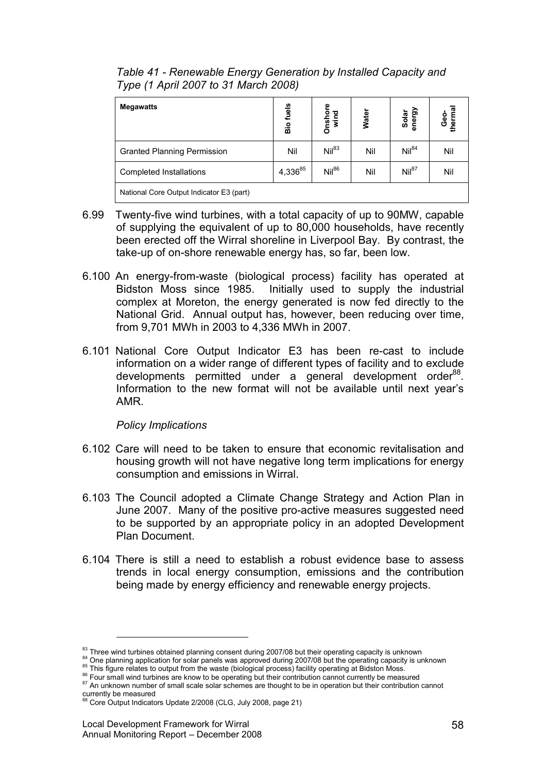| <b>Megawatts</b>                         | Bio fuels | Onshore<br>wind | Water | Solar<br>energy   | Geo-<br>thermal |
|------------------------------------------|-----------|-----------------|-------|-------------------|-----------------|
| <b>Granted Planning Permission</b>       | Nil       | $Nil^{83}$      | Nil   | $Nil^{84}$        | Nil             |
| <b>Completed Installations</b>           | 4,33685   | $Nil^{86}$      | Nil   | Nil <sup>87</sup> | Nil             |
| National Core Output Indicator E3 (part) |           |                 |       |                   |                 |

Table 41 - Renewable Energy Generation by Installed Capacity and Type (1 April 2007 to 31 March 2008)

- 6.99 Twenty-five wind turbines, with a total capacity of up to 90MW, capable of supplying the equivalent of up to 80,000 households, have recently been erected off the Wirral shoreline in Liverpool Bay. By contrast, the take-up of on-shore renewable energy has, so far, been low.
- 6.100 An energy-from-waste (biological process) facility has operated at Bidston Moss since 1985. Initially used to supply the industrial complex at Moreton, the energy generated is now fed directly to the National Grid. Annual output has, however, been reducing over time, from 9,701 MWh in 2003 to 4,336 MWh in 2007.
- 6.101 National Core Output Indicator E3 has been re-cast to include information on a wider range of different types of facility and to exclude developments permitted under a general development order<sup>88</sup>. Information to the new format will not be available until next year's AMR.

## Policy Implications

- 6.102 Care will need to be taken to ensure that economic revitalisation and housing growth will not have negative long term implications for energy consumption and emissions in Wirral.
- 6.103 The Council adopted a Climate Change Strategy and Action Plan in June 2007. Many of the positive pro-active measures suggested need to be supported by an appropriate policy in an adopted Development Plan Document.
- 6.104 There is still a need to establish a robust evidence base to assess trends in local energy consumption, emissions and the contribution being made by energy efficiency and renewable energy projects.

<sup>83</sup> Three wind turbines obtained planning consent during 2007/08 but their operating capacity is unknown

<sup>&</sup>lt;sup>84</sup> One planning application for solar panels was approved during 2007/08 but the operating capacity is unknown <sup>85</sup> This figure relates to output from the waste (biological process) facility operating at Bidston Moss.

<sup>86</sup> Four small wind turbines are know to be operating but their contribution cannot currently be measured

<sup>87</sup> An unknown number of small scale solar schemes are thought to be in operation but their contribution cannot

currently be measured<br><sup>88</sup> Core Output Indicators Update 2/2008 (CLG, July 2008, page 21)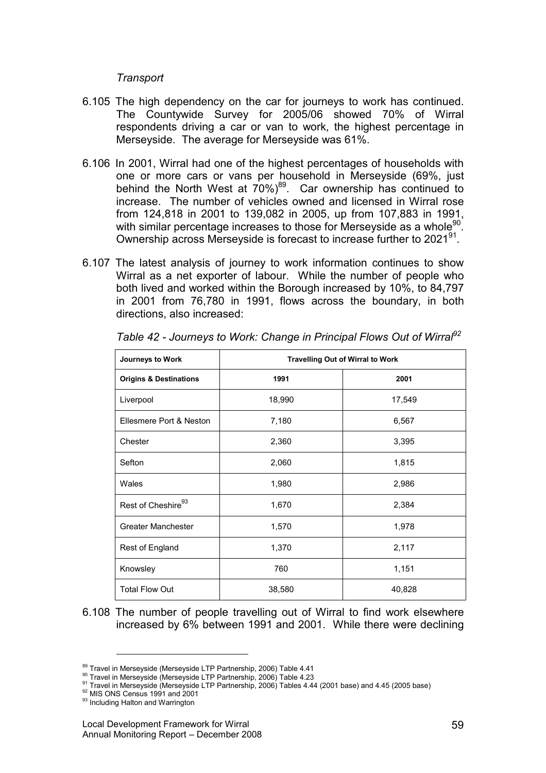#### **Transport**

- 6.105 The high dependency on the car for journeys to work has continued. The Countywide Survey for 2005/06 showed 70% of Wirral respondents driving a car or van to work, the highest percentage in Merseyside. The average for Merseyside was 61%.
- 6.106 In 2001, Wirral had one of the highest percentages of households with one or more cars or vans per household in Merseyside (69%, just behind the North West at 70%)<sup>89</sup>. Car ownership has continued to increase. The number of vehicles owned and licensed in Wirral rose from 124,818 in 2001 to 139,082 in 2005, up from 107,883 in 1991, with similar percentage increases to those for Merseyside as a whole $^{90}$ . Ownership across Merseyside is forecast to increase further to 2021<sup>91</sup>.
- 6.107 The latest analysis of journey to work information continues to show Wirral as a net exporter of labour. While the number of people who both lived and worked within the Borough increased by 10%, to 84,797 in 2001 from 76,780 in 1991, flows across the boundary, in both directions, also increased:

| Journeys to Work                  | <b>Travelling Out of Wirral to Work</b> |        |  |
|-----------------------------------|-----------------------------------------|--------|--|
| <b>Origins &amp; Destinations</b> | 1991                                    | 2001   |  |
| Liverpool                         | 18,990                                  | 17,549 |  |
| Ellesmere Port & Neston           | 7,180                                   | 6,567  |  |
| Chester                           | 2,360                                   | 3,395  |  |
| Sefton                            | 2,060                                   | 1,815  |  |
| Wales                             | 1,980                                   | 2,986  |  |
| Rest of Cheshire <sup>93</sup>    | 1,670                                   | 2,384  |  |
| <b>Greater Manchester</b>         | 1,570                                   | 1,978  |  |
| Rest of England                   | 1,370                                   | 2,117  |  |
| Knowsley                          | 760                                     | 1,151  |  |
| <b>Total Flow Out</b>             | 38,580                                  | 40,828 |  |

Table 42 - Journeys to Work: Change in Principal Flows Out of Wirral<sup>92</sup>

6.108 The number of people travelling out of Wirral to find work elsewhere increased by 6% between 1991 and 2001. While there were declining

<sup>89</sup> Travel in Merseyside (Merseyside LTP Partnership, 2006) Table 4.41

<sup>90</sup> Travel in Merseyside (Merseyside LTP Partnership, 2006) Table 4.23

<sup>91</sup> Travel in Merseyside (Merseyside LTP Partnership, 2006) Tables 4.44 (2001 base) and 4.45 (2005 base)

<sup>92</sup> MIS ONS Census 1991 and 2001

<sup>&</sup>lt;sup>93</sup> Including Halton and Warrington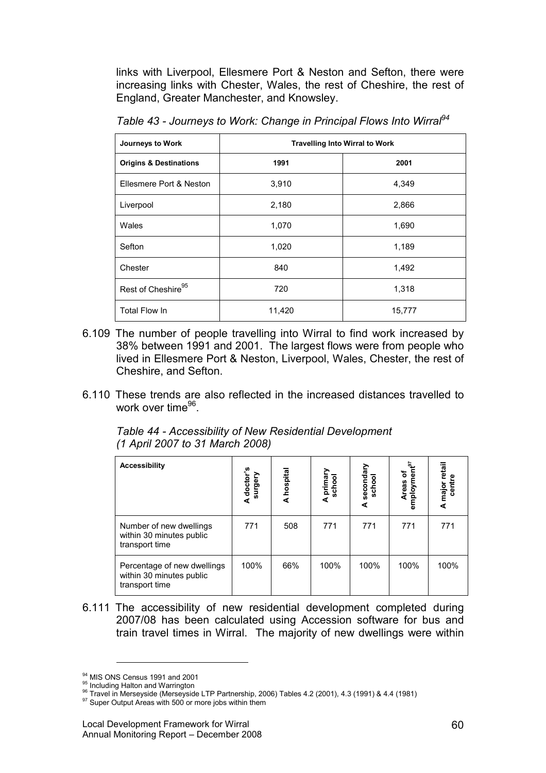links with Liverpool, Ellesmere Port & Neston and Sefton, there were increasing links with Chester, Wales, the rest of Cheshire, the rest of England, Greater Manchester, and Knowsley.

Table 43 - Journeys to Work: Change in Principal Flows Into Wirral<sup>94</sup>

| Journeys to Work                  | <b>Travelling Into Wirral to Work</b> |        |  |  |
|-----------------------------------|---------------------------------------|--------|--|--|
| <b>Origins &amp; Destinations</b> | 1991                                  | 2001   |  |  |
| Ellesmere Port & Neston           | 3,910                                 | 4,349  |  |  |
| Liverpool                         | 2,180                                 | 2,866  |  |  |
| Wales                             | 1,070                                 | 1,690  |  |  |
| Sefton                            | 1,020                                 | 1,189  |  |  |
| Chester                           | 840                                   | 1,492  |  |  |
| Rest of Cheshire <sup>95</sup>    | 720                                   | 1,318  |  |  |
| Total Flow In                     | 11,420                                | 15,777 |  |  |

- 6.109 The number of people travelling into Wirral to find work increased by 38% between 1991 and 2001. The largest flows were from people who lived in Ellesmere Port & Neston, Liverpool, Wales, Chester, the rest of Cheshire, and Sefton.
- 6.110 These trends are also reflected in the increased distances travelled to work over time<sup>96</sup>.

Table 44 - Accessibility of New Residential Development (1 April 2007 to 31 March 2008)

| <b>Accessibility</b>                                                      | doctor's<br>surgery<br>∢ | A hospital | A primary<br>school | secondary<br>school<br>⋖ | Areas of<br>employment <sup>97</sup> | retail<br>centre<br>major I<br>∢ |
|---------------------------------------------------------------------------|--------------------------|------------|---------------------|--------------------------|--------------------------------------|----------------------------------|
| Number of new dwellings<br>within 30 minutes public<br>transport time     | 771                      | 508        | 771                 | 771                      | 771                                  | 771                              |
| Percentage of new dwellings<br>within 30 minutes public<br>transport time | 100%                     | 66%        | 100%                | 100%                     | 100%                                 | 100%                             |

6.111 The accessibility of new residential development completed during 2007/08 has been calculated using Accession software for bus and train travel times in Wirral. The majority of new dwellings were within

<sup>&</sup>lt;sup>94</sup> MIS ONS Census 1991 and 2001

<sup>95</sup> Including Halton and Warrington

 $^{96}$  Travel in Merseyside (Merseyside LTP Partnership, 2006) Tables 4.2 (2001), 4.3 (1991) & 4.4 (1981)

 $97$  Super Output Areas with 500 or more jobs within them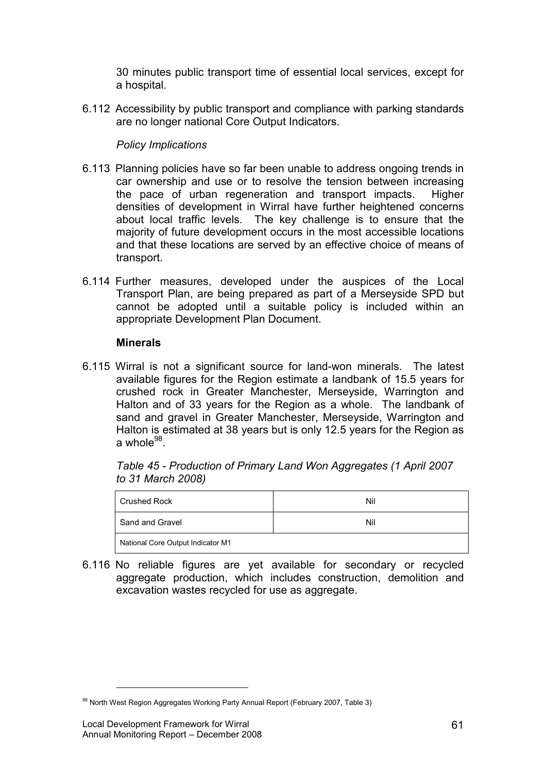30 minutes public transport time of essential local services, except for a hospital.

6.112 Accessibility by public transport and compliance with parking standards are no longer national Core Output Indicators.

## Policy Implications

- 6.113 Planning policies have so far been unable to address ongoing trends in car ownership and use or to resolve the tension between increasing the pace of urban regeneration and transport impacts. Higher densities of development in Wirral have further heightened concerns about local traffic levels. The key challenge is to ensure that the majority of future development occurs in the most accessible locations and that these locations are served by an effective choice of means of transport.
- 6.114 Further measures, developed under the auspices of the Local Transport Plan, are being prepared as part of a Merseyside SPD but cannot be adopted until a suitable policy is included within an appropriate Development Plan Document.

## **Minerals**

6.115 Wirral is not a significant source for land-won minerals. The latest available figures for the Region estimate a landbank of 15.5 years for crushed rock in Greater Manchester, Merseyside, Warrington and Halton and of 33 years for the Region as a whole. The landbank of sand and gravel in Greater Manchester, Merseyside, Warrington and Halton is estimated at 38 years but is only 12.5 years for the Region as a whole<sup>98</sup>.

Table 45 - Production of Primary Land Won Aggregates (1 April 2007 to 31 March 2008)

| Crushed Rock                      | Nil |  |
|-----------------------------------|-----|--|
| Sand and Gravel                   | Nil |  |
| National Core Output Indicator M1 |     |  |

6.116 No reliable figures are yet available for secondary or recycled aggregate production, which includes construction, demolition and excavation wastes recycled for use as aggregate.

<sup>98</sup> North West Region Aggregates Working Party Annual Report (February 2007, Table 3)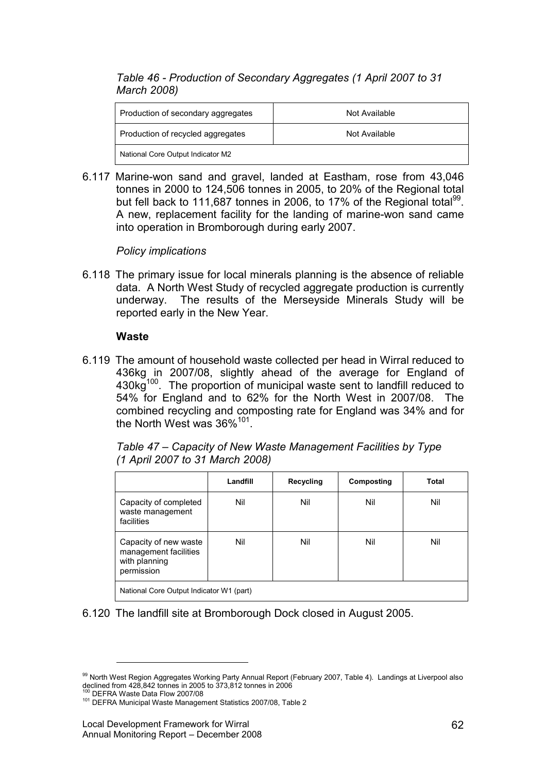# Table 46 - Production of Secondary Aggregates (1 April 2007 to 31 March 2008)

| Production of secondary aggregates | Not Available |
|------------------------------------|---------------|
| Production of recycled aggregates  | Not Available |
| National Core Output Indicator M2  |               |

6.117 Marine-won sand and gravel, landed at Eastham, rose from 43,046 tonnes in 2000 to 124,506 tonnes in 2005, to 20% of the Regional total but fell back to 111,687 tonnes in 2006, to 17% of the Regional total<sup>99</sup>. A new, replacement facility for the landing of marine-won sand came into operation in Bromborough during early 2007.

Policy implications

6.118 The primary issue for local minerals planning is the absence of reliable data. A North West Study of recycled aggregate production is currently underway. The results of the Merseyside Minerals Study will be reported early in the New Year.

#### **Waste**

6.119 The amount of household waste collected per head in Wirral reduced to 436kg in 2007/08, slightly ahead of the average for England of 430kg<sup>100</sup>. The proportion of municipal waste sent to landfill reduced to 54% for England and to 62% for the North West in 2007/08. The combined recycling and composting rate for England was 34% and for the North West was 36%<sup>101</sup>.

| Table 47 – Capacity of New Waste Management Facilities by Type<br>(1 April 2007 to 31 March 2008) |  |  |
|---------------------------------------------------------------------------------------------------|--|--|
|                                                                                                   |  |  |

|                                                                               | Landfill | Recycling | Composting | Total |
|-------------------------------------------------------------------------------|----------|-----------|------------|-------|
| Capacity of completed<br>waste management<br>facilities                       | Nil      | Nil       | Nil        | Nil   |
| Capacity of new waste<br>management facilities<br>with planning<br>permission | Nil      | Nil       | Nil        | Nil   |
| National Core Output Indicator W1 (part)                                      |          |           |            |       |

6.120 The landfill site at Bromborough Dock closed in August 2005.

<sup>99</sup> North West Region Aggregates Working Party Annual Report (February 2007, Table 4). Landings at Liverpool also declined from 428,842 tonnes in 2005 to 373,812 tonnes in 2006<br><sup>100</sup> DEEDA Wests Detail from 2005 to 373,812 tonnes in 2006

<sup>100</sup> DEFRA Waste Data Flow 2007/08

<sup>101</sup> DEFRA Municipal Waste Management Statistics 2007/08, Table 2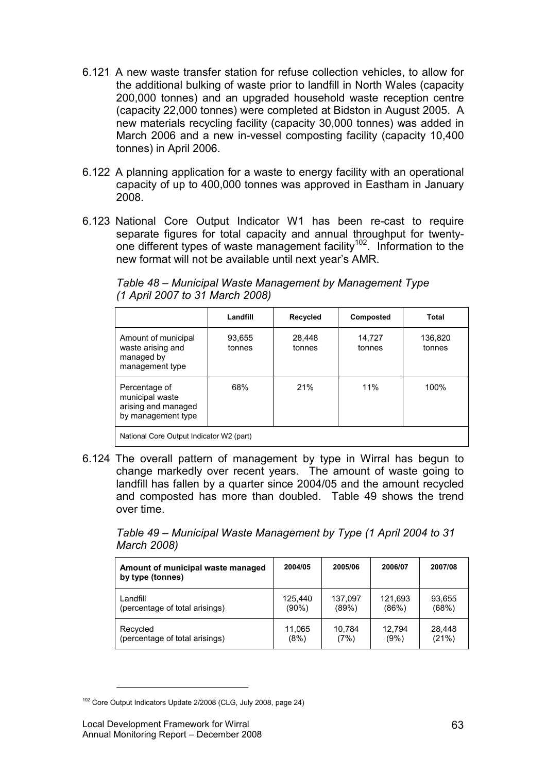- 6.121 A new waste transfer station for refuse collection vehicles, to allow for the additional bulking of waste prior to landfill in North Wales (capacity 200,000 tonnes) and an upgraded household waste reception centre (capacity 22,000 tonnes) were completed at Bidston in August 2005. A new materials recycling facility (capacity 30,000 tonnes) was added in March 2006 and a new in-vessel composting facility (capacity 10,400 tonnes) in April 2006.
- 6.122 A planning application for a waste to energy facility with an operational capacity of up to 400,000 tonnes was approved in Eastham in January 2008.
- 6.123 National Core Output Indicator W1 has been re-cast to require separate figures for total capacity and annual throughput for twentyone different types of waste management facility<sup>102</sup>. Information to the new format will not be available until next year's AMR.

Table 48 – Municipal Waste Management by Management Type (1 April 2007 to 31 March 2008)

|                                                                               | Landfill         | <b>Recycled</b>  | Composted        | Total             |
|-------------------------------------------------------------------------------|------------------|------------------|------------------|-------------------|
| Amount of municipal<br>waste arising and<br>managed by<br>management type     | 93,655<br>tonnes | 28,448<br>tonnes | 14,727<br>tonnes | 136,820<br>tonnes |
| Percentage of<br>municipal waste<br>arising and managed<br>by management type | 68%              | 21%              | 11%              | 100%              |
| National Core Output Indicator W2 (part)                                      |                  |                  |                  |                   |

6.124 The overall pattern of management by type in Wirral has begun to change markedly over recent years. The amount of waste going to landfill has fallen by a quarter since 2004/05 and the amount recycled and composted has more than doubled. Table 49 shows the trend over time.

Table 49 – Municipal Waste Management by Type (1 April 2004 to 31 March 2008)

| Amount of municipal waste managed<br>by type (tonnes) | 2004/05 | 2005/06 | 2006/07 | 2007/08 |
|-------------------------------------------------------|---------|---------|---------|---------|
| Landfill                                              | 125.440 | 137,097 | 121,693 | 93,655  |
| (percentage of total arisings)                        | (90%)   | (89%)   | (86%)   | (68%)   |
| Recycled                                              | 11,065  | 10,784  | 12.794  | 28,448  |
| (percentage of total arisings)                        | (8%)    | (7%)    | (9%)    | (21%)   |

<sup>102</sup> Core Output Indicators Update 2/2008 (CLG, July 2008, page 24)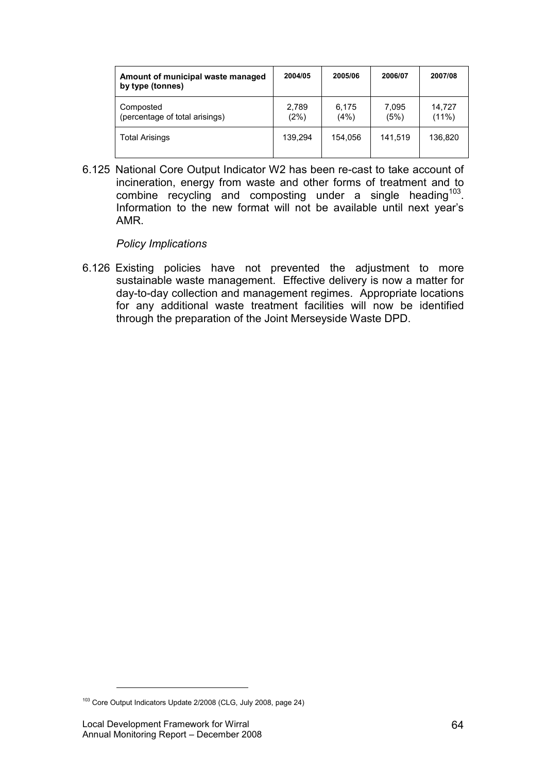| Amount of municipal waste managed<br>by type (tonnes) | 2004/05       | 2005/06       | 2006/07       | 2007/08            |
|-------------------------------------------------------|---------------|---------------|---------------|--------------------|
| Composted<br>(percentage of total arisings)           | 2,789<br>(2%) | 6.175<br>(4%) | 7,095<br>(5%) | 14,727<br>$(11\%)$ |
| <b>Total Arisings</b>                                 | 139.294       | 154.056       | 141.519       | 136.820            |

6.125 National Core Output Indicator W2 has been re-cast to take account of incineration, energy from waste and other forms of treatment and to combine recycling and composting under a single heading  $103$ . Information to the new format will not be available until next year's AMR.

Policy Implications

6.126 Existing policies have not prevented the adjustment to more sustainable waste management. Effective delivery is now a matter for day-to-day collection and management regimes. Appropriate locations for any additional waste treatment facilities will now be identified through the preparation of the Joint Merseyside Waste DPD.

<sup>&</sup>lt;sup>103</sup> Core Output Indicators Update 2/2008 (CLG, July 2008, page 24)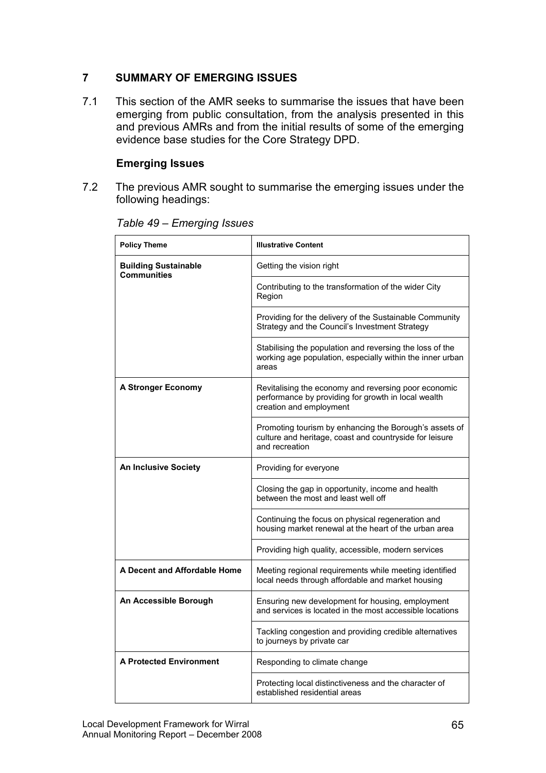# 7 SUMMARY OF EMERGING ISSUES

7.1 This section of the AMR seeks to summarise the issues that have been emerging from public consultation, from the analysis presented in this and previous AMRs and from the initial results of some of the emerging evidence base studies for the Core Strategy DPD.

# Emerging Issues

7.2 The previous AMR sought to summarise the emerging issues under the following headings:

| <b>Policy Theme</b>                               | <b>Illustrative Content</b>                                                                                                            |
|---------------------------------------------------|----------------------------------------------------------------------------------------------------------------------------------------|
| <b>Building Sustainable</b><br><b>Communities</b> | Getting the vision right                                                                                                               |
|                                                   | Contributing to the transformation of the wider City<br>Region                                                                         |
|                                                   | Providing for the delivery of the Sustainable Community<br>Strategy and the Council's Investment Strategy                              |
|                                                   | Stabilising the population and reversing the loss of the<br>working age population, especially within the inner urban<br>areas         |
| A Stronger Economy                                | Revitalising the economy and reversing poor economic<br>performance by providing for growth in local wealth<br>creation and employment |
|                                                   | Promoting tourism by enhancing the Borough's assets of<br>culture and heritage, coast and countryside for leisure<br>and recreation    |
| <b>An Inclusive Society</b>                       | Providing for everyone                                                                                                                 |
|                                                   | Closing the gap in opportunity, income and health<br>between the most and least well off                                               |
|                                                   | Continuing the focus on physical regeneration and<br>housing market renewal at the heart of the urban area                             |
|                                                   | Providing high quality, accessible, modern services                                                                                    |
| A Decent and Affordable Home                      | Meeting regional requirements while meeting identified<br>local needs through affordable and market housing                            |
| An Accessible Borough                             | Ensuring new development for housing, employment<br>and services is located in the most accessible locations                           |
|                                                   | Tackling congestion and providing credible alternatives<br>to journeys by private car                                                  |
| <b>A Protected Environment</b>                    | Responding to climate change                                                                                                           |
|                                                   | Protecting local distinctiveness and the character of<br>established residential areas                                                 |

# Table 49 – Emerging Issues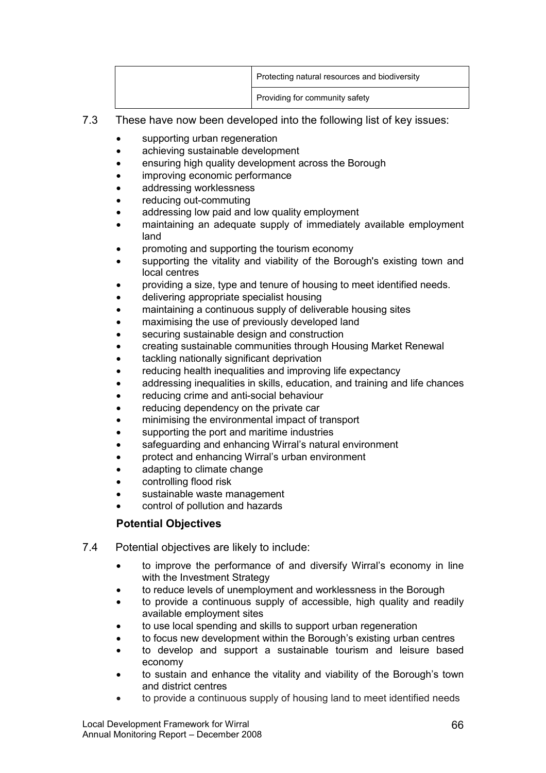| Protecting natural resources and biodiversity |
|-----------------------------------------------|
| Providing for community safety                |

- 7.3 These have now been developed into the following list of key issues:
	- supporting urban regeneration
	- achieving sustainable development
	- ensuring high quality development across the Borough
	- improving economic performance
	- addressing worklessness
	- reducing out-commuting
	- addressing low paid and low quality employment
	- maintaining an adequate supply of immediately available employment land
	- promoting and supporting the tourism economy
	- supporting the vitality and viability of the Borough's existing town and local centres
	- providing a size, type and tenure of housing to meet identified needs.
	- delivering appropriate specialist housing
	- maintaining a continuous supply of deliverable housing sites
	- maximising the use of previously developed land
	- securing sustainable design and construction
	- creating sustainable communities through Housing Market Renewal
	- tackling nationally significant deprivation
	- reducing health inequalities and improving life expectancy
	- addressing inequalities in skills, education, and training and life chances
	- reducing crime and anti-social behaviour
	- reducing dependency on the private car
	- minimising the environmental impact of transport
	- supporting the port and maritime industries
	- safeguarding and enhancing Wirral's natural environment
	- protect and enhancing Wirral's urban environment
	- adapting to climate change
	- controlling flood risk
	- sustainable waste management
	- control of pollution and hazards

# Potential Objectives

- 7.4 Potential objectives are likely to include:
	- to improve the performance of and diversify Wirral's economy in line with the Investment Strategy
	- to reduce levels of unemployment and worklessness in the Borough
	- to provide a continuous supply of accessible, high quality and readily available employment sites
	- to use local spending and skills to support urban regeneration
	- to focus new development within the Borough's existing urban centres
	- to develop and support a sustainable tourism and leisure based economy
	- to sustain and enhance the vitality and viability of the Borough's town and district centres
	- to provide a continuous supply of housing land to meet identified needs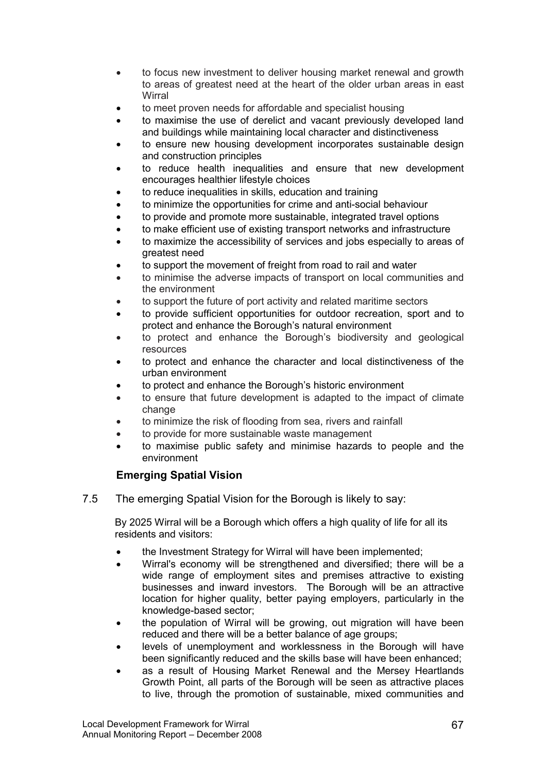- to focus new investment to deliver housing market renewal and growth to areas of greatest need at the heart of the older urban areas in east **Wirral**
- to meet proven needs for affordable and specialist housing
- to maximise the use of derelict and vacant previously developed land and buildings while maintaining local character and distinctiveness
- to ensure new housing development incorporates sustainable design and construction principles
- to reduce health inequalities and ensure that new development encourages healthier lifestyle choices
- to reduce inequalities in skills, education and training
- to minimize the opportunities for crime and anti-social behaviour
- to provide and promote more sustainable, integrated travel options
- to make efficient use of existing transport networks and infrastructure
- to maximize the accessibility of services and jobs especially to areas of greatest need
- to support the movement of freight from road to rail and water
- to minimise the adverse impacts of transport on local communities and the environment
- to support the future of port activity and related maritime sectors
- to provide sufficient opportunities for outdoor recreation, sport and to protect and enhance the Borough's natural environment
- to protect and enhance the Borough's biodiversity and geological resources
- to protect and enhance the character and local distinctiveness of the urban environment
- to protect and enhance the Borough's historic environment
- to ensure that future development is adapted to the impact of climate change
- to minimize the risk of flooding from sea, rivers and rainfall
- to provide for more sustainable waste management
- to maximise public safety and minimise hazards to people and the environment

## Emerging Spatial Vision

7.5 The emerging Spatial Vision for the Borough is likely to say:

By 2025 Wirral will be a Borough which offers a high quality of life for all its residents and visitors:

- the Investment Strategy for Wirral will have been implemented;
- Wirral's economy will be strengthened and diversified; there will be a wide range of employment sites and premises attractive to existing businesses and inward investors. The Borough will be an attractive location for higher quality, better paying employers, particularly in the knowledge-based sector;
- the population of Wirral will be growing, out migration will have been reduced and there will be a better balance of age groups;
- levels of unemployment and worklessness in the Borough will have been significantly reduced and the skills base will have been enhanced:
- as a result of Housing Market Renewal and the Mersey Heartlands Growth Point, all parts of the Borough will be seen as attractive places to live, through the promotion of sustainable, mixed communities and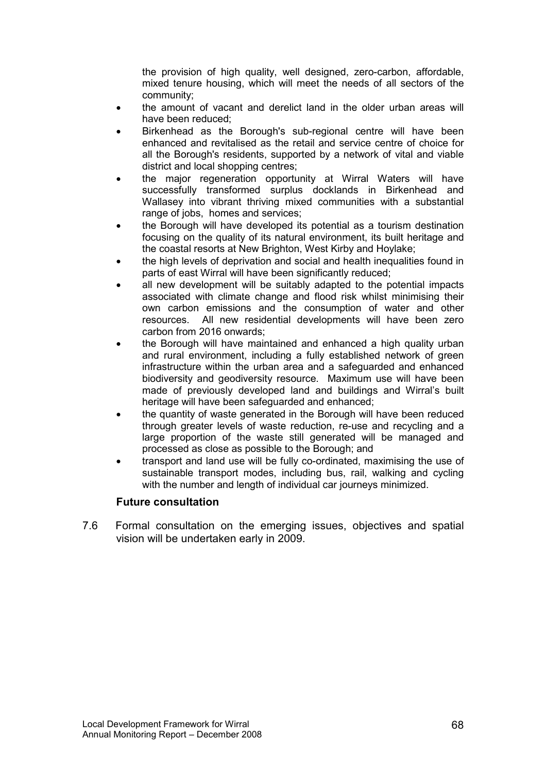the provision of high quality, well designed, zero-carbon, affordable, mixed tenure housing, which will meet the needs of all sectors of the community;

- the amount of vacant and derelict land in the older urban areas will have been reduced;
- Birkenhead as the Borough's sub-regional centre will have been enhanced and revitalised as the retail and service centre of choice for all the Borough's residents, supported by a network of vital and viable district and local shopping centres;
- the major regeneration opportunity at Wirral Waters will have successfully transformed surplus docklands in Birkenhead and Wallasey into vibrant thriving mixed communities with a substantial range of jobs, homes and services;
- the Borough will have developed its potential as a tourism destination focusing on the quality of its natural environment, its built heritage and the coastal resorts at New Brighton, West Kirby and Hoylake;
- the high levels of deprivation and social and health inequalities found in parts of east Wirral will have been significantly reduced;
- all new development will be suitably adapted to the potential impacts associated with climate change and flood risk whilst minimising their own carbon emissions and the consumption of water and other resources. All new residential developments will have been zero carbon from 2016 onwards;
- the Borough will have maintained and enhanced a high quality urban and rural environment, including a fully established network of green infrastructure within the urban area and a safeguarded and enhanced biodiversity and geodiversity resource. Maximum use will have been made of previously developed land and buildings and Wirral's built heritage will have been safeguarded and enhanced;
- the quantity of waste generated in the Borough will have been reduced through greater levels of waste reduction, re-use and recycling and a large proportion of the waste still generated will be managed and processed as close as possible to the Borough; and
- transport and land use will be fully co-ordinated, maximising the use of sustainable transport modes, including bus, rail, walking and cycling with the number and length of individual car journeys minimized.

## Future consultation

7.6 Formal consultation on the emerging issues, objectives and spatial vision will be undertaken early in 2009.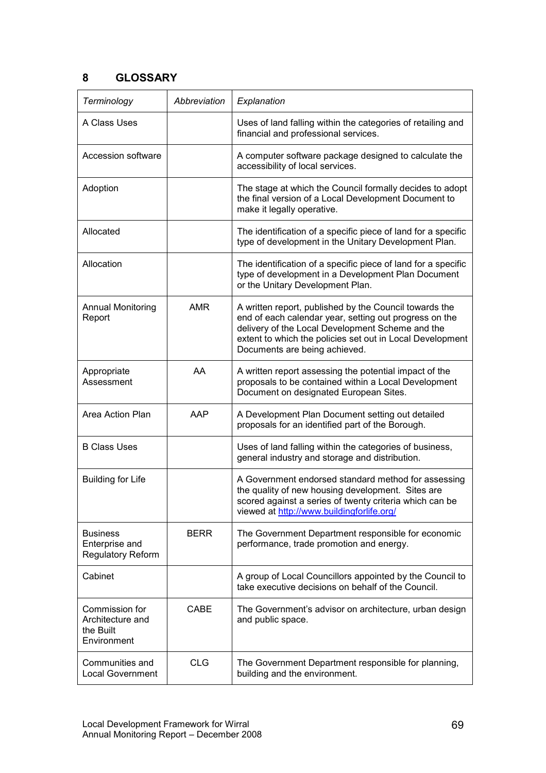# 8 GLOSSARY

| Terminology                                                    | Abbreviation | Explanation                                                                                                                                                                                                                                                        |
|----------------------------------------------------------------|--------------|--------------------------------------------------------------------------------------------------------------------------------------------------------------------------------------------------------------------------------------------------------------------|
| A Class Uses                                                   |              | Uses of land falling within the categories of retailing and<br>financial and professional services.                                                                                                                                                                |
| Accession software                                             |              | A computer software package designed to calculate the<br>accessibility of local services.                                                                                                                                                                          |
| Adoption                                                       |              | The stage at which the Council formally decides to adopt<br>the final version of a Local Development Document to<br>make it legally operative.                                                                                                                     |
| Allocated                                                      |              | The identification of a specific piece of land for a specific<br>type of development in the Unitary Development Plan.                                                                                                                                              |
| Allocation                                                     |              | The identification of a specific piece of land for a specific<br>type of development in a Development Plan Document<br>or the Unitary Development Plan.                                                                                                            |
| <b>Annual Monitoring</b><br>Report                             | <b>AMR</b>   | A written report, published by the Council towards the<br>end of each calendar year, setting out progress on the<br>delivery of the Local Development Scheme and the<br>extent to which the policies set out in Local Development<br>Documents are being achieved. |
| Appropriate<br>Assessment                                      | AA           | A written report assessing the potential impact of the<br>proposals to be contained within a Local Development<br>Document on designated European Sites.                                                                                                           |
| Area Action Plan                                               | AAP          | A Development Plan Document setting out detailed<br>proposals for an identified part of the Borough.                                                                                                                                                               |
| <b>B Class Uses</b>                                            |              | Uses of land falling within the categories of business,<br>general industry and storage and distribution.                                                                                                                                                          |
| <b>Building for Life</b>                                       |              | A Government endorsed standard method for assessing<br>the quality of new housing development. Sites are<br>scored against a series of twenty criteria which can be<br>viewed at http://www.buildingforlife.org/                                                   |
| <b>Business</b><br>Enterprise and<br><b>Regulatory Reform</b>  | <b>BERR</b>  | The Government Department responsible for economic<br>performance, trade promotion and energy.                                                                                                                                                                     |
| Cabinet                                                        |              | A group of Local Councillors appointed by the Council to<br>take executive decisions on behalf of the Council.                                                                                                                                                     |
| Commission for<br>Architecture and<br>the Built<br>Environment | CABE         | The Government's advisor on architecture, urban design<br>and public space.                                                                                                                                                                                        |
| Communities and<br><b>Local Government</b>                     | CLG          | The Government Department responsible for planning,<br>building and the environment.                                                                                                                                                                               |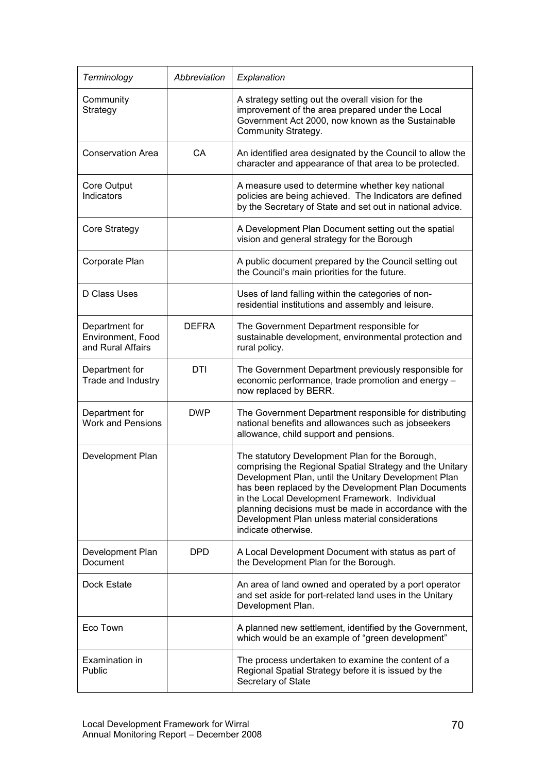| Terminology                                              | Abbreviation | Explanation                                                                                                                                                                                                                                                                                                                                                                                                      |
|----------------------------------------------------------|--------------|------------------------------------------------------------------------------------------------------------------------------------------------------------------------------------------------------------------------------------------------------------------------------------------------------------------------------------------------------------------------------------------------------------------|
| Community<br>Strategy                                    |              | A strategy setting out the overall vision for the<br>improvement of the area prepared under the Local<br>Government Act 2000, now known as the Sustainable<br>Community Strategy.                                                                                                                                                                                                                                |
| <b>Conservation Area</b>                                 | <b>CA</b>    | An identified area designated by the Council to allow the<br>character and appearance of that area to be protected.                                                                                                                                                                                                                                                                                              |
| Core Output<br>Indicators                                |              | A measure used to determine whether key national<br>policies are being achieved. The Indicators are defined<br>by the Secretary of State and set out in national advice.                                                                                                                                                                                                                                         |
| Core Strategy                                            |              | A Development Plan Document setting out the spatial<br>vision and general strategy for the Borough                                                                                                                                                                                                                                                                                                               |
| Corporate Plan                                           |              | A public document prepared by the Council setting out<br>the Council's main priorities for the future.                                                                                                                                                                                                                                                                                                           |
| D Class Uses                                             |              | Uses of land falling within the categories of non-<br>residential institutions and assembly and leisure.                                                                                                                                                                                                                                                                                                         |
| Department for<br>Environment, Food<br>and Rural Affairs | <b>DEFRA</b> | The Government Department responsible for<br>sustainable development, environmental protection and<br>rural policy.                                                                                                                                                                                                                                                                                              |
| Department for<br>Trade and Industry                     | DTI          | The Government Department previously responsible for<br>economic performance, trade promotion and energy -<br>now replaced by BERR.                                                                                                                                                                                                                                                                              |
| Department for<br><b>Work and Pensions</b>               | <b>DWP</b>   | The Government Department responsible for distributing<br>national benefits and allowances such as jobseekers<br>allowance, child support and pensions.                                                                                                                                                                                                                                                          |
| Development Plan                                         |              | The statutory Development Plan for the Borough,<br>comprising the Regional Spatial Strategy and the Unitary<br>Development Plan, until the Unitary Development Plan<br>has been replaced by the Development Plan Documents<br>in the Local Development Framework. Individual<br>planning decisions must be made in accordance with the<br>Development Plan unless material considerations<br>indicate otherwise. |
| Development Plan<br>Document                             | <b>DPD</b>   | A Local Development Document with status as part of<br>the Development Plan for the Borough.                                                                                                                                                                                                                                                                                                                     |
| Dock Estate                                              |              | An area of land owned and operated by a port operator<br>and set aside for port-related land uses in the Unitary<br>Development Plan.                                                                                                                                                                                                                                                                            |
| Eco Town                                                 |              | A planned new settlement, identified by the Government,<br>which would be an example of "green development"                                                                                                                                                                                                                                                                                                      |
| Examination in<br>Public                                 |              | The process undertaken to examine the content of a<br>Regional Spatial Strategy before it is issued by the<br>Secretary of State                                                                                                                                                                                                                                                                                 |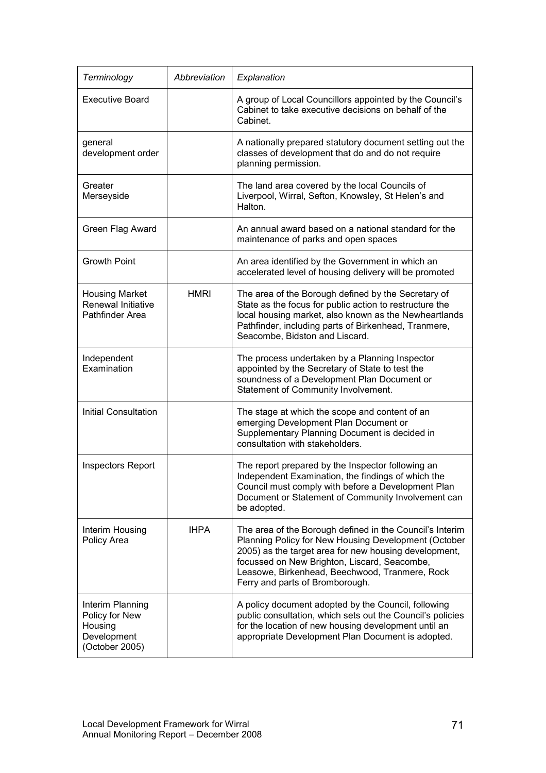| Terminology                                                                    | Abbreviation | Explanation                                                                                                                                                                                                                                                                                                    |
|--------------------------------------------------------------------------------|--------------|----------------------------------------------------------------------------------------------------------------------------------------------------------------------------------------------------------------------------------------------------------------------------------------------------------------|
| <b>Executive Board</b>                                                         |              | A group of Local Councillors appointed by the Council's<br>Cabinet to take executive decisions on behalf of the<br>Cabinet.                                                                                                                                                                                    |
| general<br>development order                                                   |              | A nationally prepared statutory document setting out the<br>classes of development that do and do not require<br>planning permission.                                                                                                                                                                          |
| Greater<br>Merseyside                                                          |              | The land area covered by the local Councils of<br>Liverpool, Wirral, Sefton, Knowsley, St Helen's and<br>Halton.                                                                                                                                                                                               |
| Green Flag Award                                                               |              | An annual award based on a national standard for the<br>maintenance of parks and open spaces                                                                                                                                                                                                                   |
| <b>Growth Point</b>                                                            |              | An area identified by the Government in which an<br>accelerated level of housing delivery will be promoted                                                                                                                                                                                                     |
| <b>Housing Market</b><br>Renewal Initiative<br>Pathfinder Area                 | <b>HMRI</b>  | The area of the Borough defined by the Secretary of<br>State as the focus for public action to restructure the<br>local housing market, also known as the Newheartlands<br>Pathfinder, including parts of Birkenhead, Tranmere,<br>Seacombe, Bidston and Liscard.                                              |
| Independent<br>Examination                                                     |              | The process undertaken by a Planning Inspector<br>appointed by the Secretary of State to test the<br>soundness of a Development Plan Document or<br>Statement of Community Involvement.                                                                                                                        |
| <b>Initial Consultation</b>                                                    |              | The stage at which the scope and content of an<br>emerging Development Plan Document or<br>Supplementary Planning Document is decided in<br>consultation with stakeholders.                                                                                                                                    |
| <b>Inspectors Report</b>                                                       |              | The report prepared by the Inspector following an<br>Independent Examination, the findings of which the<br>Council must comply with before a Development Plan<br>Document or Statement of Community Involvement can<br>be adopted.                                                                             |
| Interim Housing<br>Policy Area                                                 | <b>IHPA</b>  | The area of the Borough defined in the Council's Interim<br>Planning Policy for New Housing Development (October<br>2005) as the target area for new housing development,<br>focussed on New Brighton, Liscard, Seacombe,<br>Leasowe, Birkenhead, Beechwood, Tranmere, Rock<br>Ferry and parts of Bromborough. |
| Interim Planning<br>Policy for New<br>Housing<br>Development<br>(October 2005) |              | A policy document adopted by the Council, following<br>public consultation, which sets out the Council's policies<br>for the location of new housing development until an<br>appropriate Development Plan Document is adopted.                                                                                 |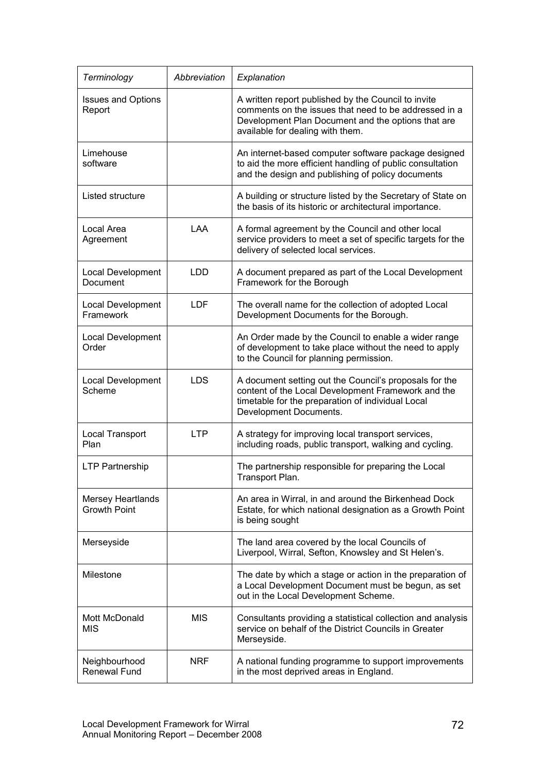| Terminology                                     | Abbreviation | Explanation                                                                                                                                                                                            |
|-------------------------------------------------|--------------|--------------------------------------------------------------------------------------------------------------------------------------------------------------------------------------------------------|
| <b>Issues and Options</b><br>Report             |              | A written report published by the Council to invite<br>comments on the issues that need to be addressed in a<br>Development Plan Document and the options that are<br>available for dealing with them. |
| Limehouse<br>software                           |              | An internet-based computer software package designed<br>to aid the more efficient handling of public consultation<br>and the design and publishing of policy documents                                 |
| Listed structure                                |              | A building or structure listed by the Secretary of State on<br>the basis of its historic or architectural importance.                                                                                  |
| Local Area<br>Agreement                         | LAA          | A formal agreement by the Council and other local<br>service providers to meet a set of specific targets for the<br>delivery of selected local services.                                               |
| Local Development<br><b>Document</b>            | <b>LDD</b>   | A document prepared as part of the Local Development<br>Framework for the Borough                                                                                                                      |
| Local Development<br>Framework                  | <b>LDF</b>   | The overall name for the collection of adopted Local<br>Development Documents for the Borough.                                                                                                         |
| Local Development<br>Order                      |              | An Order made by the Council to enable a wider range<br>of development to take place without the need to apply<br>to the Council for planning permission.                                              |
| Local Development<br>Scheme                     | <b>LDS</b>   | A document setting out the Council's proposals for the<br>content of the Local Development Framework and the<br>timetable for the preparation of individual Local<br>Development Documents.            |
| Local Transport<br>Plan                         | <b>LTP</b>   | A strategy for improving local transport services,<br>including roads, public transport, walking and cycling.                                                                                          |
| <b>LTP Partnership</b>                          |              | The partnership responsible for preparing the Local<br>Transport Plan.                                                                                                                                 |
| <b>Mersey Heartlands</b><br><b>Growth Point</b> |              | An area in Wirral, in and around the Birkenhead Dock<br>Estate, for which national designation as a Growth Point<br>is being sought                                                                    |
| Merseyside                                      |              | The land area covered by the local Councils of<br>Liverpool, Wirral, Sefton, Knowsley and St Helen's.                                                                                                  |
| Milestone                                       |              | The date by which a stage or action in the preparation of<br>a Local Development Document must be begun, as set<br>out in the Local Development Scheme.                                                |
| Mott McDonald<br><b>MIS</b>                     | <b>MIS</b>   | Consultants providing a statistical collection and analysis<br>service on behalf of the District Councils in Greater<br>Merseyside.                                                                    |
| Neighbourhood<br>Renewal Fund                   | <b>NRF</b>   | A national funding programme to support improvements<br>in the most deprived areas in England.                                                                                                         |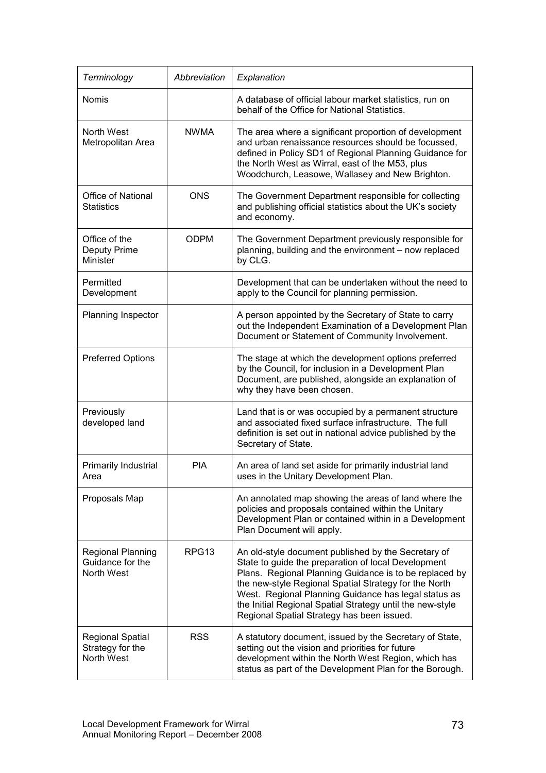| Terminology                                                | Abbreviation      | Explanation                                                                                                                                                                                                                                                                                                                                                                                      |
|------------------------------------------------------------|-------------------|--------------------------------------------------------------------------------------------------------------------------------------------------------------------------------------------------------------------------------------------------------------------------------------------------------------------------------------------------------------------------------------------------|
| Nomis                                                      |                   | A database of official labour market statistics, run on<br>behalf of the Office for National Statistics.                                                                                                                                                                                                                                                                                         |
| North West<br>Metropolitan Area                            | <b>NWMA</b>       | The area where a significant proportion of development<br>and urban renaissance resources should be focussed,<br>defined in Policy SD1 of Regional Planning Guidance for<br>the North West as Wirral, east of the M53, plus<br>Woodchurch, Leasowe, Wallasey and New Brighton.                                                                                                                   |
| <b>Office of National</b><br><b>Statistics</b>             | <b>ONS</b>        | The Government Department responsible for collecting<br>and publishing official statistics about the UK's society<br>and economy.                                                                                                                                                                                                                                                                |
| Office of the<br>Deputy Prime<br><b>Minister</b>           | <b>ODPM</b>       | The Government Department previously responsible for<br>planning, building and the environment - now replaced<br>by CLG.                                                                                                                                                                                                                                                                         |
| Permitted<br>Development                                   |                   | Development that can be undertaken without the need to<br>apply to the Council for planning permission.                                                                                                                                                                                                                                                                                          |
| Planning Inspector                                         |                   | A person appointed by the Secretary of State to carry<br>out the Independent Examination of a Development Plan<br>Document or Statement of Community Involvement.                                                                                                                                                                                                                                |
| <b>Preferred Options</b>                                   |                   | The stage at which the development options preferred<br>by the Council, for inclusion in a Development Plan<br>Document, are published, alongside an explanation of<br>why they have been chosen.                                                                                                                                                                                                |
| Previously<br>developed land                               |                   | Land that is or was occupied by a permanent structure<br>and associated fixed surface infrastructure. The full<br>definition is set out in national advice published by the<br>Secretary of State.                                                                                                                                                                                               |
| Primarily Industrial<br>Area                               | <b>PIA</b>        | An area of land set aside for primarily industrial land<br>uses in the Unitary Development Plan.                                                                                                                                                                                                                                                                                                 |
| Proposals Map                                              |                   | An annotated map showing the areas of land where the<br>policies and proposals contained within the Unitary<br>Development Plan or contained within in a Development<br>Plan Document will apply.                                                                                                                                                                                                |
| <b>Regional Planning</b><br>Guidance for the<br>North West | RPG <sub>13</sub> | An old-style document published by the Secretary of<br>State to guide the preparation of local Development<br>Plans. Regional Planning Guidance is to be replaced by<br>the new-style Regional Spatial Strategy for the North<br>West. Regional Planning Guidance has legal status as<br>the Initial Regional Spatial Strategy until the new-style<br>Regional Spatial Strategy has been issued. |
| <b>Regional Spatial</b><br>Strategy for the<br>North West  | <b>RSS</b>        | A statutory document, issued by the Secretary of State,<br>setting out the vision and priorities for future<br>development within the North West Region, which has<br>status as part of the Development Plan for the Borough.                                                                                                                                                                    |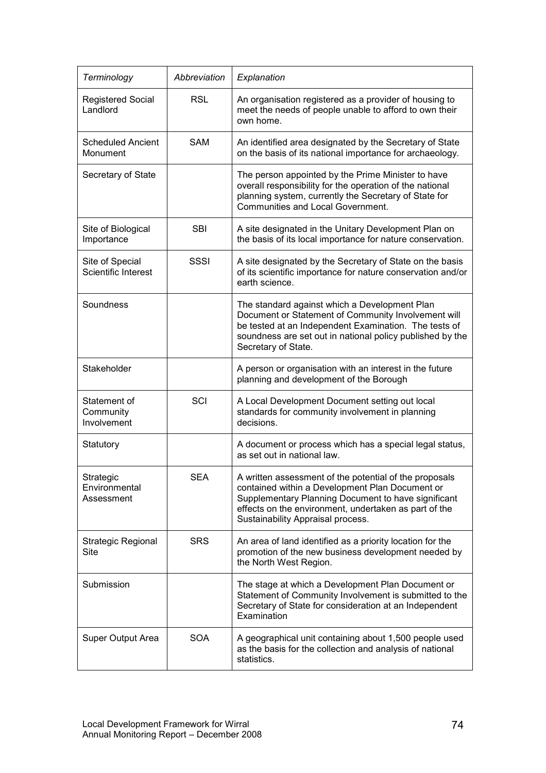| Terminology                              | Abbreviation | Explanation                                                                                                                                                                                                                                                    |
|------------------------------------------|--------------|----------------------------------------------------------------------------------------------------------------------------------------------------------------------------------------------------------------------------------------------------------------|
| <b>Registered Social</b><br>Landlord     | <b>RSL</b>   | An organisation registered as a provider of housing to<br>meet the needs of people unable to afford to own their<br>own home.                                                                                                                                  |
| <b>Scheduled Ancient</b><br>Monument     | <b>SAM</b>   | An identified area designated by the Secretary of State<br>on the basis of its national importance for archaeology.                                                                                                                                            |
| Secretary of State                       |              | The person appointed by the Prime Minister to have<br>overall responsibility for the operation of the national<br>planning system, currently the Secretary of State for<br>Communities and Local Government.                                                   |
| Site of Biological<br>Importance         | <b>SBI</b>   | A site designated in the Unitary Development Plan on<br>the basis of its local importance for nature conservation.                                                                                                                                             |
| Site of Special<br>Scientific Interest   | SSSI         | A site designated by the Secretary of State on the basis<br>of its scientific importance for nature conservation and/or<br>earth science.                                                                                                                      |
| Soundness                                |              | The standard against which a Development Plan<br>Document or Statement of Community Involvement will<br>be tested at an Independent Examination. The tests of<br>soundness are set out in national policy published by the<br>Secretary of State.              |
| Stakeholder                              |              | A person or organisation with an interest in the future<br>planning and development of the Borough                                                                                                                                                             |
| Statement of<br>Community<br>Involvement | SCI          | A Local Development Document setting out local<br>standards for community involvement in planning<br>decisions.                                                                                                                                                |
| Statutory                                |              | A document or process which has a special legal status,<br>as set out in national law.                                                                                                                                                                         |
| Strategic<br>Environmental<br>Assessment | <b>SEA</b>   | A written assessment of the potential of the proposals<br>contained within a Development Plan Document or<br>Supplementary Planning Document to have significant<br>effects on the environment, undertaken as part of the<br>Sustainability Appraisal process. |
| Strategic Regional<br>Site               | <b>SRS</b>   | An area of land identified as a priority location for the<br>promotion of the new business development needed by<br>the North West Region.                                                                                                                     |
| Submission                               |              | The stage at which a Development Plan Document or<br>Statement of Community Involvement is submitted to the<br>Secretary of State for consideration at an Independent<br>Examination                                                                           |
| Super Output Area                        | <b>SOA</b>   | A geographical unit containing about 1,500 people used<br>as the basis for the collection and analysis of national<br>statistics.                                                                                                                              |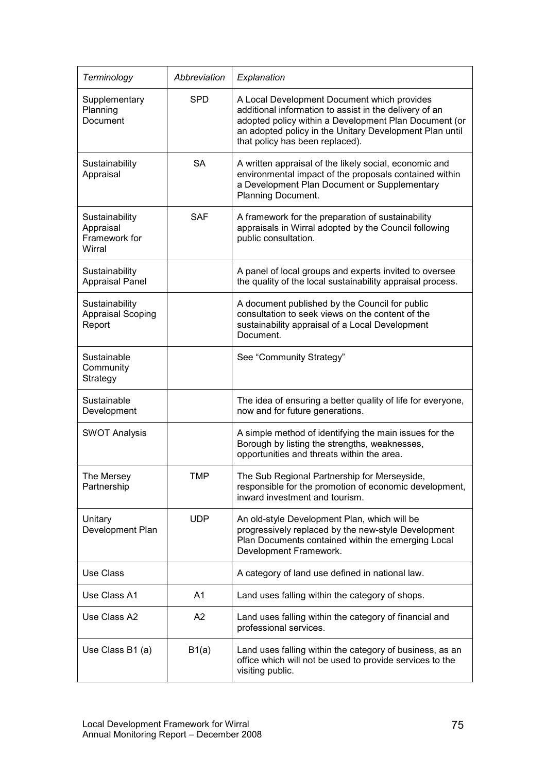| Terminology                                            | Abbreviation | Explanation                                                                                                                                                                                                                                                  |
|--------------------------------------------------------|--------------|--------------------------------------------------------------------------------------------------------------------------------------------------------------------------------------------------------------------------------------------------------------|
| Supplementary<br>Planning<br>Document                  | <b>SPD</b>   | A Local Development Document which provides<br>additional information to assist in the delivery of an<br>adopted policy within a Development Plan Document (or<br>an adopted policy in the Unitary Development Plan until<br>that policy has been replaced). |
| Sustainability<br>Appraisal                            | <b>SA</b>    | A written appraisal of the likely social, economic and<br>environmental impact of the proposals contained within<br>a Development Plan Document or Supplementary<br>Planning Document.                                                                       |
| Sustainability<br>Appraisal<br>Framework for<br>Wirral | <b>SAF</b>   | A framework for the preparation of sustainability<br>appraisals in Wirral adopted by the Council following<br>public consultation.                                                                                                                           |
| Sustainability<br><b>Appraisal Panel</b>               |              | A panel of local groups and experts invited to oversee<br>the quality of the local sustainability appraisal process.                                                                                                                                         |
| Sustainability<br><b>Appraisal Scoping</b><br>Report   |              | A document published by the Council for public<br>consultation to seek views on the content of the<br>sustainability appraisal of a Local Development<br>Document.                                                                                           |
| Sustainable<br>Community<br>Strategy                   |              | See "Community Strategy"                                                                                                                                                                                                                                     |
| Sustainable<br>Development                             |              | The idea of ensuring a better quality of life for everyone,<br>now and for future generations.                                                                                                                                                               |
| <b>SWOT Analysis</b>                                   |              | A simple method of identifying the main issues for the<br>Borough by listing the strengths, weaknesses,<br>opportunities and threats within the area.                                                                                                        |
| The Mersey<br>Partnership                              | TMP          | The Sub Regional Partnership for Merseyside<br>responsible for the promotion of economic development,<br>inward investment and tourism.                                                                                                                      |
| Unitary<br>Development Plan                            | <b>UDP</b>   | An old-style Development Plan, which will be<br>progressively replaced by the new-style Development<br>Plan Documents contained within the emerging Local<br>Development Framework.                                                                          |
| Use Class                                              |              | A category of land use defined in national law.                                                                                                                                                                                                              |
| Use Class A1                                           | A1           | Land uses falling within the category of shops.                                                                                                                                                                                                              |
| Use Class A2                                           | A2           | Land uses falling within the category of financial and<br>professional services.                                                                                                                                                                             |
| Use Class B1 (a)                                       | B1(a)        | Land uses falling within the category of business, as an<br>office which will not be used to provide services to the<br>visiting public.                                                                                                                     |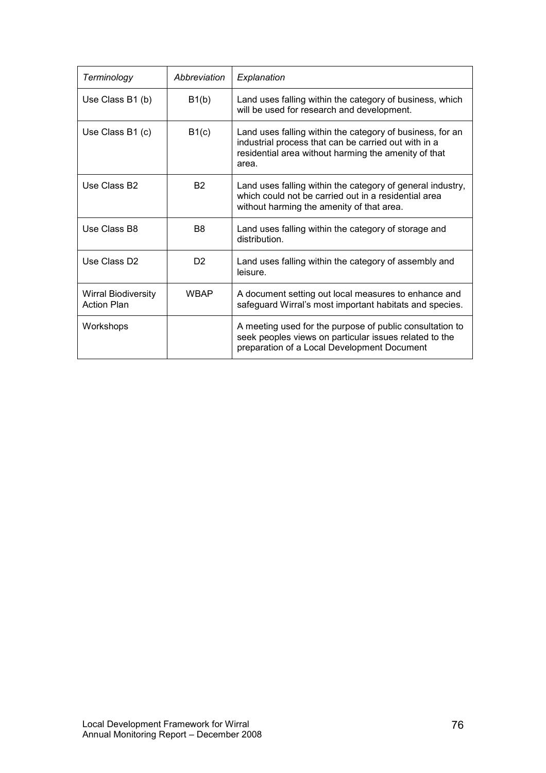| Terminology                                      | Abbreviation   | Explanation                                                                                                                                                                        |
|--------------------------------------------------|----------------|------------------------------------------------------------------------------------------------------------------------------------------------------------------------------------|
| Use Class B1 (b)                                 | B1(b)          | Land uses falling within the category of business, which<br>will be used for research and development.                                                                             |
| Use Class B1 (c)                                 | B1(c)          | Land uses falling within the category of business, for an<br>industrial process that can be carried out with in a<br>residential area without harming the amenity of that<br>area. |
| Use Class B <sub>2</sub>                         | <b>B2</b>      | Land uses falling within the category of general industry,<br>which could not be carried out in a residential area<br>without harming the amenity of that area.                    |
| Use Class B8                                     | B <sub>8</sub> | Land uses falling within the category of storage and<br>distribution.                                                                                                              |
| Use Class D <sub>2</sub>                         | D2             | Land uses falling within the category of assembly and<br>leisure.                                                                                                                  |
| <b>Wirral Biodiversity</b><br><b>Action Plan</b> | <b>WBAP</b>    | A document setting out local measures to enhance and<br>safeguard Wirral's most important habitats and species.                                                                    |
| Workshops                                        |                | A meeting used for the purpose of public consultation to<br>seek peoples views on particular issues related to the<br>preparation of a Local Development Document                  |